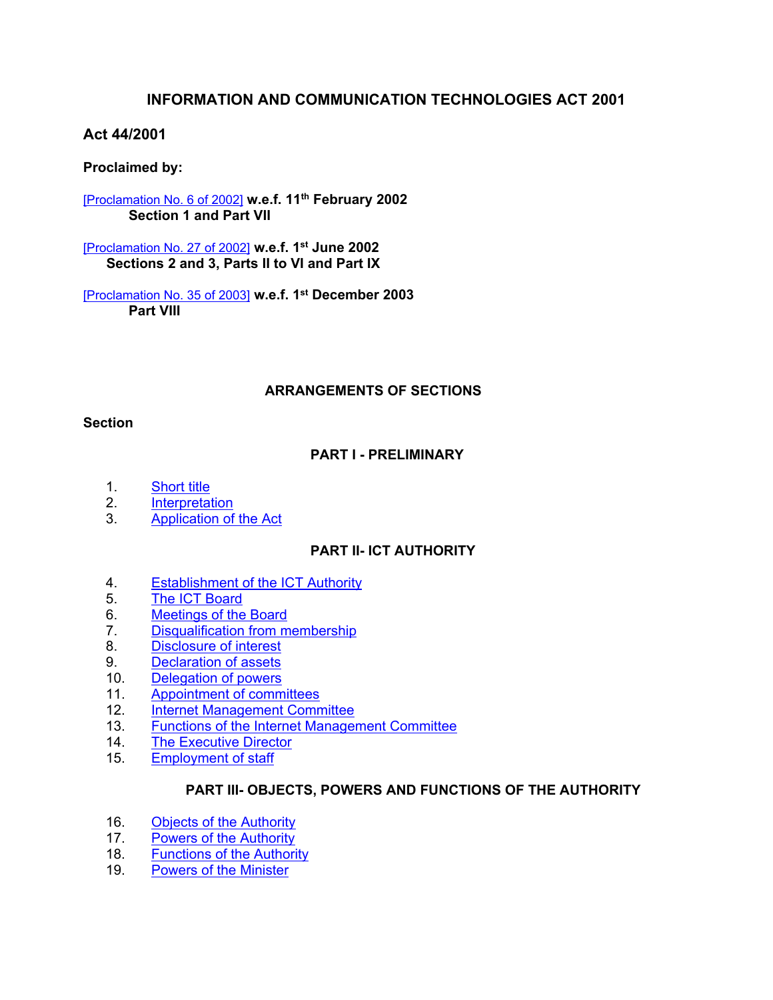# **INFORMATION AND COMMUNICATION TECHNOLOGIES ACT 2001**

# **Act 44/2001**

# **Proclaimed by:**

[\[Proclamation](https://supremecourt.govmu.org/_layouts/CLIS.DMS/search/searchdocumentbykey.aspx?ID=%5BProclamation%20No.%206%20of%202002%5D&list=Legislations) No. 6 of 2002] **w.e.f. 11th February 2002 Section 1 and Part VII**

[\[Proclamation](https://supremecourt.govmu.org/_layouts/CLIS.DMS/search/searchdocumentbykey.aspx?ID=%5BProclamation%20No.%2027%20of%202002%5D&list=Legislations) No. 27 of 2002] **w.e.f. 1 st June 2002 Sections 2 and 3, Parts II to VI and Part IX**

[\[Proclamation](https://supremecourt.govmu.org/_layouts/CLIS.DMS/search/searchdocumentbykey.aspx?ID=%5BProclamation%20No.%2035%20of%202003%5D&list=Legislations) No. 35 of 2003] **w.e.f. 1 st December 2003 Part VIII**

# **ARRANGEMENTS OF SECTIONS**

#### **Section**

# **PART I - PRELIMINARY**

- 1. [Short](#page-2-0) title
- 2. [Interpretation](#page-2-1)
- 3. [Application](#page-7-0) of the Act

# **PART II- ICT AUTHORITY**

- 4. [Establishment](#page-8-0) of the ICT Authority
- 5. The ICT [Board](#page-8-1)
- 6. [Meetings](#page-9-0) of the Board
- 7. [Disqualification](#page-9-1) from membership
- 8. [Disclosure](#page-10-0) of interest
- 9. [Declaration](#page-10-1) of assets
- 10. [Delegation](#page-10-2) of powers
- 11. [Appointment](#page-10-3) of committees
- 12. Internet [Management](#page-10-4) Committee
- 13. Functions of the Internet [Management](#page-11-0) Committee
- 14. The [Executive](#page-11-1) Director
- 15. [Employment](#page-12-0) of staff

#### **PART III- OBJECTS, POWERS AND FUNCTIONS OF THE AUTHORITY**

- 16. Objects of the [Authority](#page-12-1)
- 17. Powers of the [Authority](#page-13-0)
- 18. [Functions](#page-13-1) of the Authority
- 19. Powers of the [Minister](#page-16-0)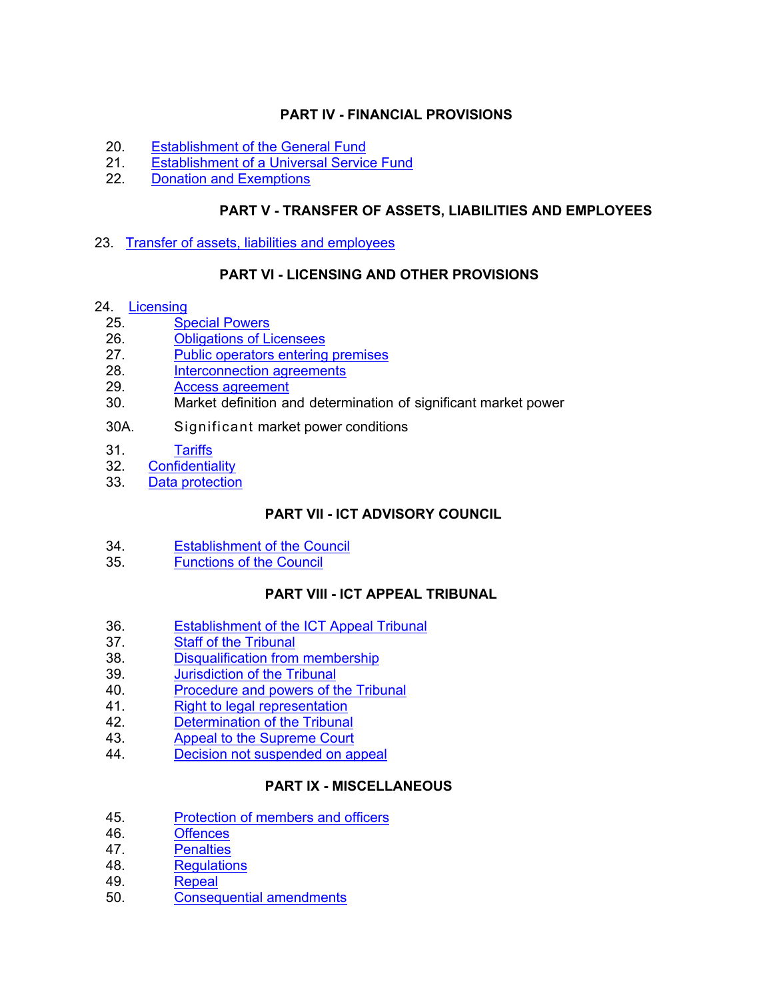# **PART IV - FINANCIAL PROVISIONS**

- 20. [Establishment](#page-16-1) of the General Fund
- 21. [Establishment](#page-17-0) of a Universal Service Fund
- 22. Donation and [Exemptions](#page-17-1)

# **PART V - TRANSFER OF ASSETS, LIABILITIES AND EMPLOYEES**

23. Transfer of assets, liabilities and employees

# **PART VI - LICENSING AND OTHER PROVISIONS**

#### 24. [Licensing](#page-18-0)

- 25. Special [Powers](#page-20-0)
- 26. [Obligations](#page-21-0) of Licensees
- 27. Public [operators](#page-21-1) entering premises
- 28. [Interconnection](#page-22-0) agreements
- 29. Access [agreement](#page-23-0)
- 30. Market definition and determination of significant market power
- 30A. Significant market power conditions
- 31. Tariffs
- 32. [Confidentiality](#page-29-0)
- 33. Data [protection](#page-30-0)

# **PART VII - ICT ADVISORY COUNCIL**

- 34. [Establishment](#page-30-1) of the Council
- 35. [Functions](#page-31-0) of the Council

# **PART VIII - ICT APPEAL TRIBUNAL**

- 36. [Establishment](#page-32-0) of the ICT Appeal Tribunal
- 37. Staff of the [Tribunal](#page-32-1)
- 38. [Disqualification](#page-32-2) from membership
- 39. [Jurisdiction](#page-33-0) of the Tribunal
- 40. [Procedure](#page-33-1) and powers of the Tribunal
- 41. Right to legal [representation](#page-34-0)
- 42. [Determination](#page-34-1) of the Tribunal
- 43. Appeal to the [Supreme](#page-35-0) Court
- 44. Decision not [suspended](#page-35-1) on appeal

# **PART IX - MISCELLANEOUS**

- 45. [Protection](#page-36-0) of members and officers
- 46. [Offences](#page-36-1)
- 47. [Penalties](#page-38-0)
- 48. [Regulations](#page-39-0)
- 49. [Repeal](#page-39-1)
- 50. [Consequential](#page-39-2) amendments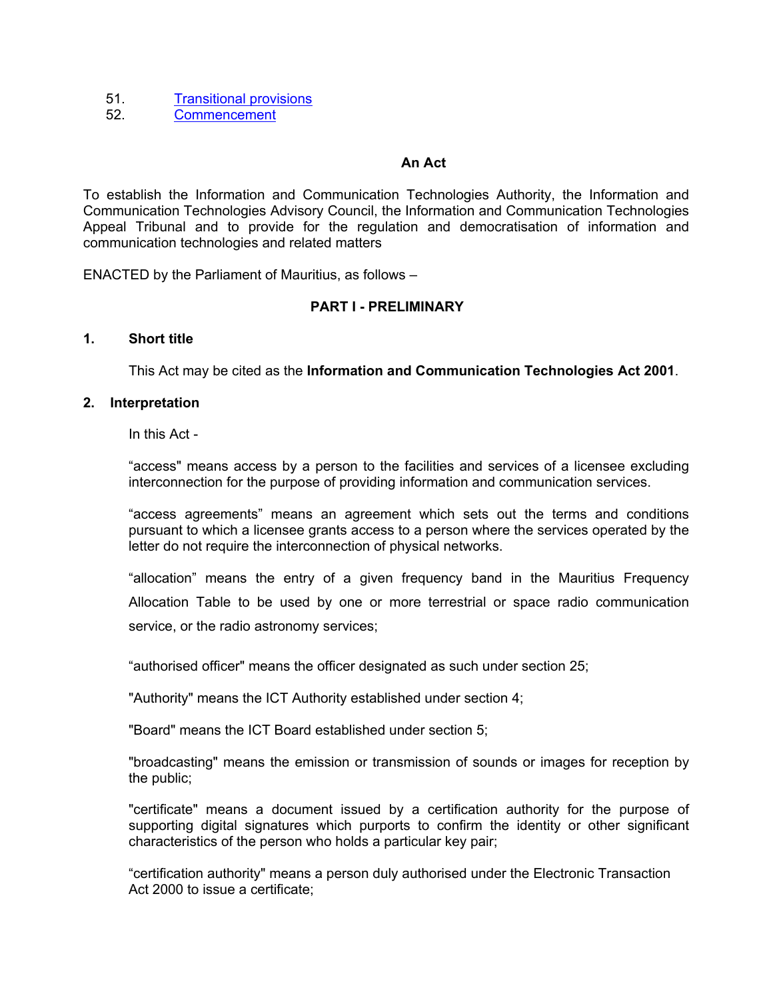- 51. [Transitional](#page-40-0) provisions
- 52. [Commencement](#page-42-0)

# **An Act**

To establish the Information and Communication Technologies Authority, the Information and Communication Technologies Advisory Council, the Information and Communication Technologies Appeal Tribunal and to provide for the regulation and democratisation of information and communication technologies and related matters

ENACTED by the Parliament of Mauritius, as follows –

# **PART I - PRELIMINARY**

#### **1. Short title**

<span id="page-2-0"></span>This Act may be cited as the **Information and Communication Technologies Act 2001**.

#### <span id="page-2-1"></span>**2. Interpretation**

In this Act -

"access" means access by a person to the facilities and services of a licensee excluding interconnection for the purpose of providing information and communication services.

"access agreements" means an agreement which sets out the terms and conditions pursuant to which a licensee grants access to a person where the services operated by the letter do not require the interconnection of physical networks.

"allocation" means the entry of a given frequency band in the Mauritius Frequency Allocation Table to be used by one or more terrestrial or space radio communication service, or the radio astronomy services;

"authorised officer" means the officer designated as such under section 25;

"Authority" means the ICT Authority established under section 4;

"Board" means the ICT Board established under section 5;

"broadcasting" means the emission or transmission of sounds or images for reception by the public;

"certificate" means a document issued by a certification authority for the purpose of supporting digital signatures which purports to confirm the identity or other significant characteristics of the person who holds a particular key pair;

"certification authority" means a person duly authorised under the Electronic Transaction Act 2000 to issue a certificate;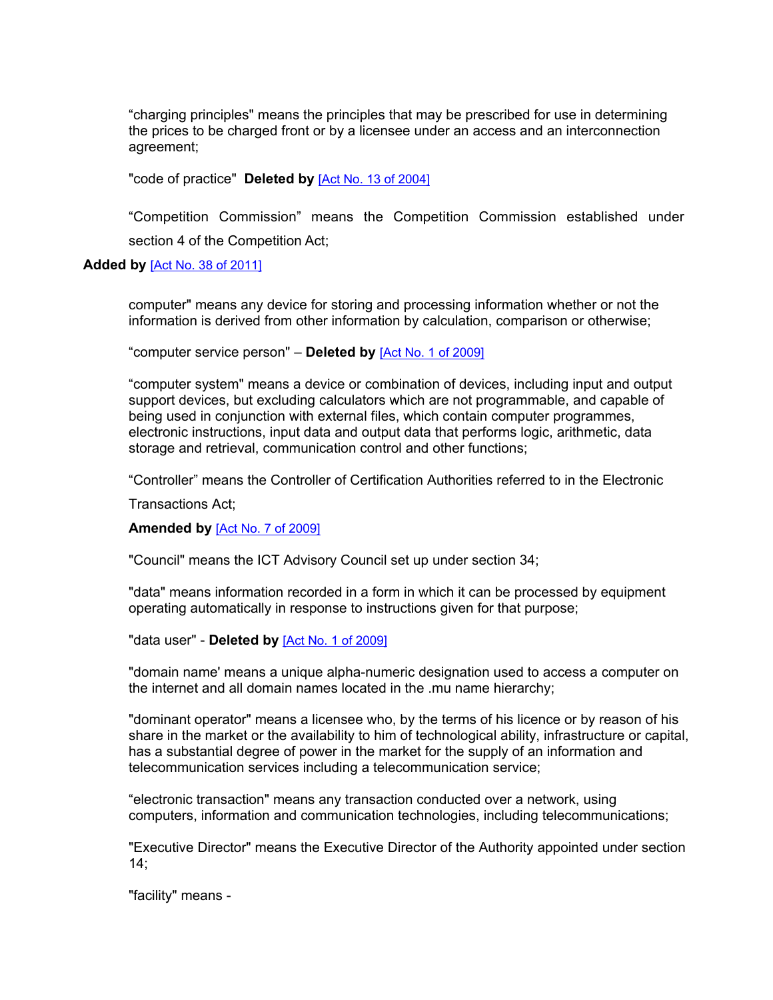"charging principles" means the principles that may be prescribed for use in determining the prices to be charged front or by a licensee under an access and an interconnection agreement;

"code of practice" **Deleted by** [Act No. 13 of [2004\]](https://supremecourt.govmu.org/_layouts/CLIS.DMS/search/searchdocumentbykey.aspx?ID=%5BAct%20No.%2013%20of%202004%5D&list=Legislations)

"Competition Commission" means the Competition Commission established under section 4 of the Competition Act;

#### **Added by** [Act No. 38 of [2011\]](https://supremecourt.govmu.org/_layouts/CLIS.DMS/search/searchdocumentbykey.aspx?ID=%5BAct%20No.%2038%20of%202011%5D&list=Legislations)

computer" means any device for storing and processing information whether or not the information is derived from other information by calculation, comparison or otherwise;

"computer service person" – **Deleted by** [Act No. 1 of [2009\]](https://supremecourt.govmu.org/_layouts/CLIS.DMS/search/searchdocumentbykey.aspx?ID=%5BAct%20No.%201%20of%202009%5D&list=Legislations)

"computer system" means a device or combination of devices, including input and output support devices, but excluding calculators which are not programmable, and capable of being used in conjunction with external files, which contain computer programmes, electronic instructions, input data and output data that performs logic, arithmetic, data storage and retrieval, communication control and other functions;

"Controller" means the Controller of Certification Authorities referred to in the Electronic

Transactions Act;

#### **Amended by** [Act No. 7 of [2009\]](https://supremecourt.govmu.org/_layouts/CLIS.DMS/search/searchdocumentbykey.aspx?ID=%5BAct%20No.%207%20of%202009%5D&list=Legislations)

"Council" means the ICT Advisory Council set up under section 34;

"data" means information recorded in a form in which it can be processed by equipment operating automatically in response to instructions given for that purpose;

"data user" - **Deleted by** [Act No. 1 of [2009\]](https://supremecourt.govmu.org/_layouts/CLIS.DMS/search/searchdocumentbykey.aspx?ID=%5BAct%20No.%201%20of%202009%5D&list=Legislations)

"domain name' means a unique alpha-numeric designation used to access a computer on the internet and all domain names located in the .mu name hierarchy;

"dominant operator" means a licensee who, by the terms of his licence or by reason of his share in the market or the availability to him of technological ability, infrastructure or capital, has a substantial degree of power in the market for the supply of an information and telecommunication services including a telecommunication service;

"electronic transaction" means any transaction conducted over a network, using computers, information and communication technologies, including telecommunications;

"Executive Director" means the Executive Director of the Authority appointed under section  $14:$ 

"facility" means -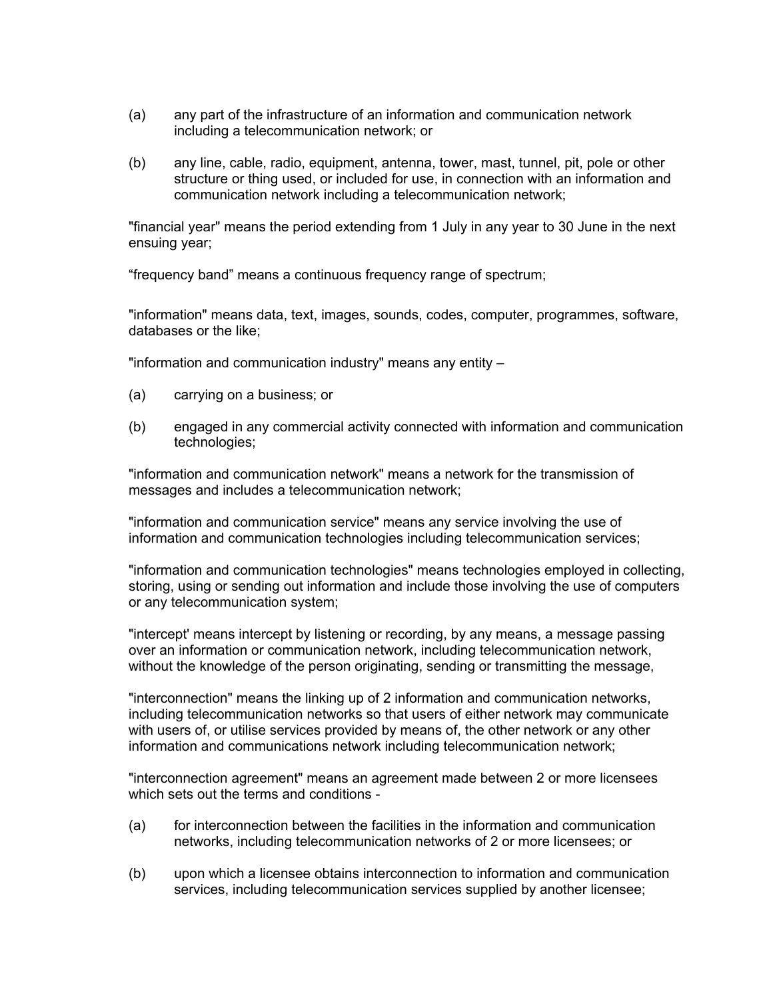- (a) any part of the infrastructure of an information and communication network including a telecommunication network; or
- (b) any line, cable, radio, equipment, antenna, tower, mast, tunnel, pit, pole or other structure or thing used, or included for use, in connection with an information and communication network including a telecommunication network;

"financial year" means the period extending from 1 July in any year to 30 June in the next ensuing year;

"frequency band" means a continuous frequency range of spectrum;

"information" means data, text, images, sounds, codes, computer, programmes, software, databases or the like;

"information and communication industry" means any entity –

- (a) carrying on a business; or
- (b) engaged in any commercial activity connected with information and communication technologies;

"information and communication network" means a network for the transmission of messages and includes a telecommunication network;

"information and communication service" means any service involving the use of information and communication technologies including telecommunication services;

"information and communication technologies" means technologies employed in collecting, storing, using or sending out information and include those involving the use of computers or any telecommunication system;

"intercept' means intercept by listening or recording, by any means, a message passing over an information or communication network, including telecommunication network, without the knowledge of the person originating, sending or transmitting the message,

"interconnection" means the linking up of 2 information and communication networks, including telecommunication networks so that users of either network may communicate with users of, or utilise services provided by means of, the other network or any other information and communications network including telecommunication network;

"interconnection agreement" means an agreement made between 2 or more licensees which sets out the terms and conditions -

- (a) for interconnection between the facilities in the information and communication networks, including telecommunication networks of 2 or more licensees; or
- (b) upon which a licensee obtains interconnection to information and communication services, including telecommunication services supplied by another licensee;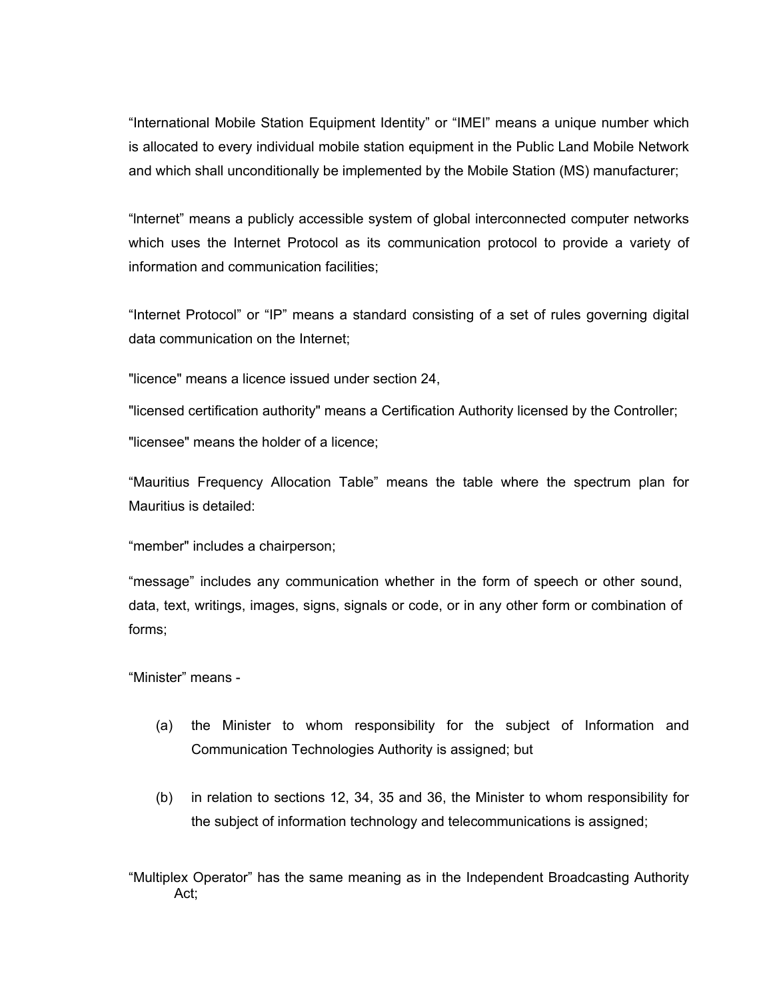"International Mobile Station Equipment Identity" or "IMEI" means a unique number which is allocated to every individual mobile station equipment in the Public Land Mobile Network and which shall unconditionally be implemented by the Mobile Station (MS) manufacturer;

"lnternet" means a publicly accessible system of global interconnected computer networks which uses the Internet Protocol as its communication protocol to provide a variety of information and communication facilities;

"Internet Protocol" or "IP" means a standard consisting of a set of rules governing digital data communication on the Internet;

"licence" means a licence issued under section 24,

"licensed certification authority" means a Certification Authority licensed by the Controller; "licensee" means the holder of a licence;

"Mauritius Frequency Allocation Table" means the table where the spectrum plan for Mauritius is detailed:

"member" includes a chairperson;

"message" includes any communication whether in the form of speech or other sound, data, text, writings, images, signs, signals or code, or in any other form or combination of forms;

"Minister" means -

- (a) the Minister to whom responsibility for the subject of Information and Communication Technologies Authority is assigned; but
- (b) in relation to sections 12, 34, 35 and 36, the Minister to whom responsibility for the subject of information technology and telecommunications is assigned;

"Multiplex Operator" has the same meaning as in the Independent Broadcasting Authority Act;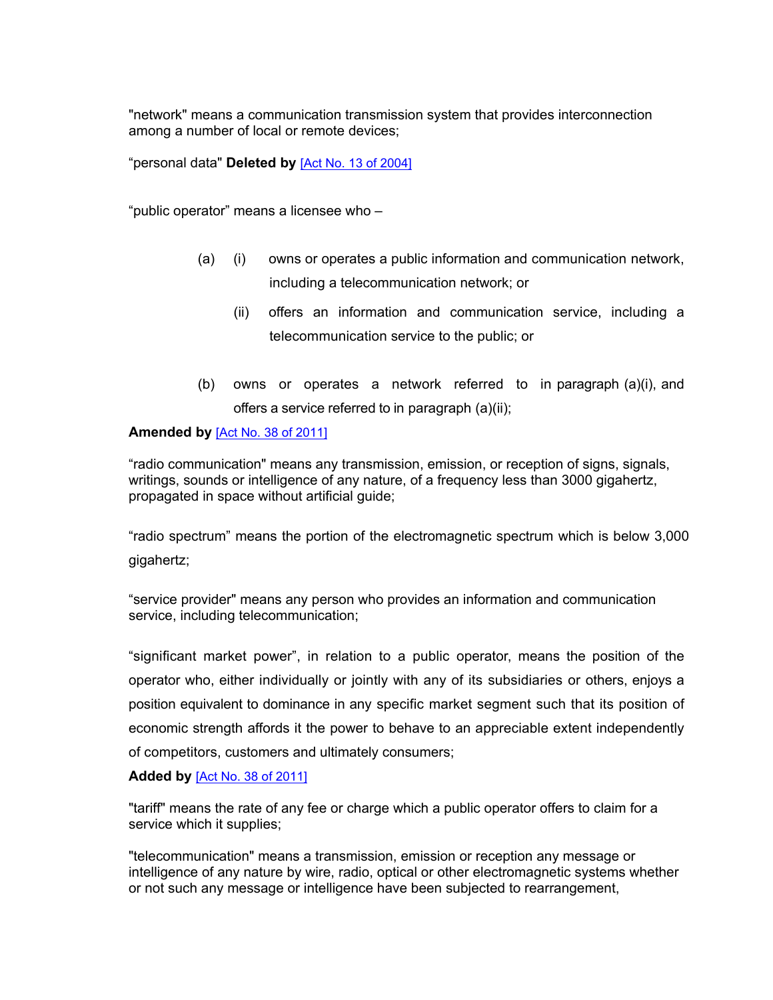"network" means a communication transmission system that provides interconnection among a number of local or remote devices;

"personal data" **Deleted by** [Act No. 13 of [2004\]](https://supremecourt.govmu.org/_layouts/CLIS.DMS/search/searchdocumentbykey.aspx?ID=%5BAct%20No.%2013%20of%202004%5D&list=Legislations)

"public operator" means a licensee who –

- (a) (i) owns or operates a public information and communication network, including a telecommunication network; or
	- (ii) offers an information and communication service, including a telecommunication service to the public; or
- (b) owns or operates a network referred to in paragraph (a)(i), and offers a service referred to in paragraph (a)(ii);

#### **Amended by** [Act No. 38 of [2011\]](https://supremecourt.govmu.org/_layouts/CLIS.DMS/search/searchdocumentbykey.aspx?ID=%5BAct%20No.%2038%20of%202011%5D&list=Legislations)

"radio communication" means any transmission, emission, or reception of signs, signals, writings, sounds or intelligence of any nature, of a frequency less than 3000 gigahertz, propagated in space without artificial guide;

"radio spectrum" means the portion of the electromagnetic spectrum which is below 3,000 gigahertz;

"service provider" means any person who provides an information and communication service, including telecommunication;

"significant market power", in relation to a public operator, means the position of the operator who, either individually or jointly with any of its subsidiaries or others, enjoys a position equivalent to dominance in any specific market segment such that its position of economic strength affords it the power to behave to an appreciable extent independently of competitors, customers and ultimately consumers;

#### **Added by** [Act No. 38 of [2011\]](https://supremecourt.govmu.org/_layouts/CLIS.DMS/search/searchdocumentbykey.aspx?ID=%5BAct%20No.%2038%20of%202011%5D&list=Legislations)

"tariff" means the rate of any fee or charge which a public operator offers to claim for a service which it supplies;

"telecommunication" means a transmission, emission or reception any message or intelligence of any nature by wire, radio, optical or other electromagnetic systems whether or not such any message or intelligence have been subjected to rearrangement,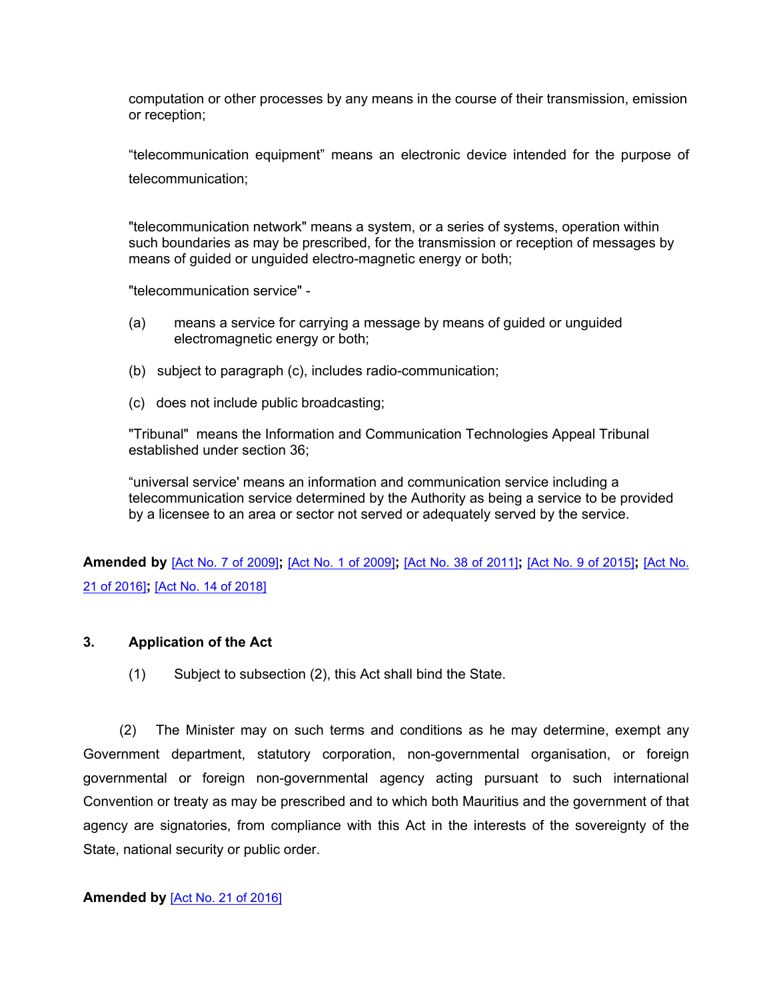computation or other processes by any means in the course of their transmission, emission or reception;

"telecommunication equipment" means an electronic device intended for the purpose of telecommunication;

"telecommunication network" means a system, or a series of systems, operation within such boundaries as may be prescribed, for the transmission or reception of messages by means of guided or unguided electro-magnetic energy or both;

"telecommunication service" -

- (a) means a service for carrying a message by means of guided or unguided electromagnetic energy or both;
- (b) subject to paragraph (c), includes radio-communication;
- (c) does not include public broadcasting;

"Tribunal" means the Information and Communication Technologies Appeal Tribunal established under section 36;

"universal service' means an information and communication service including a telecommunication service determined by the Authority as being a service to be provided by a licensee to an area or sector not served or adequately served by the service.

**Amended by** [Act No. 7 of [2009\]](https://supremecourt.govmu.org/_layouts/CLIS.DMS/search/searchdocumentbykey.aspx?ID=%5BAct%20No.%207%20of%202009%5D&list=Legislations)**;** [Act No. 1 of [2009\]](https://supremecourt.govmu.org/_layouts/CLIS.DMS/search/searchdocumentbykey.aspx?ID=%5BAct%20No.%201%20of%202009%5D&list=Legislations)**;** [Act No. 38 of [2011\]](https://supremecourt.govmu.org/_layouts/CLIS.DMS/search/searchdocumentbykey.aspx?ID=%5BAct%20No.%2038%20of%202011%5D&list=Legislations)**;** [Act No. 9 of [2015\]](https://supremecourt.govmu.org/_layouts/CLIS.DMS/search/searchdocumentbykey.aspx?ID=%5BAct%20No.%209%20of%202015%5D&list=Legislations)**;** [\[Act](https://supremecourt.govmu.org/_layouts/CLIS.DMS/search/searchdocumentbykey.aspx?ID=%5BAct%20No.%2021%20of%202016%5D&list=Legislations) No. 21 of [2016\]](https://supremecourt.govmu.org/_layouts/CLIS.DMS/search/searchdocumentbykey.aspx?ID=%5BAct%20No.%2021%20of%202016%5D&list=Legislations)**;** [Act No. 14 of [2018\]](https://supremecourt.govmu.org/_layouts/CLIS.DMS/search/searchdocumentbykey.aspx?ID=%5BAct%20No.%2014%20of%202018%5D&list=Legislations)

# **3. Application of the Act**

<span id="page-7-0"></span>(1) Subject to subsection (2), this Act shall bind the State.

(2) The Minister may on such terms and conditions as he may determine, exempt any Government department, statutory corporation, non-governmental organisation, or foreign governmental or foreign non-governmental agency acting pursuant to such international Convention or treaty as may be prescribed and to which both Mauritius and the government of that agency are signatories, from compliance with this Act in the interests of the sovereignty of the State, national security or public order.

#### **Amended by** [Act No. 21 of [2016\]](https://supremecourt.govmu.org/_layouts/CLIS.DMS/search/searchdocumentbykey.aspx?ID=%5BAct%20No.%2021%20of%202016%5D&list=Legislations)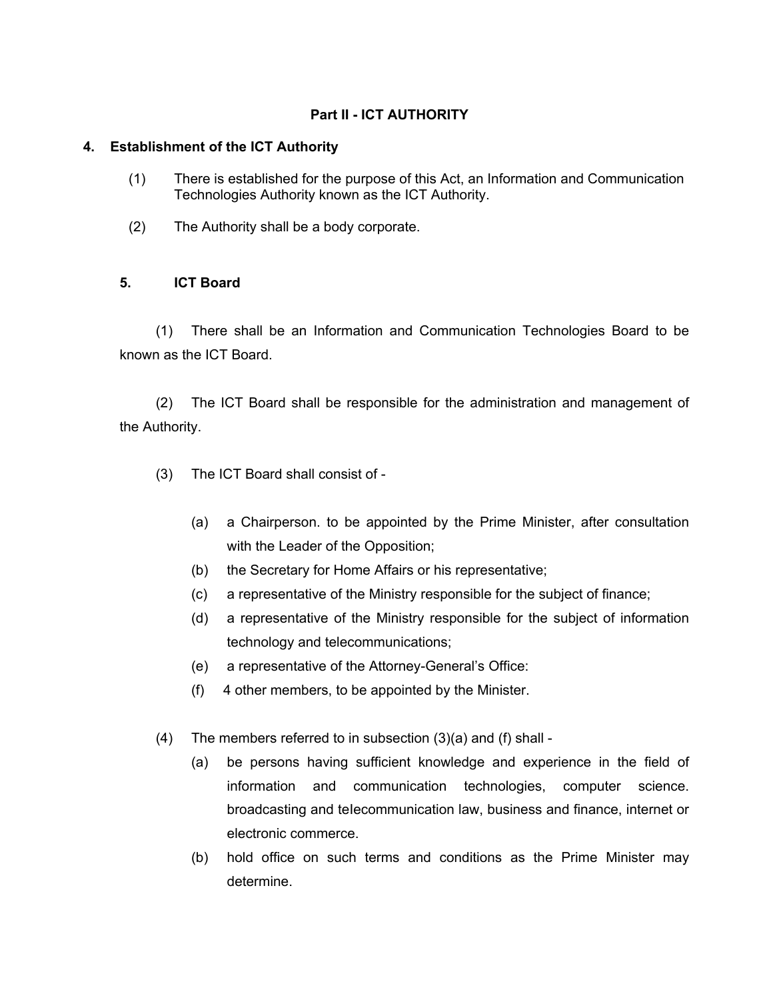# **Part II - ICT AUTHORITY**

# <span id="page-8-0"></span>**4. Establishment of the ICT Authority**

- (1) There is established for the purpose of this Act, an Information and Communication Technologies Authority known as the ICT Authority.
- (2) The Authority shall be a body corporate.

# <span id="page-8-1"></span>**5. ICT Board**

(1) There shall be an Information and Communication Technologies Board to be known as the ICT Board.

(2) The ICT Board shall be responsible for the administration and management of the Authority.

- (3) The ICT Board shall consist of
	- (a) a Chairperson. to be appointed by the Prime Minister, after consultation with the Leader of the Opposition;
	- (b) the Secretary for Home Affairs or his representative;
	- (c) a representative of the Ministry responsible for the subject of finance;
	- (d) a representative of the Ministry responsible for the subject of information technology and telecommunications;
	- (e) a representative of the Attorney-General's Office:
	- (f) 4 other members, to be appointed by the Minister.
- (4) The members referred to in subsection  $(3)(a)$  and  $(f)$  shall -
	- (a) be persons having sufficient knowledge and experience in the field of information and communication technologies, computer science. broadcasting and teIecommunication law, business and finance, internet or electronic commerce.
	- (b) hold office on such terms and conditions as the Prime Minister may determine.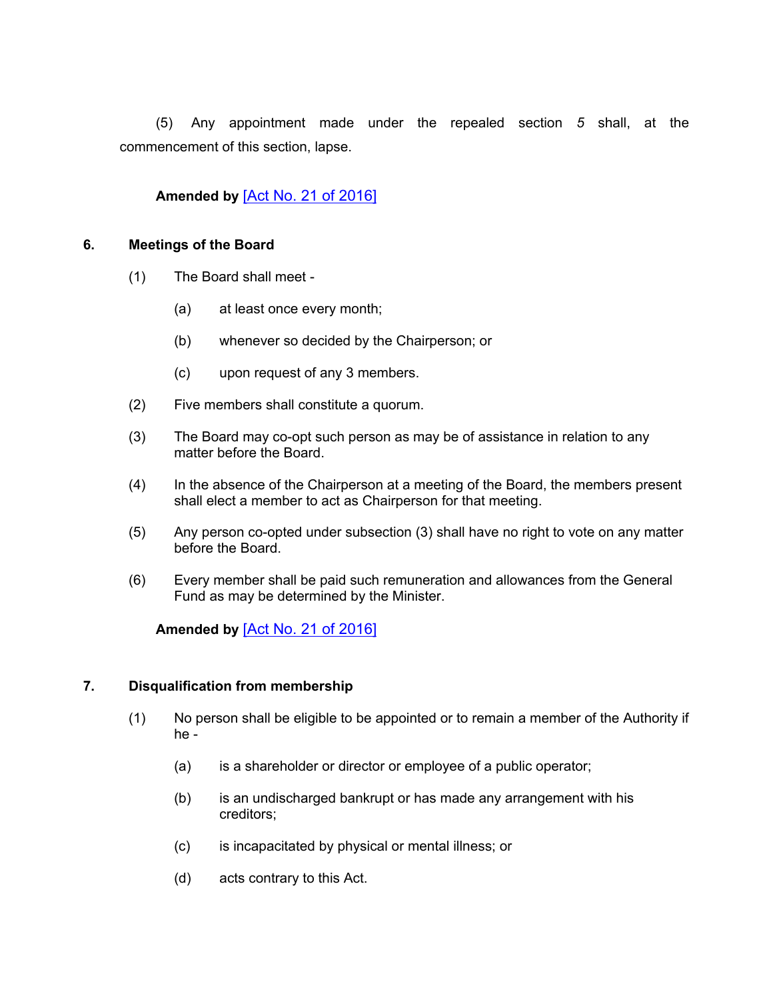(5) Any appointment made under the repealed section *5* shall, at the commencement of this section, lapse.

# **Amended by** [Act No. 21 of [2016\]](https://supremecourt.govmu.org/_layouts/CLIS.DMS/search/searchdocumentbykey.aspx?ID=%5BAct%20No.%2021%20of%202016%5D&list=Legislations)

#### **6. Meetings of the Board**

- <span id="page-9-0"></span>(1) The Board shall meet -
	- (a) at least once every month;
	- (b) whenever so decided by the Chairperson; or
	- (c) upon request of any 3 members.
- (2) Five members shall constitute a quorum.
- (3) The Board may co-opt such person as may be of assistance in relation to any matter before the Board.
- (4) In the absence of the Chairperson at a meeting of the Board, the members present shall elect a member to act as Chairperson for that meeting.
- (5) Any person co-opted under subsection (3) shall have no right to vote on any matter before the Board.
- (6) Every member shall be paid such remuneration and allowances from the General Fund as may be determined by the Minister.

**Amended by** [Act No. 21 of [2016\]](https://supremecourt.govmu.org/_layouts/CLIS.DMS/search/searchdocumentbykey.aspx?ID=%5BAct%20No.%2021%20of%202016%5D&list=Legislations)

#### **7. Disqualification from membership**

- <span id="page-9-1"></span>(1) No person shall be eligible to be appointed or to remain a member of the Authority if he -
	- (a) is a shareholder or director or employee of a public operator;
	- (b) is an undischarged bankrupt or has made any arrangement with his creditors;
	- (c) is incapacitated by physical or mental illness; or
	- (d) acts contrary to this Act.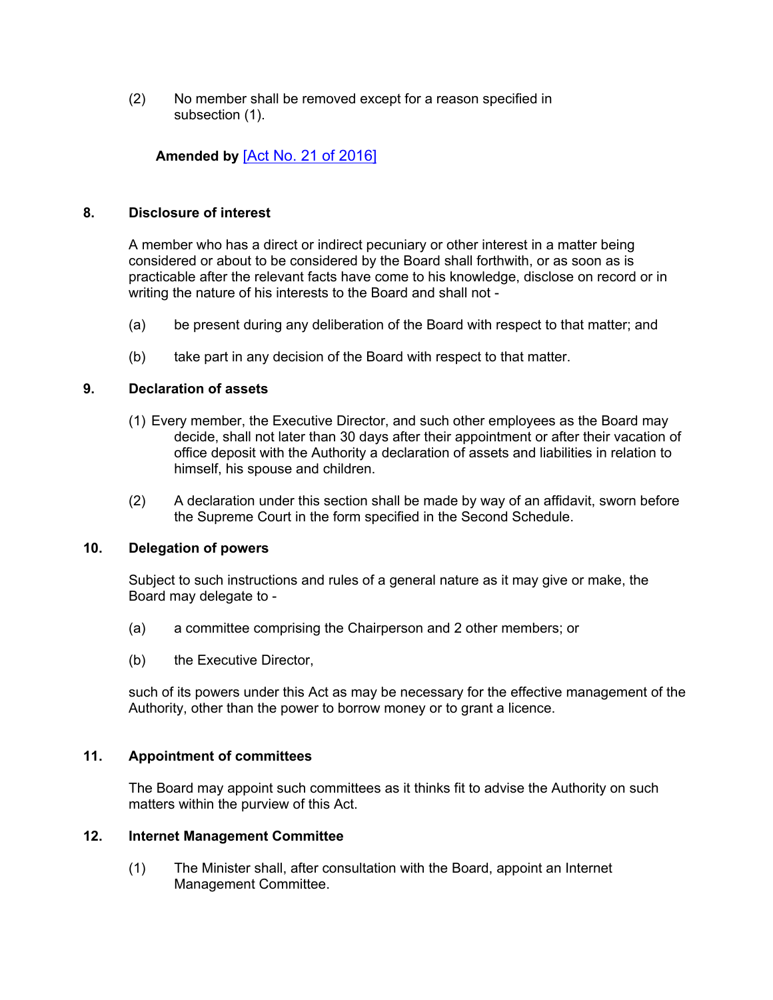(2) No member shall be removed except for a reason specified in subsection (1).

# **Amended by** [Act No. 21 of [2016\]](https://supremecourt.govmu.org/_layouts/CLIS.DMS/search/searchdocumentbykey.aspx?ID=%5BAct%20No.%2021%20of%202016%5D&list=Legislations)

#### **8. Disclosure of interest**

<span id="page-10-0"></span>A member who has a direct or indirect pecuniary or other interest in a matter being considered or about to be considered by the Board shall forthwith, or as soon as is practicable after the relevant facts have come to his knowledge, disclose on record or in writing the nature of his interests to the Board and shall not -

- (a) be present during any deliberation of the Board with respect to that matter; and
- <span id="page-10-1"></span>(b) take part in any decision of the Board with respect to that matter.

# **9. Declaration of assets**

- (1) Every member, the Executive Director, and such other employees as the Board may decide, shall not later than 30 days after their appointment or after their vacation of office deposit with the Authority a declaration of assets and liabilities in relation to himself, his spouse and children.
- (2) A declaration under this section shall be made by way of an affidavit, sworn before the Supreme Court in the form specified in the Second Schedule.

#### **10. Delegation of powers**

<span id="page-10-2"></span>Subject to such instructions and rules of a general nature as it may give or make, the Board may delegate to -

- (a) a committee comprising the Chairperson and 2 other members; or
- (b) the Executive Director,

such of its powers under this Act as may be necessary for the effective management of the Authority, other than the power to borrow money or to grant a licence.

#### **11. Appointment of committees**

<span id="page-10-3"></span>The Board may appoint such committees as it thinks fit to advise the Authority on such matters within the purview of this Act.

#### **12. Internet Management Committee**

<span id="page-10-4"></span>(1) The Minister shall, after consultation with the Board, appoint an Internet Management Committee.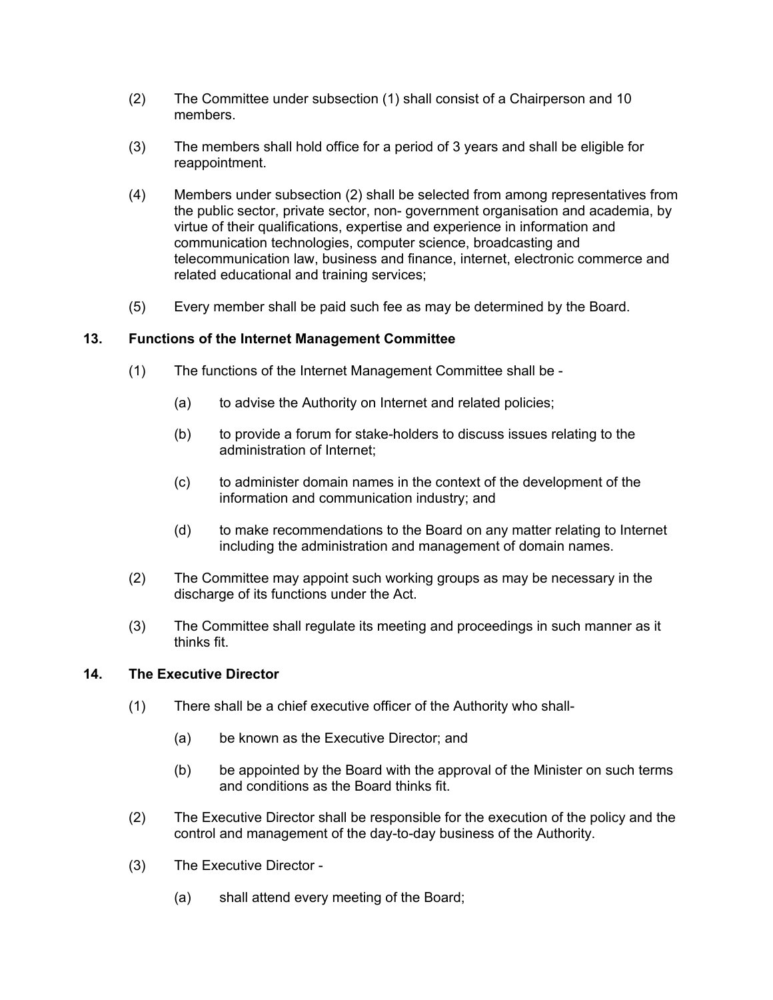- (2) The Committee under subsection (1) shall consist of a Chairperson and 10 members.
- (3) The members shall hold office for a period of 3 years and shall be eligible for reappointment.
- (4) Members under subsection (2) shall be selected from among representatives from the public sector, private sector, non- government organisation and academia, by virtue of their qualifications, expertise and experience in information and communication technologies, computer science, broadcasting and telecommunication law, business and finance, internet, electronic commerce and related educational and training services;
- <span id="page-11-0"></span>(5) Every member shall be paid such fee as may be determined by the Board.

# **13. Functions of the Internet Management Committee**

- (1) The functions of the Internet Management Committee shall be
	- (a) to advise the Authority on Internet and related policies;
	- (b) to provide a forum for stake-holders to discuss issues relating to the administration of Internet;
	- (c) to administer domain names in the context of the development of the information and communication industry; and
	- (d) to make recommendations to the Board on any matter relating to Internet including the administration and management of domain names.
- (2) The Committee may appoint such working groups as may be necessary in the discharge of its functions under the Act.
- (3) The Committee shall regulate its meeting and proceedings in such manner as it thinks fit.

# **14. The Executive Director**

- <span id="page-11-1"></span>(1) There shall be a chief executive officer of the Authority who shall-
	- (a) be known as the Executive Director; and
	- (b) be appointed by the Board with the approval of the Minister on such terms and conditions as the Board thinks fit.
- (2) The Executive Director shall be responsible for the execution of the policy and the control and management of the day-to-day business of the Authority.
- (3) The Executive Director
	- (a) shall attend every meeting of the Board;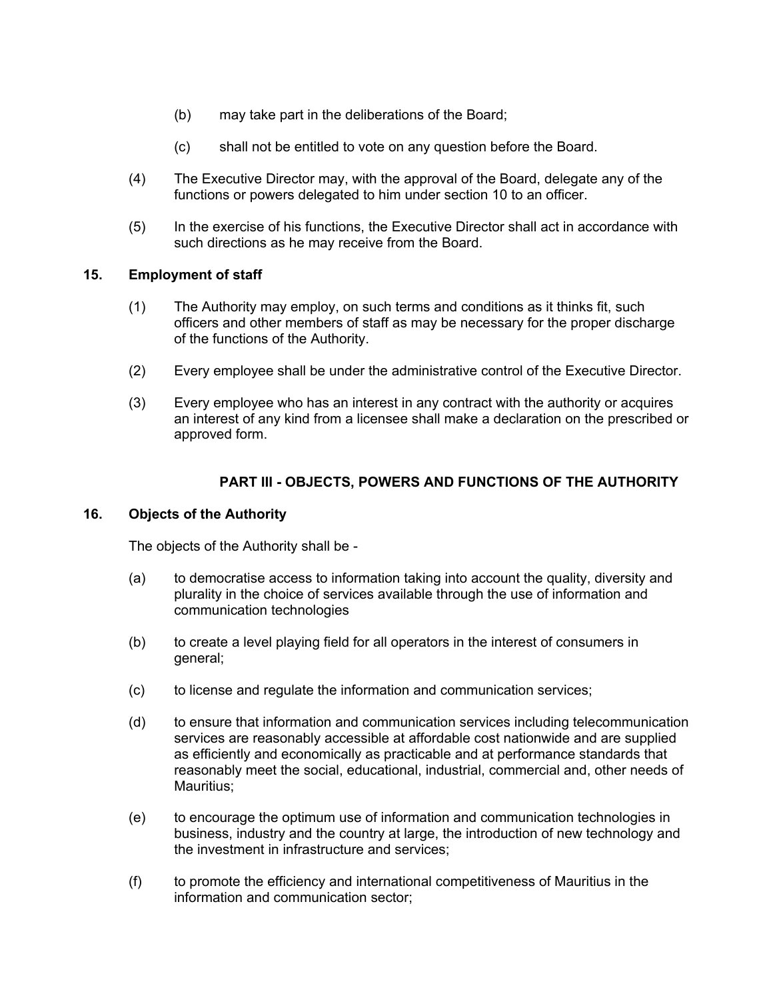- (b) may take part in the deliberations of the Board;
- (c) shall not be entitled to vote on any question before the Board.
- (4) The Executive Director may, with the approval of the Board, delegate any of the functions or powers delegated to him under section 10 to an officer.
- (5) In the exercise of his functions, the Executive Director shall act in accordance with such directions as he may receive from the Board.

# **15. Employment of staff**

- <span id="page-12-0"></span>(1) The Authority may employ, on such terms and conditions as it thinks fit, such officers and other members of staff as may be necessary for the proper discharge of the functions of the Authority.
- (2) Every employee shall be under the administrative control of the Executive Director.
- (3) Every employee who has an interest in any contract with the authority or acquires an interest of any kind from a licensee shall make a declaration on the prescribed or approved form.

# **PART III - OBJECTS, POWERS AND FUNCTIONS OF THE AUTHORITY**

# **16. Objects of the Authority**

<span id="page-12-1"></span>The objects of the Authority shall be -

- (a) to democratise access to information taking into account the quality, diversity and plurality in the choice of services available through the use of information and communication technologies
- (b) to create a level playing field for all operators in the interest of consumers in general;
- (c) to license and regulate the information and communication services;
- (d) to ensure that information and communication services including telecommunication services are reasonably accessible at affordable cost nationwide and are supplied as efficiently and economically as practicable and at performance standards that reasonably meet the social, educational, industrial, commercial and, other needs of Mauritius:
- (e) to encourage the optimum use of information and communication technologies in business, industry and the country at large, the introduction of new technology and the investment in infrastructure and services;
- (f) to promote the efficiency and international competitiveness of Mauritius in the information and communication sector;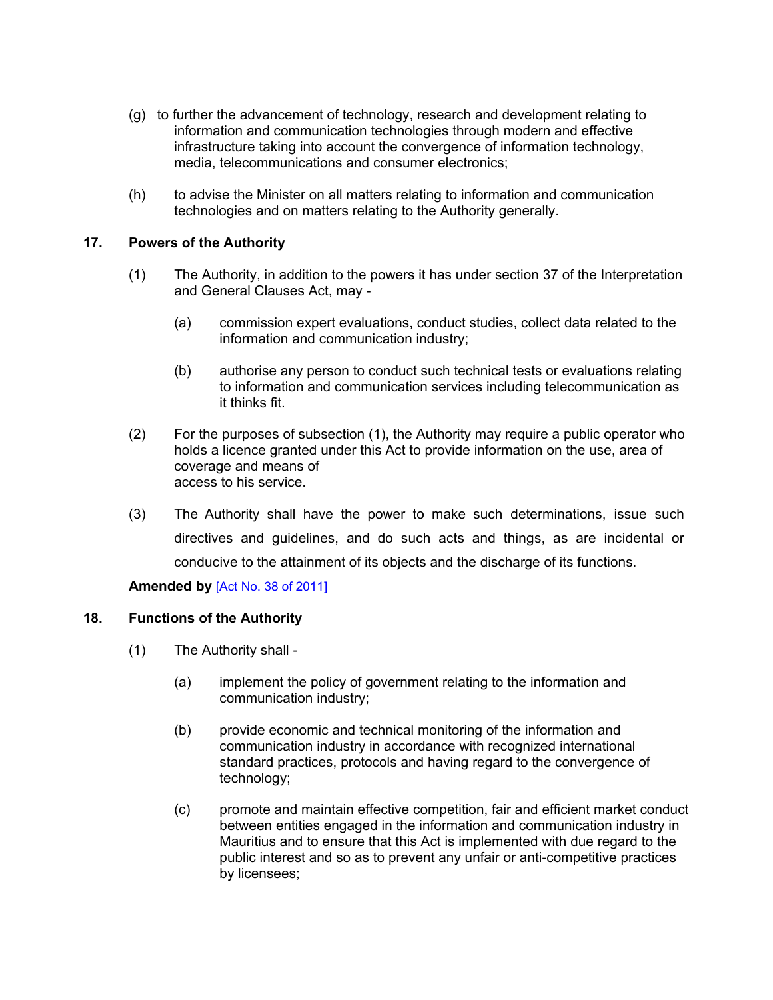- (g) to further the advancement of technology, research and development relating to information and communication technologies through modern and effective infrastructure taking into account the convergence of information technology, media, telecommunications and consumer electronics;
- (h) to advise the Minister on all matters relating to information and communication technologies and on matters relating to the Authority generally.

# **17. Powers of the Authority**

- <span id="page-13-0"></span>(1) The Authority, in addition to the powers it has under section 37 of the Interpretation and General Clauses Act, may -
	- (a) commission expert evaluations, conduct studies, collect data related to the information and communication industry;
	- (b) authorise any person to conduct such technical tests or evaluations relating to information and communication services including telecommunication as it thinks fit.
- (2) For the purposes of subsection (1), the Authority may require a public operator who holds a licence granted under this Act to provide information on the use, area of coverage and means of access to his service.
- (3) The Authority shall have the power to make such determinations, issue such directives and guidelines, and do such acts and things, as are incidental or conducive to the attainment of its objects and the discharge of its functions.

# <span id="page-13-1"></span>**Amended by** [Act No. 38 of [2011\]](https://supremecourt.govmu.org/_layouts/CLIS.DMS/search/searchdocumentbykey.aspx?ID=%5BAct%20No.%2038%20of%202011%5D&list=Legislations)

#### **18. Functions of the Authority**

- (1) The Authority shall
	- (a) implement the policy of government relating to the information and communication industry;
	- (b) provide economic and technical monitoring of the information and communication industry in accordance with recognized international standard practices, protocols and having regard to the convergence of technology;
	- (c) promote and maintain effective competition, fair and efficient market conduct between entities engaged in the information and communication industry in Mauritius and to ensure that this Act is implemented with due regard to the public interest and so as to prevent any unfair or anti-competitive practices by licensees;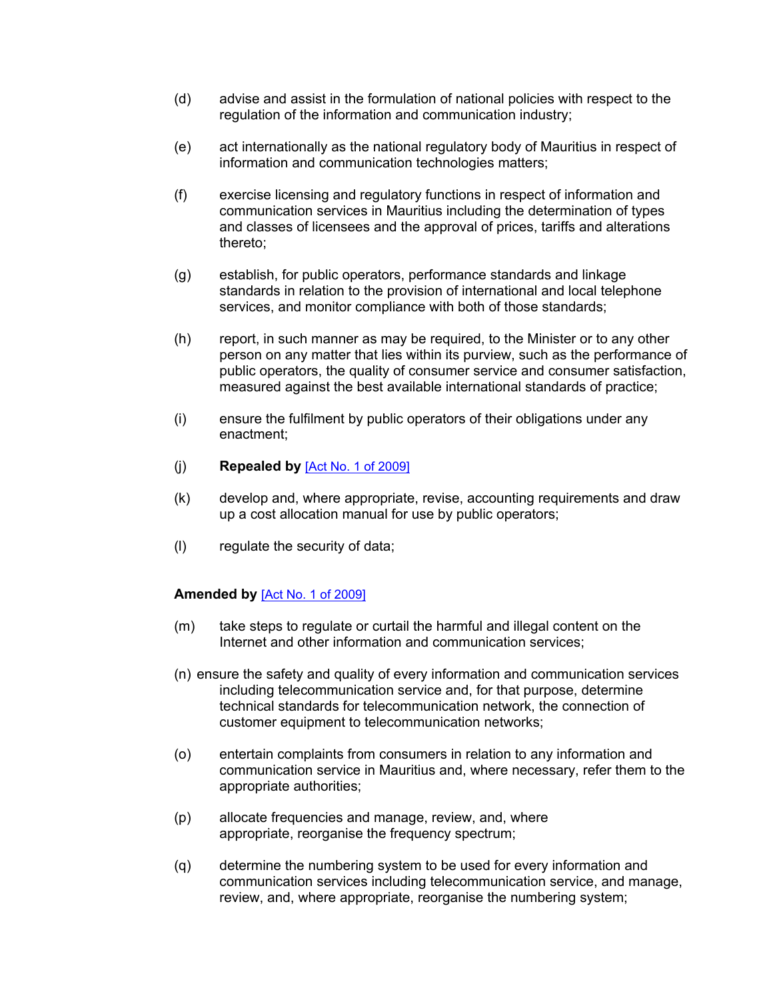- (d) advise and assist in the formulation of national policies with respect to the regulation of the information and communication industry;
- (e) act internationally as the national regulatory body of Mauritius in respect of information and communication technologies matters;
- (f) exercise licensing and regulatory functions in respect of information and communication services in Mauritius including the determination of types and classes of licensees and the approval of prices, tariffs and alterations thereto;
- (g) establish, for public operators, performance standards and linkage standards in relation to the provision of international and local telephone services, and monitor compliance with both of those standards;
- (h) report, in such manner as may be required, to the Minister or to any other person on any matter that lies within its purview, such as the performance of public operators, the quality of consumer service and consumer satisfaction, measured against the best available international standards of practice;
- (i) ensure the fulfilment by public operators of their obligations under any enactment;
- (j) **Repealed by** [Act No. 1 of [2009\]](https://supremecourt.govmu.org/_layouts/CLIS.DMS/search/searchdocumentbykey.aspx?ID=%5BAct%20No.%201%20of%202009%5D&list=Legislations)
- (k) develop and, where appropriate, revise, accounting requirements and draw up a cost allocation manual for use by public operators;
- (l) regulate the security of data;

#### **Amended by** [Act No. 1 of [2009\]](https://supremecourt.govmu.org/_layouts/CLIS.DMS/search/searchdocumentbykey.aspx?ID=%5BAct%20No.%201%20of%202009%5D&list=Legislations)

- (m) take steps to regulate or curtail the harmful and illegal content on the Internet and other information and communication services;
- (n) ensure the safety and quality of every information and communication services including telecommunication service and, for that purpose, determine technical standards for telecommunication network, the connection of customer equipment to telecommunication networks;
- (o) entertain complaints from consumers in relation to any information and communication service in Mauritius and, where necessary, refer them to the appropriate authorities;
- (p) allocate frequencies and manage, review, and, where appropriate, reorganise the frequency spectrum;
- (q) determine the numbering system to be used for every information and communication services including telecommunication service, and manage, review, and, where appropriate, reorganise the numbering system;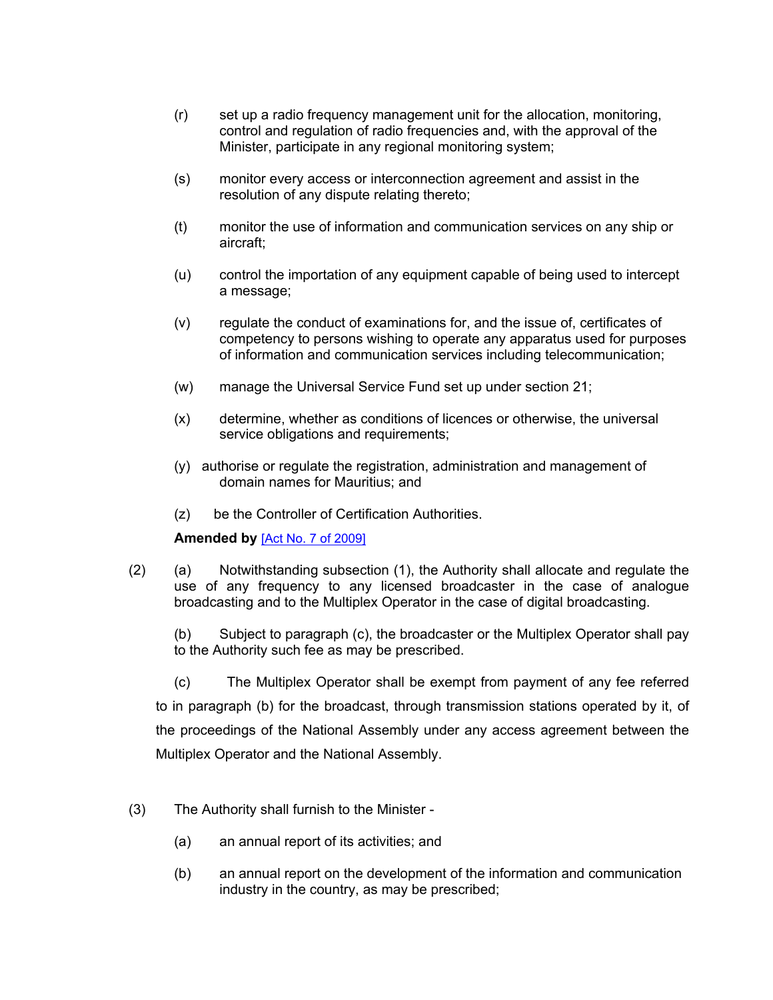- (r) set up a radio frequency management unit for the allocation, monitoring, control and regulation of radio frequencies and, with the approval of the Minister, participate in any regional monitoring system;
- (s) monitor every access or interconnection agreement and assist in the resolution of any dispute relating thereto;
- (t) monitor the use of information and communication services on any ship or aircraft;
- (u) control the importation of any equipment capable of being used to intercept a message;
- (v) regulate the conduct of examinations for, and the issue of, certificates of competency to persons wishing to operate any apparatus used for purposes of information and communication services including telecommunication;
- (w) manage the Universal Service Fund set up under section 21;
- (x) determine, whether as conditions of licences or otherwise, the universal service obligations and requirements;
- (y) authorise or regulate the registration, administration and management of domain names for Mauritius; and
- (z) be the Controller of Certification Authorities.

# **Amended by** [Act No. 7 of [2009\]](https://supremecourt.govmu.org/_layouts/CLIS.DMS/search/searchdocumentbykey.aspx?ID=%5BAct%20No.%207%20of%202009%5D&list=Legislations)

(2) (a) Notwithstanding subsection (1), the Authority shall allocate and regulate the use of any frequency to any licensed broadcaster in the case of analogue broadcasting and to the Multiplex Operator in the case of digital broadcasting.

(b) Subject to paragraph (c), the broadcaster or the Multiplex Operator shall pay to the Authority such fee as may be prescribed.

(c) The Multiplex Operator shall be exempt from payment of any fee referred to in paragraph (b) for the broadcast, through transmission stations operated by it, of the proceedings of the National Assembly under any access agreement between the Multiplex Operator and the National Assembly.

- (3) The Authority shall furnish to the Minister
	- (a) an annual report of its activities; and
	- (b) an annual report on the development of the information and communication industry in the country, as may be prescribed;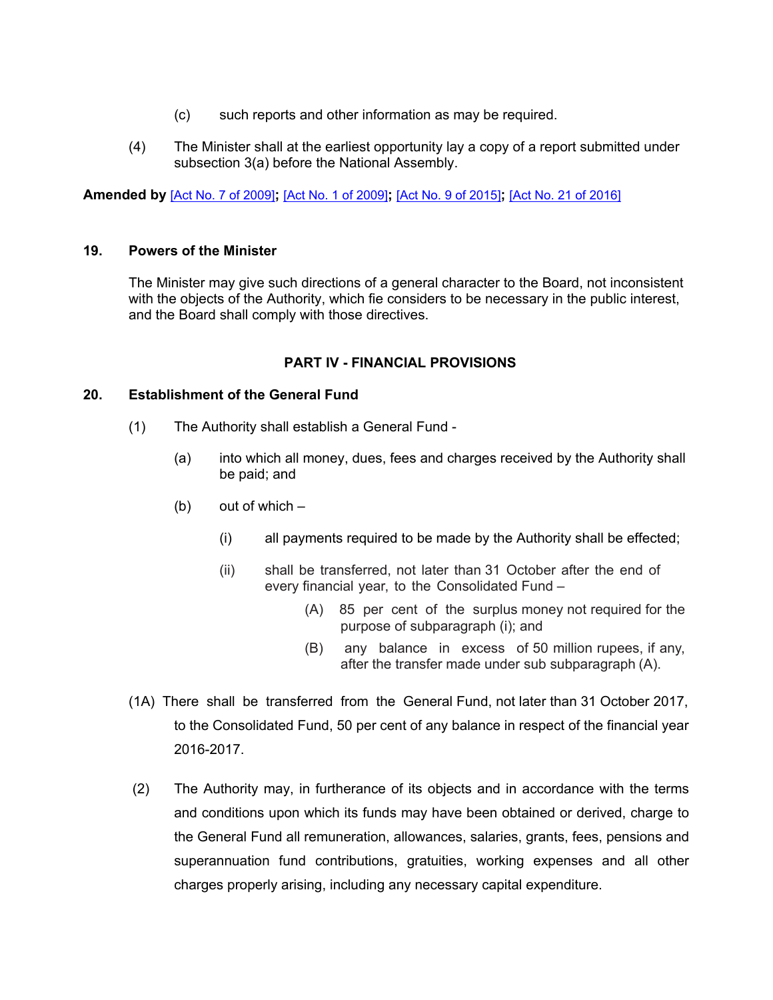- (c) such reports and other information as may be required.
- (4) The Minister shall at the earliest opportunity lay a copy of a report submitted under subsection 3(a) before the National Assembly.

**Amended by** [Act No. 7 of [2009\]](https://supremecourt.govmu.org/_layouts/CLIS.DMS/search/searchdocumentbykey.aspx?ID=%5BAct%20No.%207%20of%202009%5D&list=Legislations)**;** [Act No. 1 of [2009\]](https://supremecourt.govmu.org/_layouts/CLIS.DMS/search/searchdocumentbykey.aspx?ID=%5BAct%20No.%201%20of%202009%5D&list=Legislations)**;** [Act No. 9 of [2015\]](https://supremecourt.govmu.org/_layouts/CLIS.DMS/search/searchdocumentbykey.aspx?ID=%5BAct%20No.%209%20of%202015%5D&list=Legislations)**;** [Act No. 21 of [2016\]](https://supremecourt.govmu.org/_layouts/CLIS.DMS/search/searchdocumentbykey.aspx?ID=%5BAct%20No.%2021%20of%202016%5D&list=Legislations)

#### **19. Powers of the Minister**

<span id="page-16-0"></span>The Minister may give such directions of a general character to the Board, not inconsistent with the objects of the Authority, which fie considers to be necessary in the public interest, and the Board shall comply with those directives.

#### **PART IV - FINANCIAL PROVISIONS**

#### **20. Establishment of the General Fund**

- <span id="page-16-1"></span>(1) The Authority shall establish a General Fund -
	- (a) into which all money, dues, fees and charges received by the Authority shall be paid; and
	- (b) out of which  $-$ 
		- (i) all payments required to be made by the Authority shall be effected;
		- (ii) shall be transferred, not later than 31 October after the end of every financial year, to the Consolidated Fund –
			- (A) 85 per cent of the surplus money not required for the purpose of subparagraph (i); and
			- (B) any balance in excess of 50 million rupees, if any, after the transfer made under sub subparagraph (A).
- (1A) There shall be transferred from the General Fund, not later than 31 October 2017, to the Consolidated Fund, 50 per cent of any balance in respect of the financial year 2016-2017.
- (2) The Authority may, in furtherance of its objects and in accordance with the terms and conditions upon which its funds may have been obtained or derived, charge to the General Fund all remuneration, allowances, salaries, grants, fees, pensions and superannuation fund contributions, gratuities, working expenses and all other charges properly arising, including any necessary capital expenditure.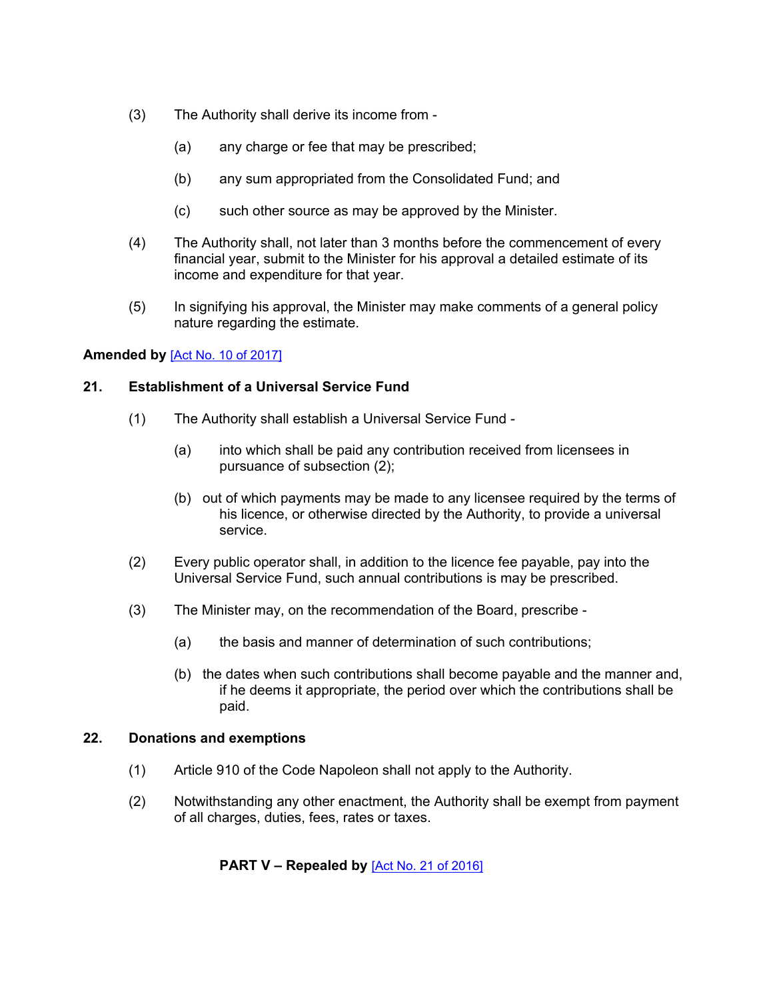- (3) The Authority shall derive its income from
	- (a) any charge or fee that may be prescribed;
	- (b) any sum appropriated from the Consolidated Fund; and
	- (c) such other source as may be approved by the Minister.
- (4) The Authority shall, not later than 3 months before the commencement of every financial year, submit to the Minister for his approval a detailed estimate of its income and expenditure for that year.
- (5) In signifying his approval, the Minister may make comments of a general policy nature regarding the estimate.

#### **Amended by** [Act No. 10 of [2017\]](https://supremecourt.govmu.org/_layouts/CLIS.DMS/search/searchdocumentbykey.aspx?ID=%5BAct%20No.%2010%20of%202017%5D&list=Legislations)

# **21. Establishment of a Universal Service Fund**

- <span id="page-17-0"></span>(1) The Authority shall establish a Universal Service Fund -
	- (a) into which shall be paid any contribution received from licensees in pursuance of subsection (2);
	- (b) out of which payments may be made to any licensee required by the terms of his licence, or otherwise directed by the Authority, to provide a universal service.
- (2) Every public operator shall, in addition to the licence fee payable, pay into the Universal Service Fund, such annual contributions is may be prescribed.
- (3) The Minister may, on the recommendation of the Board, prescribe
	- (a) the basis and manner of determination of such contributions;
	- (b) the dates when such contributions shall become payable and the manner and, if he deems it appropriate, the period over which the contributions shall be paid.

#### **22. Donations and exemptions**

- <span id="page-17-1"></span>(1) Article 910 of the Code Napoleon shall not apply to the Authority.
- (2) Notwithstanding any other enactment, the Authority shall be exempt from payment of all charges, duties, fees, rates or taxes.

# **PART V – Repealed by** [Act No. 21 of [2016\]](https://supremecourt.govmu.org/_layouts/CLIS.DMS/search/searchdocumentbykey.aspx?ID=%5BAct%20No.%2021%20of%202016%5D&list=Legislations)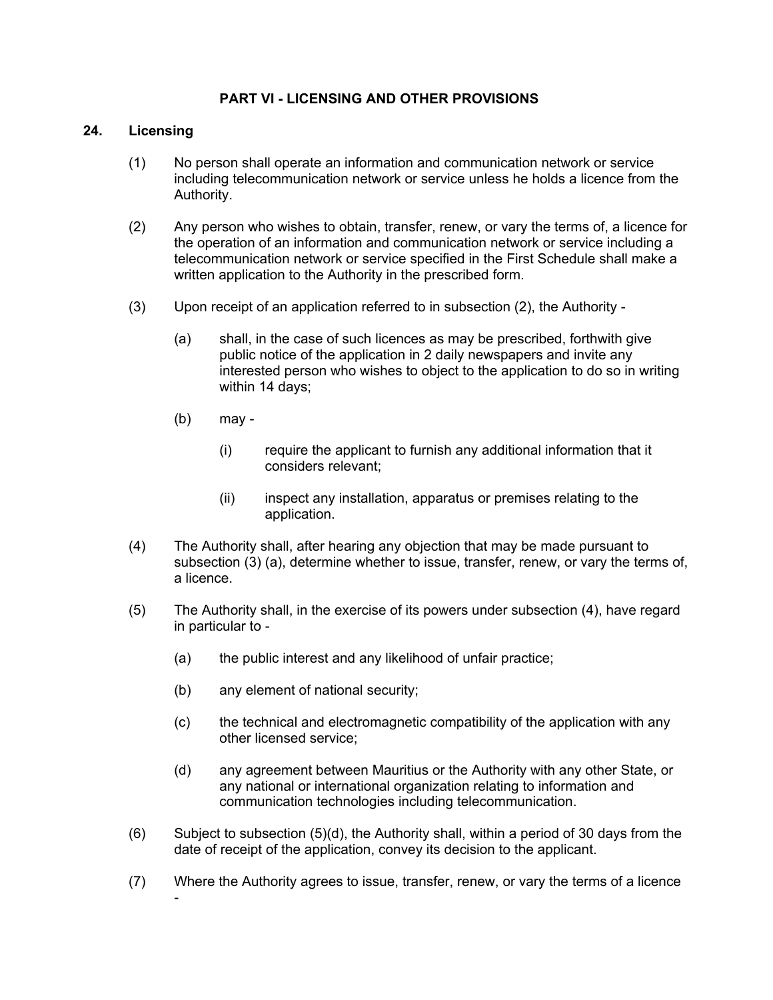# **PART VI - LICENSING AND OTHER PROVISIONS**

#### **24. Licensing**

- <span id="page-18-0"></span>(1) No person shall operate an information and communication network or service including telecommunication network or service unless he holds a licence from the Authority.
- (2) Any person who wishes to obtain, transfer, renew, or vary the terms of, a licence for the operation of an information and communication network or service including a telecommunication network or service specified in the First Schedule shall make a written application to the Authority in the prescribed form.
- (3) Upon receipt of an application referred to in subsection (2), the Authority
	- (a) shall, in the case of such licences as may be prescribed, forthwith give public notice of the application in 2 daily newspapers and invite any interested person who wishes to object to the application to do so in writing within 14 days;
	- (b) may
		- (i) require the applicant to furnish any additional information that it considers relevant;
		- (ii) inspect any installation, apparatus or premises relating to the application.
- (4) The Authority shall, after hearing any objection that may be made pursuant to subsection (3) (a), determine whether to issue, transfer, renew, or vary the terms of, a licence.
- (5) The Authority shall, in the exercise of its powers under subsection (4), have regard in particular to -
	- (a) the public interest and any likelihood of unfair practice;
	- (b) any element of national security;
	- (c) the technical and electromagnetic compatibility of the application with any other licensed service;
	- (d) any agreement between Mauritius or the Authority with any other State, or any national or international organization relating to information and communication technologies including telecommunication.
- (6) Subject to subsection (5)(d), the Authority shall, within a period of 30 days from the date of receipt of the application, convey its decision to the applicant.
- (7) Where the Authority agrees to issue, transfer, renew, or vary the terms of a licence -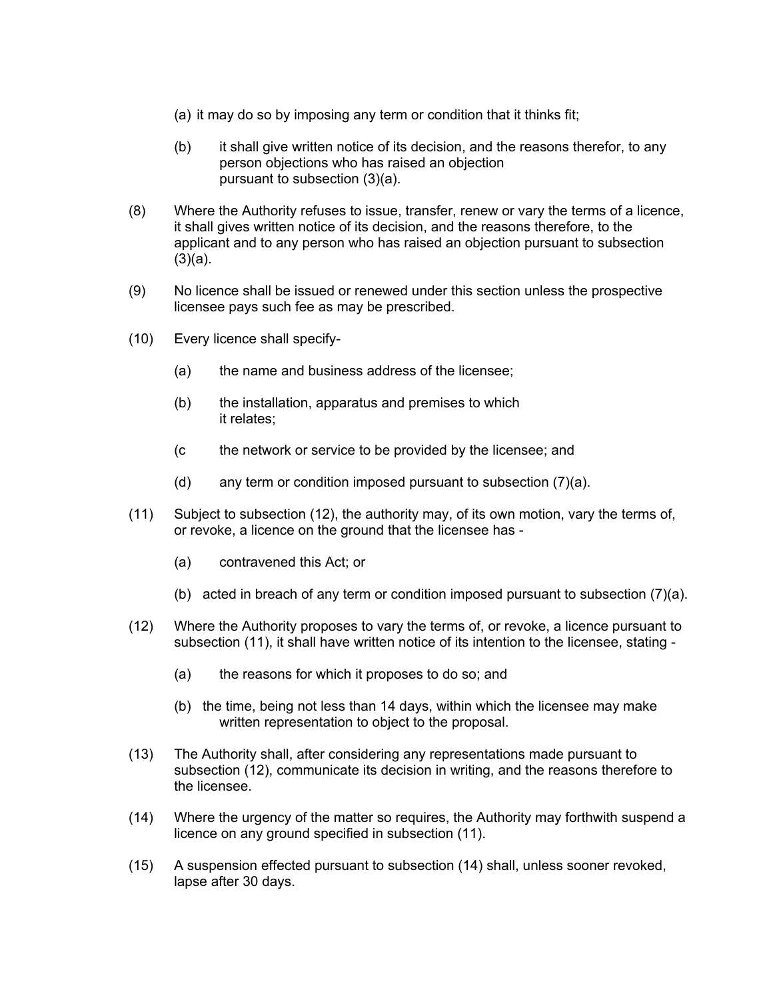- (a) it may do so by imposing any term or condition that it thinks fit;
- (b) it shall give written notice of its decision, and the reasons therefor, to any person objections who has raised an objection pursuant to subsection (3)(a).
- (8) Where the Authority refuses to issue, transfer, renew or vary the terms of a licence, it shall gives written notice of its decision, and the reasons therefore, to the applicant and to any person who has raised an objection pursuant to subsection  $(3)(a)$ .
- (9) No licence shall be issued or renewed under this section unless the prospective licensee pays such fee as may be prescribed.
- (10) Every licence shall specify-
	- (a) the name and business address of the licensee;
	- (b) the installation, apparatus and premises to which it relates;
	- (c the network or service to be provided by the licensee; and
	- (d) any term or condition imposed pursuant to subsection (7)(a).
- (11) Subject to subsection (12), the authority may, of its own motion, vary the terms of, or revoke, a licence on the ground that the licensee has -
	- (a) contravened this Act; or
	- (b) acted in breach of any term or condition imposed pursuant to subsection (7)(a).
- (12) Where the Authority proposes to vary the terms of, or revoke, a licence pursuant to subsection (11), it shall have written notice of its intention to the licensee, stating -
	- (a) the reasons for which it proposes to do so; and
	- (b) the time, being not less than 14 days, within which the licensee may make written representation to object to the proposal.
- (13) The Authority shall, after considering any representations made pursuant to subsection (12), communicate its decision in writing, and the reasons therefore to the licensee.
- (14) Where the urgency of the matter so requires, the Authority may forthwith suspend a licence on any ground specified in subsection (11).
- (15) A suspension effected pursuant to subsection (14) shall, unless sooner revoked, lapse after 30 days.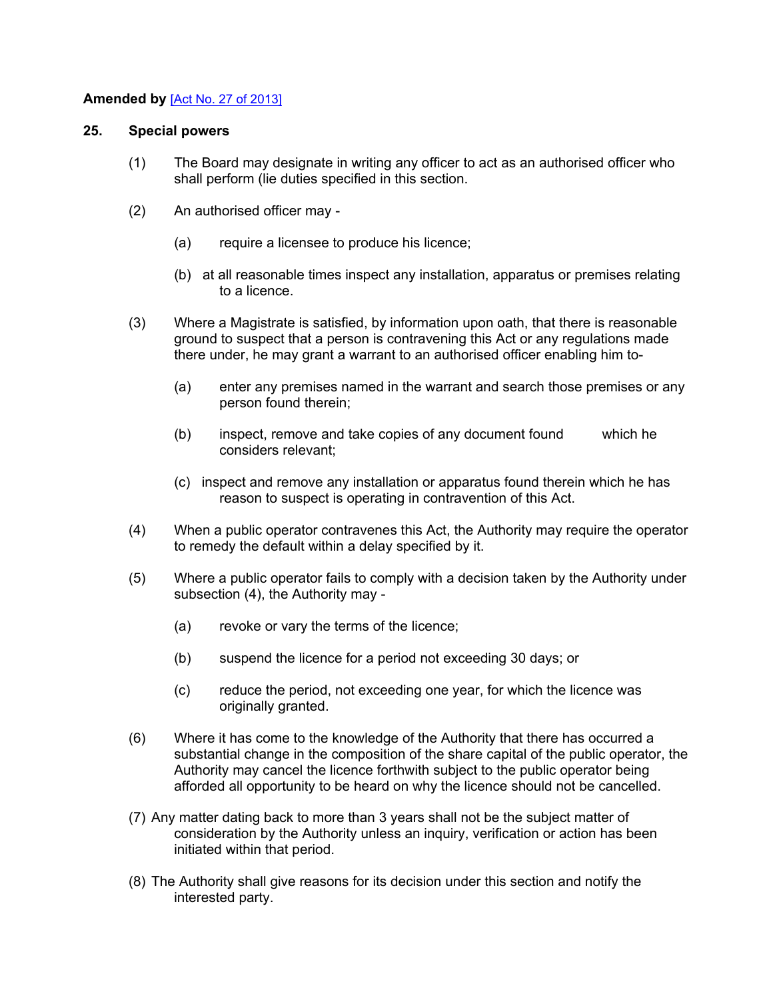# **Amended by** [Act No. 27 of [2013\]](https://supremecourt.govmu.org/_layouts/CLIS.DMS/search/searchdocumentbykey.aspx?ID=%5BAct%20No.%2027%20of%202013%5D&list=Legislations)

#### **25. Special powers**

- <span id="page-20-0"></span>(1) The Board may designate in writing any officer to act as an authorised officer who shall perform (lie duties specified in this section.
- (2) An authorised officer may
	- (a) require a licensee to produce his licence;
	- (b) at all reasonable times inspect any installation, apparatus or premises relating to a licence.
- (3) Where a Magistrate is satisfied, by information upon oath, that there is reasonable ground to suspect that a person is contravening this Act or any regulations made there under, he may grant a warrant to an authorised officer enabling him to-
	- (a) enter any premises named in the warrant and search those premises or any person found therein;
	- (b) inspect, remove and take copies of any document found which he considers relevant;
	- (c) inspect and remove any installation or apparatus found therein which he has reason to suspect is operating in contravention of this Act.
- (4) When a public operator contravenes this Act, the Authority may require the operator to remedy the default within a delay specified by it.
- (5) Where a public operator fails to comply with a decision taken by the Authority under subsection (4), the Authority may -
	- (a) revoke or vary the terms of the licence;
	- (b) suspend the licence for a period not exceeding 30 days; or
	- (c) reduce the period, not exceeding one year, for which the licence was originally granted.
- (6) Where it has come to the knowledge of the Authority that there has occurred a substantial change in the composition of the share capital of the public operator, the Authority may cancel the licence forthwith subject to the public operator being afforded all opportunity to be heard on why the licence should not be cancelled.
- (7) Any matter dating back to more than 3 years shall not be the subject matter of consideration by the Authority unless an inquiry, verification or action has been initiated within that period.
- (8) The Authority shall give reasons for its decision under this section and notify the interested party.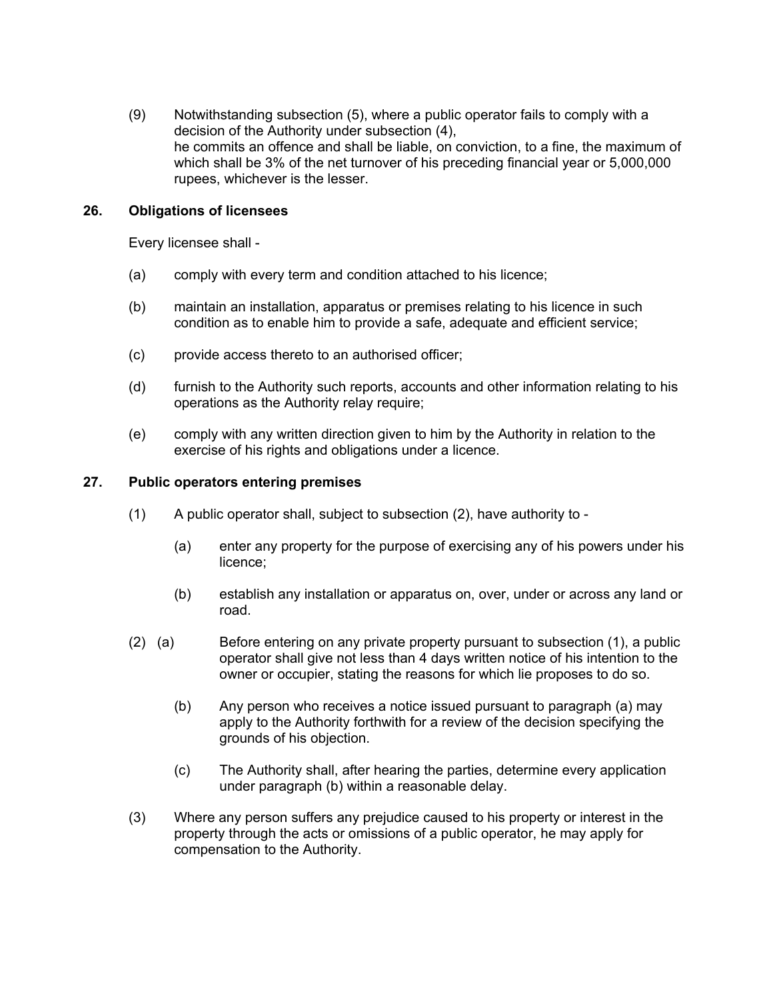(9) Notwithstanding subsection (5), where a public operator fails to comply with a decision of the Authority under subsection (4), he commits an offence and shall be liable, on conviction, to a fine, the maximum of which shall be 3% of the net turnover of his preceding financial year or 5,000,000 rupees, whichever is the lesser.

#### **26. Obligations of licensees**

<span id="page-21-0"></span>Every licensee shall -

- (a) comply with every term and condition attached to his licence;
- (b) maintain an installation, apparatus or premises relating to his licence in such condition as to enable him to provide a safe, adequate and efficient service;
- (c) provide access thereto to an authorised officer;
- (d) furnish to the Authority such reports, accounts and other information relating to his operations as the Authority relay require;
- (e) comply with any written direction given to him by the Authority in relation to the exercise of his rights and obligations under a licence.

#### **27. Public operators entering premises**

- <span id="page-21-1"></span>(1) A public operator shall, subject to subsection (2), have authority to -
	- (a) enter any property for the purpose of exercising any of his powers under his licence;
	- (b) establish any installation or apparatus on, over, under or across any land or road.
- (2) (a) Before entering on any private property pursuant to subsection (1), a public operator shall give not less than 4 days written notice of his intention to the owner or occupier, stating the reasons for which lie proposes to do so.
	- (b) Any person who receives a notice issued pursuant to paragraph (a) may apply to the Authority forthwith for a review of the decision specifying the grounds of his objection.
	- (c) The Authority shall, after hearing the parties, determine every application under paragraph (b) within a reasonable delay.
- (3) Where any person suffers any prejudice caused to his property or interest in the property through the acts or omissions of a public operator, he may apply for compensation to the Authority.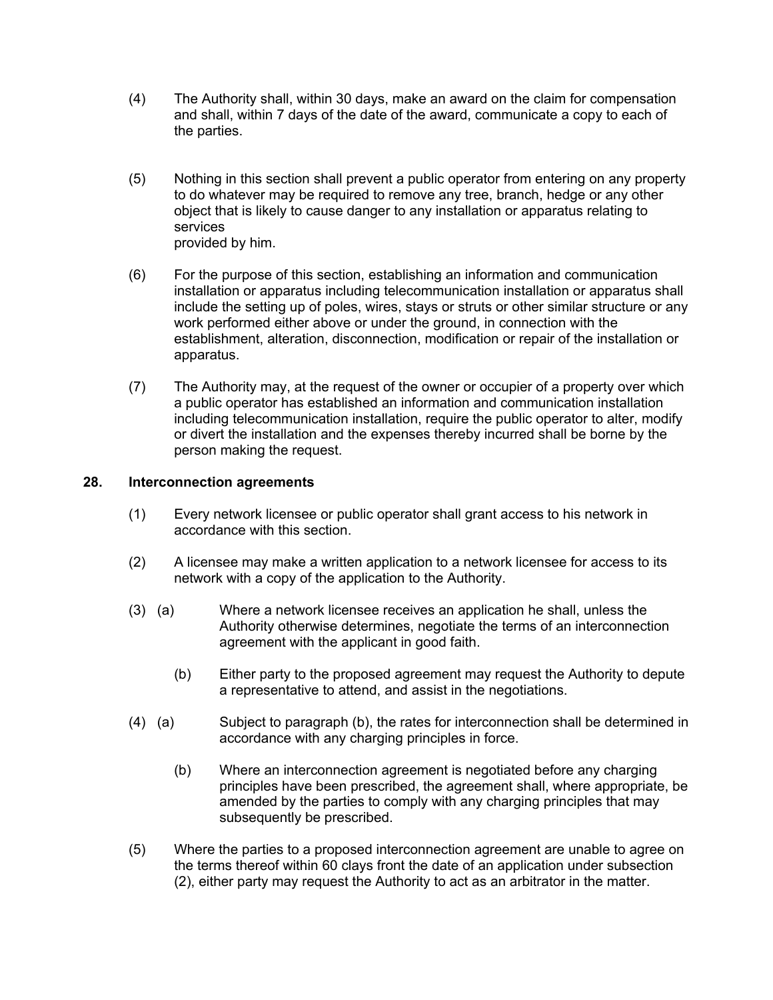- (4) The Authority shall, within 30 days, make an award on the claim for compensation and shall, within 7 days of the date of the award, communicate a copy to each of the parties.
- (5) Nothing in this section shall prevent a public operator from entering on any property to do whatever may be required to remove any tree, branch, hedge or any other object that is likely to cause danger to any installation or apparatus relating to services provided by him.
- (6) For the purpose of this section, establishing an information and communication installation or apparatus including telecommunication installation or apparatus shall include the setting up of poles, wires, stays or struts or other similar structure or any work performed either above or under the ground, in connection with the establishment, alteration, disconnection, modification or repair of the installation or apparatus.
- (7) The Authority may, at the request of the owner or occupier of a property over which a public operator has established an information and communication installation including telecommunication installation, require the public operator to alter, modify or divert the installation and the expenses thereby incurred shall be borne by the person making the request.

# **28. Interconnection agreements**

- <span id="page-22-0"></span>(1) Every network licensee or public operator shall grant access to his network in accordance with this section.
- (2) A licensee may make a written application to a network licensee for access to its network with a copy of the application to the Authority.
- (3) (a) Where a network licensee receives an application he shall, unless the Authority otherwise determines, negotiate the terms of an interconnection agreement with the applicant in good faith.
	- (b) Either party to the proposed agreement may request the Authority to depute a representative to attend, and assist in the negotiations.
- (4) (a) Subject to paragraph (b), the rates for interconnection shall be determined in accordance with any charging principles in force.
	- (b) Where an interconnection agreement is negotiated before any charging principles have been prescribed, the agreement shall, where appropriate, be amended by the parties to comply with any charging principles that may subsequently be prescribed.
- (5) Where the parties to a proposed interconnection agreement are unable to agree on the terms thereof within 60 clays front the date of an application under subsection (2), either party may request the Authority to act as an arbitrator in the matter.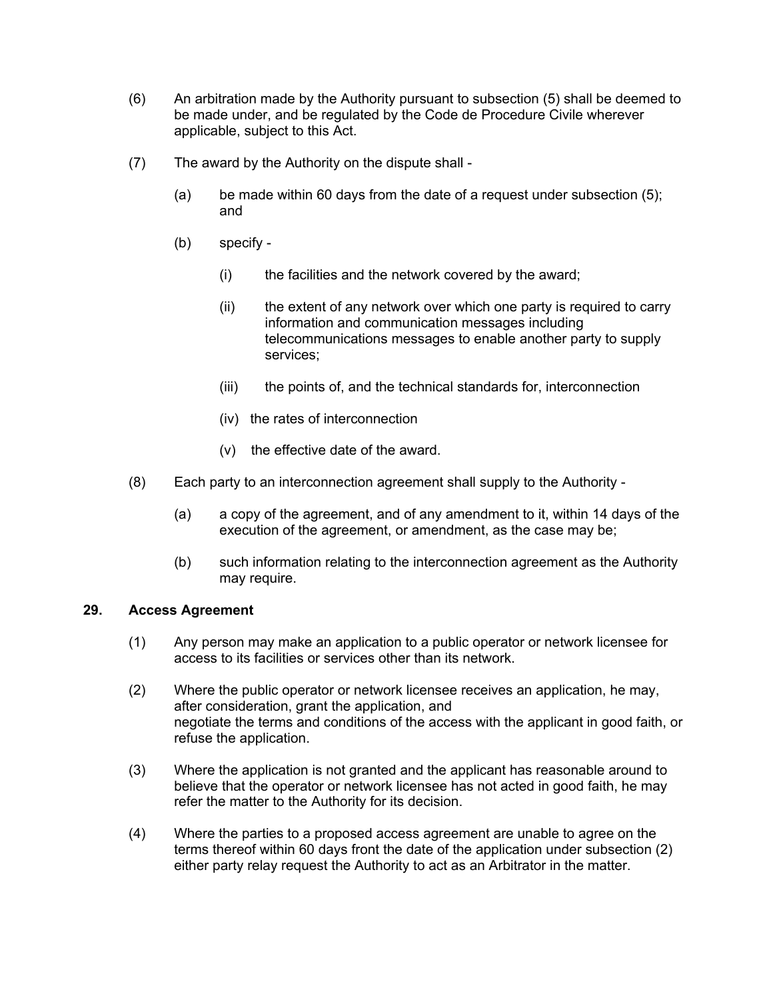- (6) An arbitration made by the Authority pursuant to subsection (5) shall be deemed to be made under, and be regulated by the Code de Procedure Civile wherever applicable, subject to this Act.
- (7) The award by the Authority on the dispute shall
	- (a) be made within 60 days from the date of a request under subsection (5); and
	- (b) specify
		- (i) the facilities and the network covered by the award;
		- (ii) the extent of any network over which one party is required to carry information and communication messages including telecommunications messages to enable another party to supply services;
		- (iii) the points of, and the technical standards for, interconnection
		- (iv) the rates of interconnection
		- (v) the effective date of the award.
- (8) Each party to an interconnection agreement shall supply to the Authority
	- (a) a copy of the agreement, and of any amendment to it, within 14 days of the execution of the agreement, or amendment, as the case may be;
	- (b) such information relating to the interconnection agreement as the Authority may require.

#### **29. Access Agreement**

- <span id="page-23-0"></span>(1) Any person may make an application to a public operator or network licensee for access to its facilities or services other than its network.
- (2) Where the public operator or network licensee receives an application, he may, after consideration, grant the application, and negotiate the terms and conditions of the access with the applicant in good faith, or refuse the application.
- (3) Where the application is not granted and the applicant has reasonable around to believe that the operator or network licensee has not acted in good faith, he may refer the matter to the Authority for its decision.
- (4) Where the parties to a proposed access agreement are unable to agree on the terms thereof within 60 days front the date of the application under subsection (2) either party relay request the Authority to act as an Arbitrator in the matter.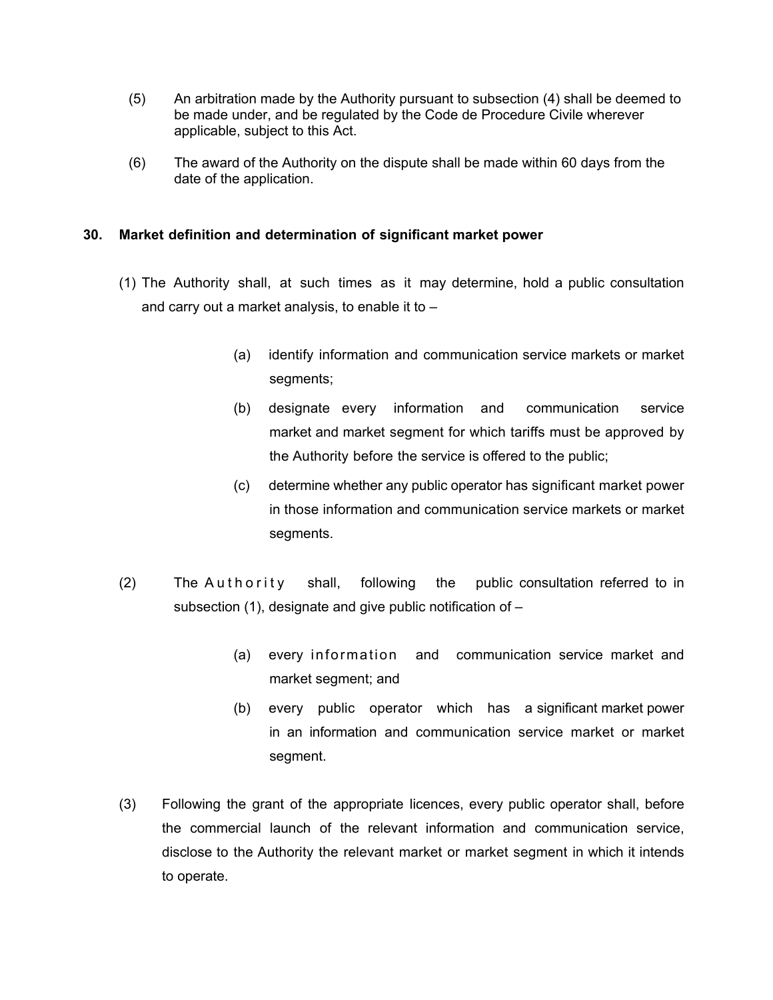- (5) An arbitration made by the Authority pursuant to subsection (4) shall be deemed to be made under, and be regulated by the Code de Procedure Civile wherever applicable, subject to this Act.
- (6) The award of the Authority on the dispute shall be made within 60 days from the date of the application.

# **30. Market definition and determination of significant market power**

- (1) The Authority shall, at such times as it may determine, hold a public consultation and carry out a market analysis, to enable it to –
	- (a) identify information and communication service markets or market segments;
	- (b) designate every information and communication service market and market segment for which tariffs must be approved by the Authority before the service is offered to the public;
	- (c) determine whether any public operator has significant market power in those information and communication service markets or market segments.
- (2) The Authority shall, following the public consultation referred to in subsection (1), designate and give public notification of –
	- (a) every information and communication service market and market segment; and
	- (b) every public operator which has a significant market power in an information and communication service market or market segment.
- (3) Following the grant of the appropriate licences, every public operator shall, before the commercial launch of the relevant information and communication service, disclose to the Authority the relevant market or market segment in which it intends to operate.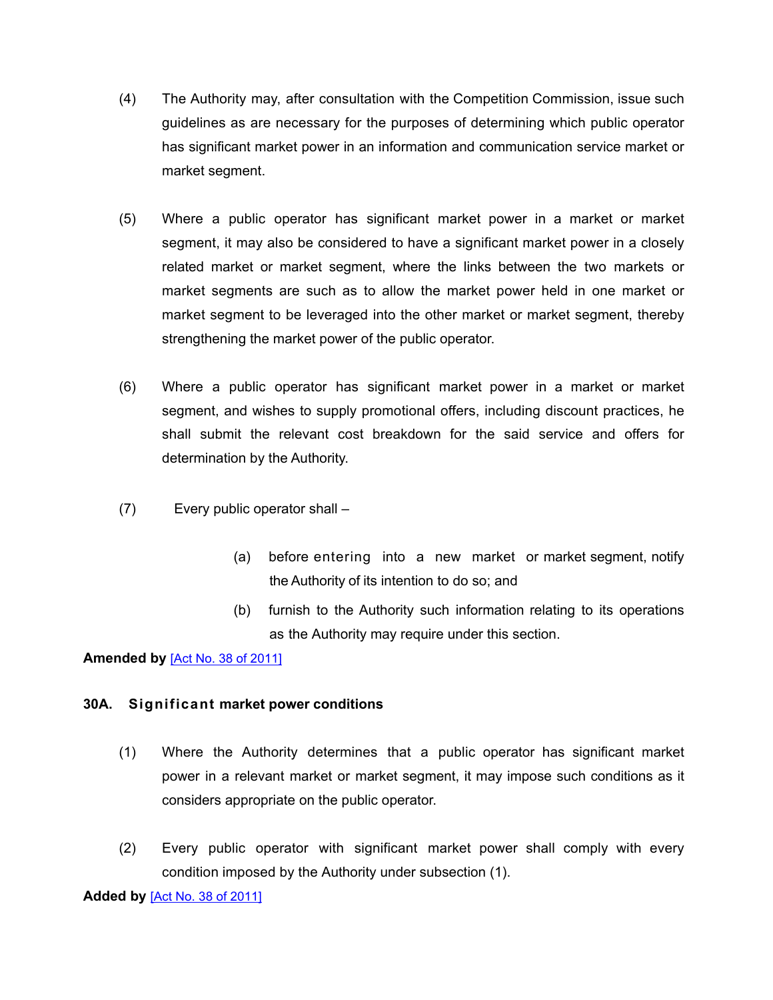- (4) The Authority may, after consultation with the Competition Commission, issue such guidelines as are necessary for the purposes of determining which public operator has significant market power in an information and communication service market or market segment.
- (5) Where a public operator has significant market power in a market or market segment, it may also be considered to have a significant market power in a closely related market or market segment, where the links between the two markets or market segments are such as to allow the market power held in one market or market segment to be leveraged into the other market or market segment, thereby strengthening the market power of the public operator.
- (6) Where a public operator has significant market power in a market or market segment, and wishes to supply promotional offers, including discount practices, he shall submit the relevant cost breakdown for the said service and offers for determination by the Authority.
- (7) Every public operator shall
	- (a) before entering into a new market or market segment, notify the Authority of its intention to do so; and
	- (b) furnish to the Authority such information relating to its operations as the Authority may require under this section.

# **Amended by** [Act No. 38 of [2011\]](https://supremecourt.govmu.org/_layouts/CLIS.DMS/search/searchdocumentbykey.aspx?ID=%5BAct%20No.%2038%20of%202011%5D&list=Legislations)

# **30A. Significant market power conditions**

- (1) Where the Authority determines that a public operator has significant market power in a relevant market or market segment, it may impose such conditions as it considers appropriate on the public operator.
- (2) Every public operator with significant market power shall comply with every condition imposed by the Authority under subsection (1).

**Added by** [Act No. 38 of [2011\]](https://supremecourt.govmu.org/_layouts/CLIS.DMS/search/searchdocumentbykey.aspx?ID=%5BAct%20No.%2038%20of%202011%5D&list=Legislations)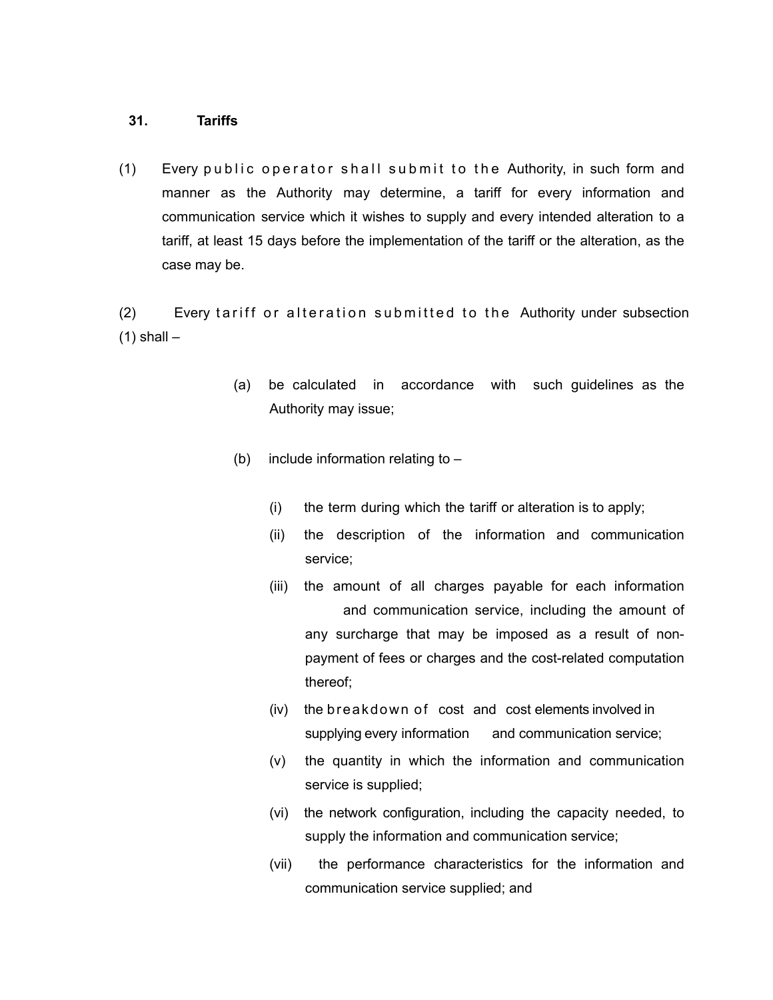#### **31. Tariffs**

(1) Every public operator shall submit to the Authority, in such form and manner as the Authority may determine, a tariff for every information and communication service which it wishes to supply and every intended alteration to a tariff, at least 15 days before the implementation of the tariff or the alteration, as the case may be.

(2) Every tariff or alteration submitted to the Authority under subsection  $(1)$  shall  $-$ 

- (a) be calculated in accordance with such guidelines as the Authority may issue;
- (b) include information relating to  $-$ 
	- (i) the term during which the tariff or alteration is to apply;
	- (ii) the description of the information and communication service;
	- (iii) the amount of all charges payable for each information and communication service, including the amount of any surcharge that may be imposed as a result of nonpayment of fees or charges and the cost-related computation thereof;
	- (iv) the breakdown of cost and cost elements involved in supplying every information and communication service;
	- (v) the quantity in which the information and communication service is supplied;
	- (vi) the network configuration, including the capacity needed, to supply the information and communication service;
	- (vii) the performance characteristics for the information and communication service supplied; and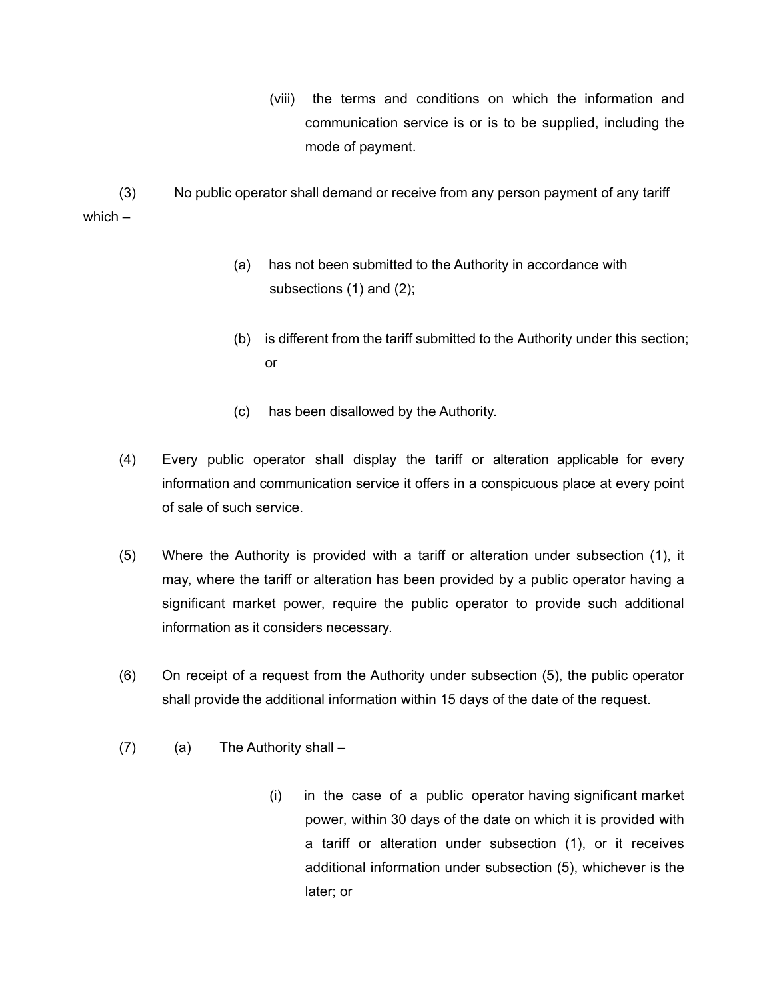(viii) the terms and conditions on which the information and communication service is or is to be supplied, including the mode of payment.

(3) No public operator shall demand or receive from any person payment of any tariff which –

- (a) has not been submitted to the Authority in accordance with subsections (1) and (2);
- (b) is different from the tariff submitted to the Authority under this section; or
- (c) has been disallowed by the Authority.
- (4) Every public operator shall display the tariff or alteration applicable for every information and communication service it offers in a conspicuous place at every point of sale of such service.
- (5) Where the Authority is provided with a tariff or alteration under subsection (1), it may, where the tariff or alteration has been provided by a public operator having a significant market power, require the public operator to provide such additional information as it considers necessary.
- (6) On receipt of a request from the Authority under subsection (5), the public operator shall provide the additional information within 15 days of the date of the request.
- (7) (a) The Authority shall
	- (i) in the case of a public operator having significant market power, within 30 days of the date on which it is provided with a tariff or alteration under subsection (1), or it receives additional information under subsection (5), whichever is the later; or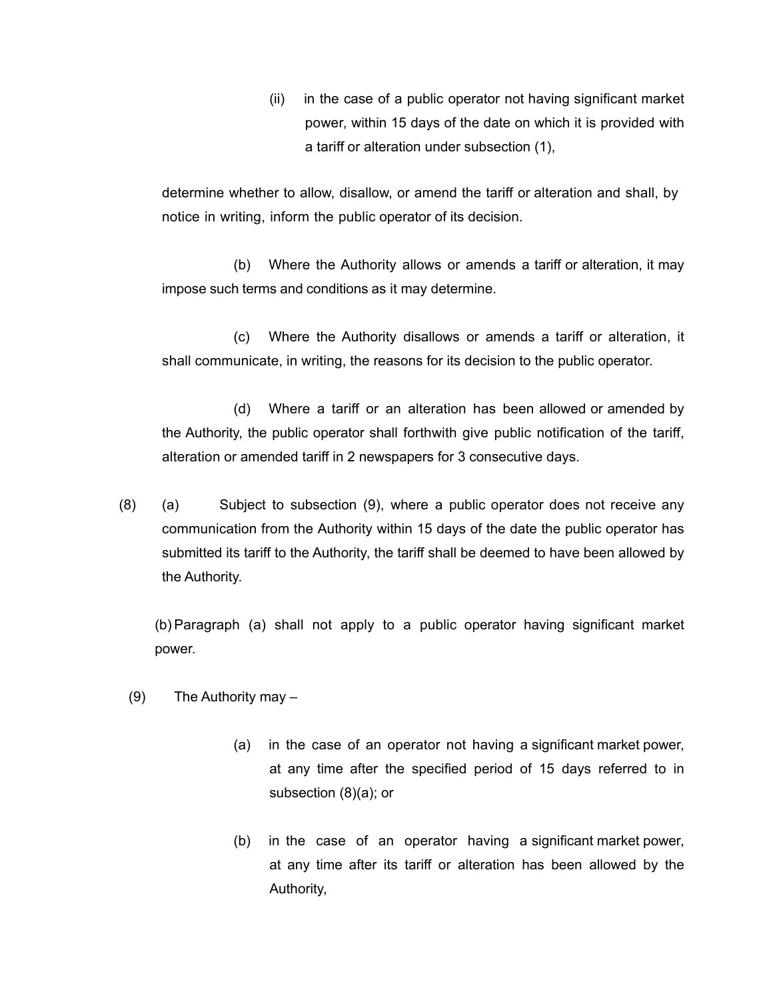(ii) in the case of a public operator not having significant market power, within 15 days of the date on which it is provided with a tariff or alteration under subsection (1),

determine whether to allow, disallow, or amend the tariff or alteration and shall, by notice in writing, inform the public operator of its decision.

(b) Where the Authority allows or amends a tariff or alteration, it may impose such terms and conditions as it may determine.

(c) Where the Authority disallows or amends a tariff or alteration, it shall communicate, in writing, the reasons for its decision to the public operator.

(d) Where a tariff or an alteration has been allowed or amended by the Authority, the public operator shall forthwith give public notification of the tariff, alteration or amended tariff in 2 newspapers for 3 consecutive days.

(8) (a) Subject to subsection (9), where a public operator does not receive any communication from the Authority within 15 days of the date the public operator has submitted its tariff to the Authority, the tariff shall be deemed to have been allowed by the Authority.

(b) Paragraph (a) shall not apply to a public operator having significant market power.

- (9) The Authority may
	- (a) in the case of an operator not having a significant market power, at any time after the specified period of 15 days referred to in subsection (8)(a); or
	- (b) in the case of an operator having a significant market power, at any time after its tariff or alteration has been allowed by the Authority,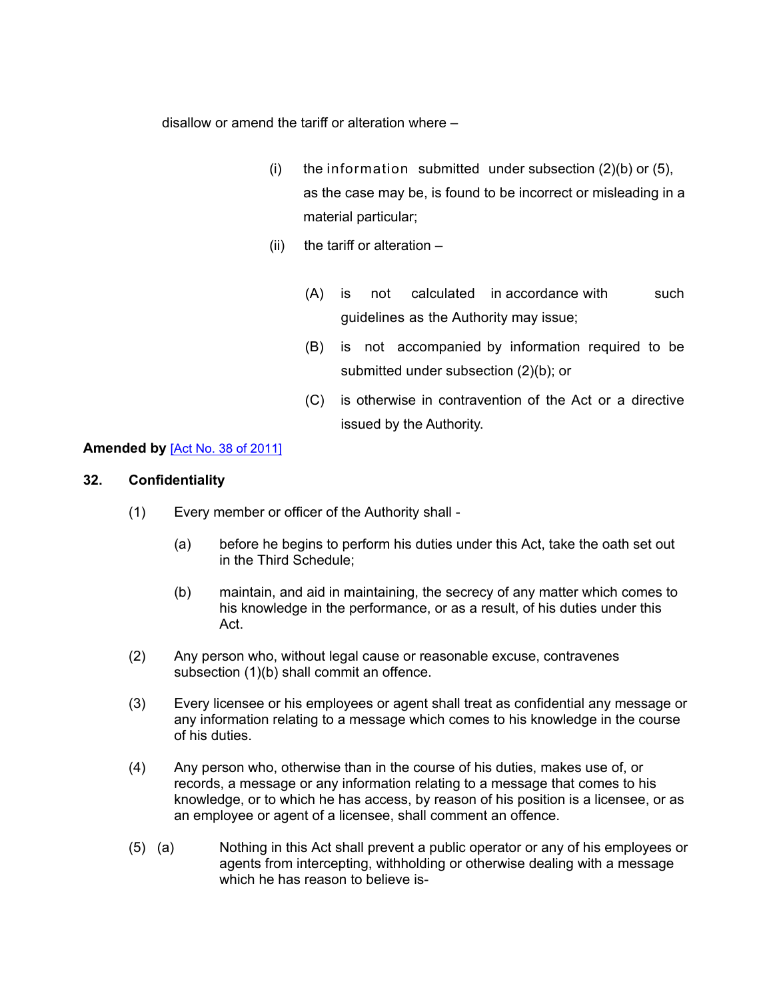disallow or amend the tariff or alteration where –

- (i) the information submitted under subsection  $(2)(b)$  or  $(5)$ , as the case may be, is found to be incorrect or misleading in a material particular;
- (ii) the tariff or alteration  $-$ 
	- (A) is not calculated in accordance with such guidelines as the Authority may issue;
	- (B) is not accompanied by information required to be submitted under subsection (2)(b); or
	- (C) is otherwise in contravention of the Act or a directive issued by the Authority.

# **Amended by** [Act No. 38 of [2011\]](https://supremecourt.govmu.org/_layouts/CLIS.DMS/search/searchdocumentbykey.aspx?ID=%5BAct%20No.%2038%20of%202011%5D&list=Legislations)

# **32. Confidentiality**

- <span id="page-29-0"></span>(1) Every member or officer of the Authority shall -
	- (a) before he begins to perform his duties under this Act, take the oath set out in the Third Schedule;
	- (b) maintain, and aid in maintaining, the secrecy of any matter which comes to his knowledge in the performance, or as a result, of his duties under this Act.
- (2) Any person who, without legal cause or reasonable excuse, contravenes subsection (1)(b) shall commit an offence.
- (3) Every licensee or his employees or agent shall treat as confidential any message or any information relating to a message which comes to his knowledge in the course of his duties.
- (4) Any person who, otherwise than in the course of his duties, makes use of, or records, a message or any information relating to a message that comes to his knowledge, or to which he has access, by reason of his position is a licensee, or as an employee or agent of a licensee, shall comment an offence.
- (5) (a) Nothing in this Act shall prevent a public operator or any of his employees or agents from intercepting, withholding or otherwise dealing with a message which he has reason to believe is-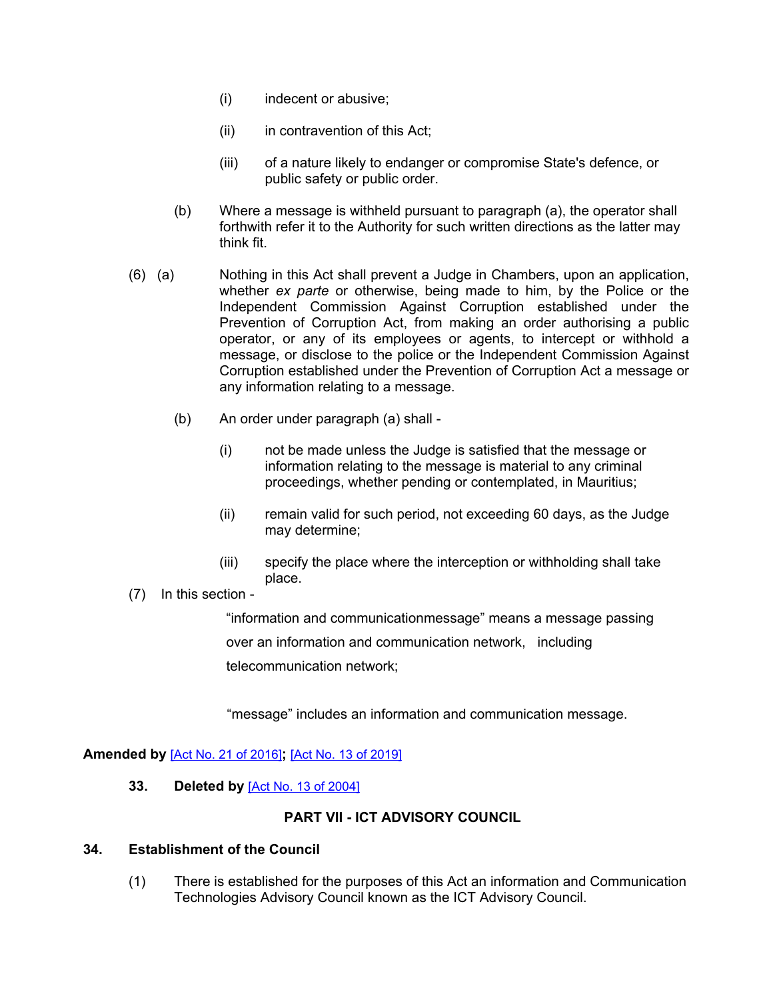- (i) indecent or abusive;
- (ii) in contravention of this Act;
- (iii) of a nature likely to endanger or compromise State's defence, or public safety or public order.
- (b) Where a message is withheld pursuant to paragraph (a), the operator shall forthwith refer it to the Authority for such written directions as the latter may think fit.
- (6) (a) Nothing in this Act shall prevent a Judge in Chambers, upon an application, whether *ex parte* or otherwise, being made to him, by the Police or the Independent Commission Against Corruption established under the Prevention of Corruption Act, from making an order authorising a public operator, or any of its employees or agents, to intercept or withhold a message, or disclose to the police or the Independent Commission Against Corruption established under the Prevention of Corruption Act a message or any information relating to a message.
	- (b) An order under paragraph (a) shall
		- (i) not be made unless the Judge is satisfied that the message or information relating to the message is material to any criminal proceedings, whether pending or contemplated, in Mauritius;
		- (ii) remain valid for such period, not exceeding 60 days, as the Judge may determine;
		- (iii) specify the place where the interception or withholding shall take place.
- (7) In this section -

"information and communicationmessage" means a message passing over an information and communication network, including telecommunication network;

"message" includes an information and communication message.

# **Amended by** [Act No. 21 of [2016\]](https://supremecourt.govmu.org/_layouts/CLIS.DMS/search/searchdocumentbykey.aspx?ID=%5BAct%20No.%2021%20of%202016%5D&list=Legislations)**;** [Act No. 13 of [2019\]](https://supremecourt.govmu.org/_layouts/CLIS.DMS/search/searchdocumentbykey.aspx?ID=%5BAct%20No.%2013%20of%202019%5D&list=Legislations)

<span id="page-30-0"></span>**33. Deleted by** [Act No. 13 of [2004\]](https://supremecourt.govmu.org/_layouts/CLIS.DMS/search/searchdocumentbykey.aspx?ID=%5BAct%20No.%2013%20of%202004%5D&list=Legislations)

# **PART VII - ICT ADVISORY COUNCIL**

#### **34. Establishment of the Council**

<span id="page-30-1"></span>(1) There is established for the purposes of this Act an information and Communication Technologies Advisory Council known as the ICT Advisory Council.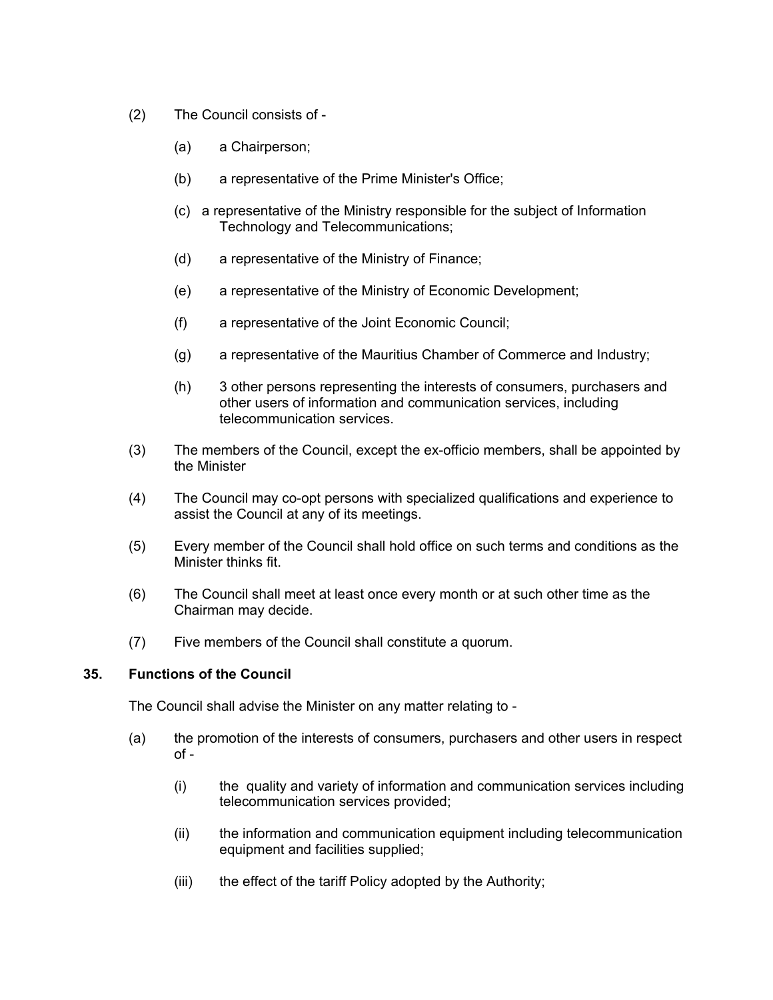- (2) The Council consists of
	- (a) a Chairperson;
	- (b) a representative of the Prime Minister's Office;
	- (c) a representative of the Ministry responsible for the subject of Information Technology and Telecommunications;
	- (d) a representative of the Ministry of Finance;
	- (e) a representative of the Ministry of Economic Development;
	- (f) a representative of the Joint Economic Council;
	- (g) a representative of the Mauritius Chamber of Commerce and Industry;
	- (h) 3 other persons representing the interests of consumers, purchasers and other users of information and communication services, including telecommunication services.
- (3) The members of the Council, except the ex-officio members, shall be appointed by the Minister
- (4) The Council may co-opt persons with specialized qualifications and experience to assist the Council at any of its meetings.
- (5) Every member of the Council shall hold office on such terms and conditions as the Minister thinks fit.
- (6) The Council shall meet at least once every month or at such other time as the Chairman may decide.
- <span id="page-31-0"></span>(7) Five members of the Council shall constitute a quorum.

#### **35. Functions of the Council**

The Council shall advise the Minister on any matter relating to -

- (a) the promotion of the interests of consumers, purchasers and other users in respect  $of -$ 
	- (i) the quality and variety of information and communication services including telecommunication services provided;
	- (ii) the information and communication equipment including telecommunication equipment and facilities supplied;
	- (iii) the effect of the tariff Policy adopted by the Authority;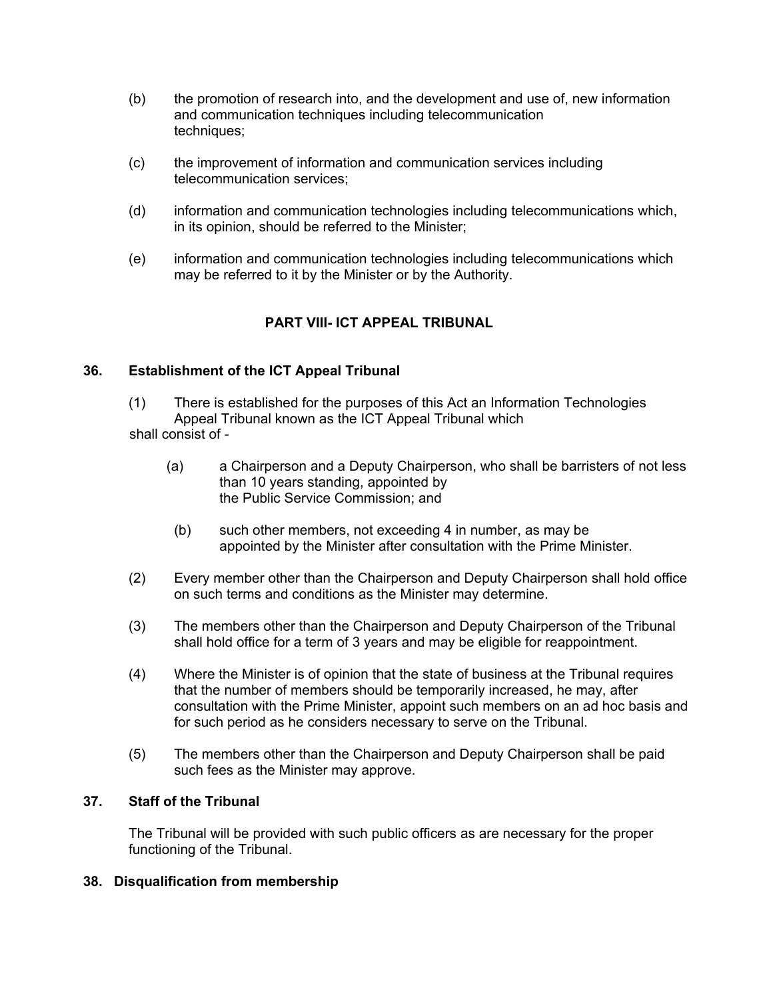- (b) the promotion of research into, and the development and use of, new information and communication techniques including telecommunication techniques;
- (c) the improvement of information and communication services including telecommunication services;
- (d) information and communication technologies including telecommunications which, in its opinion, should be referred to the Minister;
- (e) information and communication technologies including telecommunications which may be referred to it by the Minister or by the Authority.

# **PART VIII- ICT APPEAL TRIBUNAL**

# **36. Establishment of the ICT Appeal Tribunal**

<span id="page-32-0"></span>(1) There is established for the purposes of this Act an Information Technologies Appeal Tribunal known as the ICT Appeal Tribunal which shall consist of -

- (a) a Chairperson and a Deputy Chairperson, who shall be barristers of not less than 10 years standing, appointed by the Public Service Commission; and
- (b) such other members, not exceeding 4 in number, as may be appointed by the Minister after consultation with the Prime Minister.
- (2) Every member other than the Chairperson and Deputy Chairperson shall hold office on such terms and conditions as the Minister may determine.
- (3) The members other than the Chairperson and Deputy Chairperson of the Tribunal shall hold office for a term of 3 years and may be eligible for reappointment.
- (4) Where the Minister is of opinion that the state of business at the Tribunal requires that the number of members should be temporarily increased, he may, after consultation with the Prime Minister, appoint such members on an ad hoc basis and for such period as he considers necessary to serve on the Tribunal.
- (5) The members other than the Chairperson and Deputy Chairperson shall be paid such fees as the Minister may approve.

# **37. Staff of the Tribunal**

<span id="page-32-1"></span>The Tribunal will be provided with such public officers as are necessary for the proper functioning of the Tribunal.

# <span id="page-32-2"></span>**38. Disqualification from membership**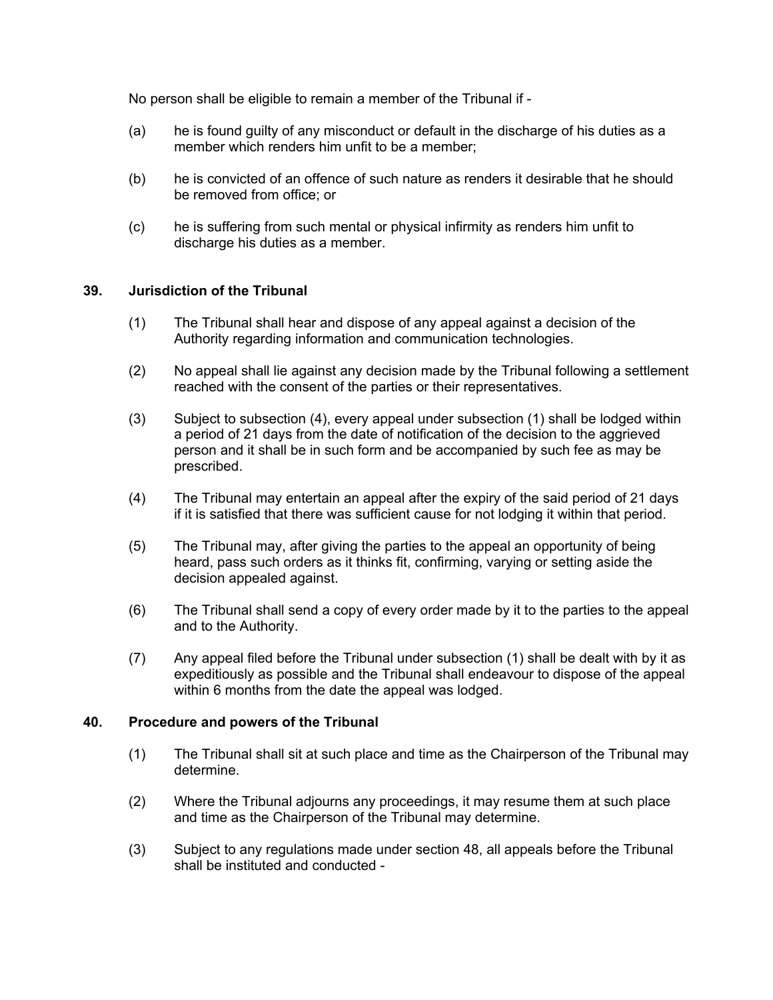No person shall be eligible to remain a member of the Tribunal if -

- (a) he is found guilty of any misconduct or default in the discharge of his duties as a member which renders him unfit to be a member;
- (b) he is convicted of an offence of such nature as renders it desirable that he should be removed from office; or
- (c) he is suffering from such mental or physical infirmity as renders him unfit to discharge his duties as a member.

# **39. Jurisdiction of the Tribunal**

- <span id="page-33-0"></span>(1) The Tribunal shall hear and dispose of any appeal against a decision of the Authority regarding information and communication technologies.
- (2) No appeal shall lie against any decision made by the Tribunal following a settlement reached with the consent of the parties or their representatives.
- (3) Subject to subsection (4), every appeal under subsection (1) shall be lodged within a period of 21 days from the date of notification of the decision to the aggrieved person and it shall be in such form and be accompanied by such fee as may be prescribed.
- (4) The Tribunal may entertain an appeal after the expiry of the said period of 21 days if it is satisfied that there was sufficient cause for not lodging it within that period.
- (5) The Tribunal may, after giving the parties to the appeal an opportunity of being heard, pass such orders as it thinks fit, confirming, varying or setting aside the decision appealed against.
- (6) The Tribunal shall send a copy of every order made by it to the parties to the appeal and to the Authority.
- (7) Any appeal filed before the Tribunal under subsection (1) shall be dealt with by it as expeditiously as possible and the Tribunal shall endeavour to dispose of the appeal within 6 months from the date the appeal was lodged.

#### **40. Procedure and powers of the Tribunal**

- <span id="page-33-1"></span>(1) The Tribunal shall sit at such place and time as the Chairperson of the Tribunal may determine.
- (2) Where the Tribunal adjourns any proceedings, it may resume them at such place and time as the Chairperson of the Tribunal may determine.
- (3) Subject to any regulations made under section 48, all appeals before the Tribunal shall be instituted and conducted -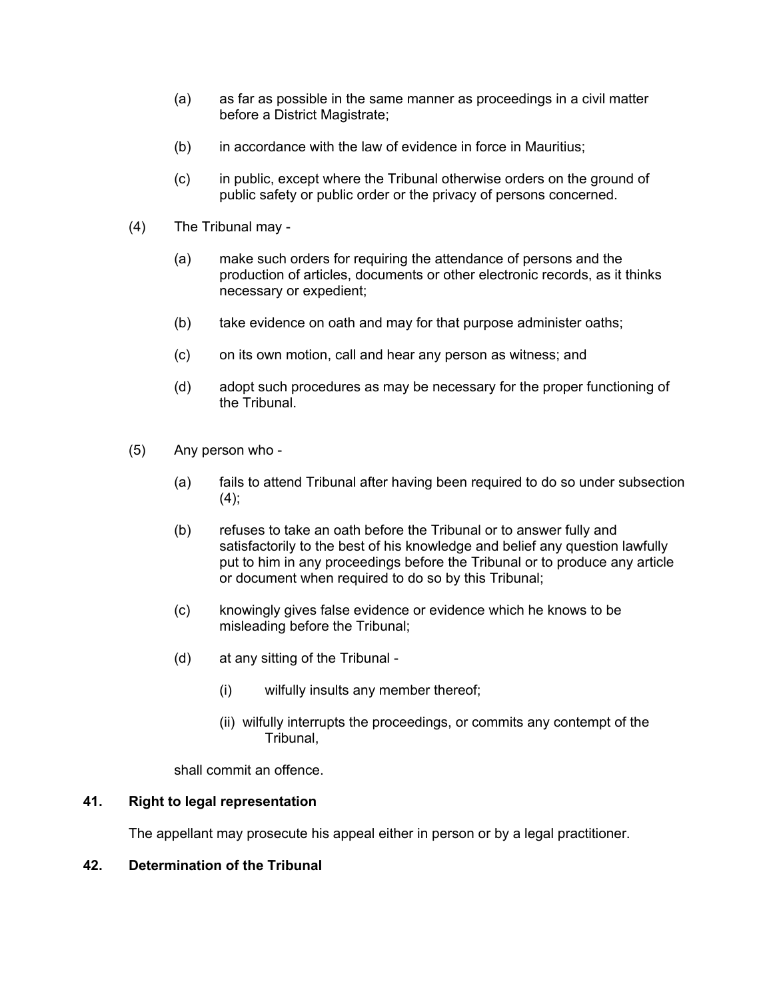- (a) as far as possible in the same manner as proceedings in a civil matter before a District Magistrate;
- (b) in accordance with the law of evidence in force in Mauritius;
- (c) in public, except where the Tribunal otherwise orders on the ground of public safety or public order or the privacy of persons concerned.
- (4) The Tribunal may
	- (a) make such orders for requiring the attendance of persons and the production of articles, documents or other electronic records, as it thinks necessary or expedient;
	- (b) take evidence on oath and may for that purpose administer oaths;
	- (c) on its own motion, call and hear any person as witness; and
	- (d) adopt such procedures as may be necessary for the proper functioning of the Tribunal.
- (5) Any person who
	- (a) fails to attend Tribunal after having been required to do so under subsection  $(4)$ ;
	- (b) refuses to take an oath before the Tribunal or to answer fully and satisfactorily to the best of his knowledge and belief any question lawfully put to him in any proceedings before the Tribunal or to produce any article or document when required to do so by this Tribunal;
	- (c) knowingly gives false evidence or evidence which he knows to be misleading before the Tribunal;
	- (d) at any sitting of the Tribunal
		- (i) wilfully insults any member thereof;
		- (ii) wilfully interrupts the proceedings, or commits any contempt of the Tribunal,

shall commit an offence.

# **41. Right to legal representation**

<span id="page-34-1"></span><span id="page-34-0"></span>The appellant may prosecute his appeal either in person or by a legal practitioner.

# **42. Determination of the Tribunal**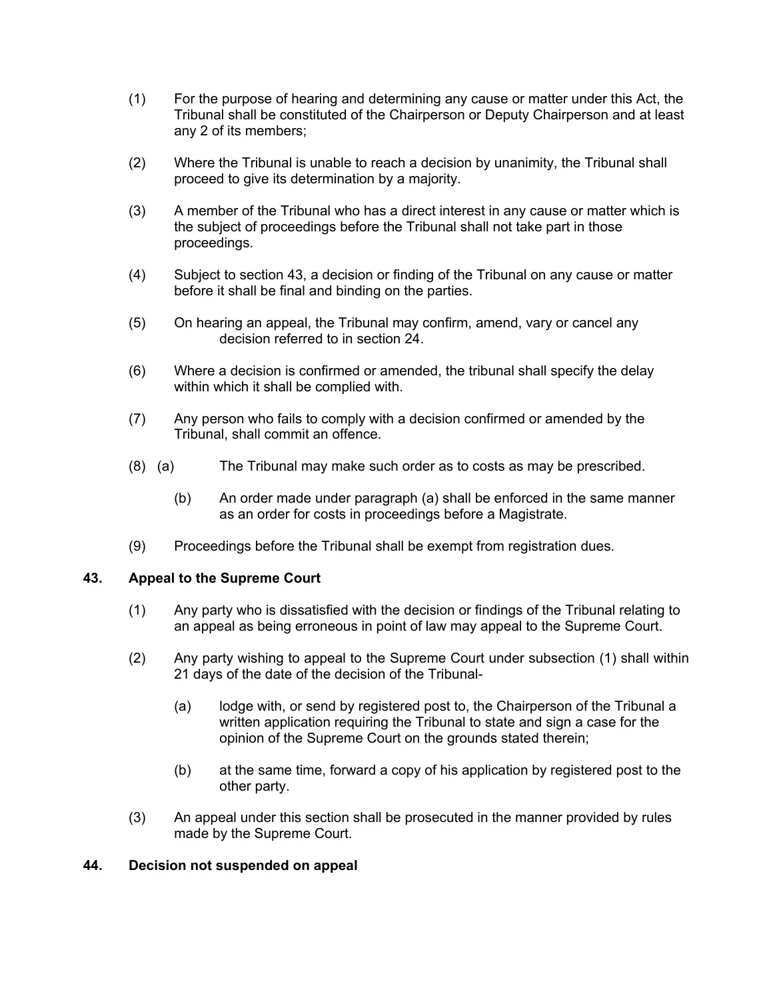- (1) For the purpose of hearing and determining any cause or matter under this Act, the Tribunal shall be constituted of the Chairperson or Deputy Chairperson and at least any 2 of its members;
- (2) Where the Tribunal is unable to reach a decision by unanimity, the Tribunal shall proceed to give its determination by a majority.
- (3) A member of the Tribunal who has a direct interest in any cause or matter which is the subject of proceedings before the Tribunal shall not take part in those proceedings.
- (4) Subject to section 43, a decision or finding of the Tribunal on any cause or matter before it shall be final and binding on the parties.
- (5) On hearing an appeal, the Tribunal may confirm, amend, vary or cancel any decision referred to in section 24.
- (6) Where a decision is confirmed or amended, the tribunal shall specify the delay within which it shall be complied with.
- (7) Any person who fails to comply with a decision confirmed or amended by the Tribunal, shall commit an offence.
- (8) (a) The Tribunal may make such order as to costs as may be prescribed.
	- (b) An order made under paragraph (a) shall be enforced in the same manner as an order for costs in proceedings before a Magistrate.
- (9) Proceedings before the Tribunal shall be exempt from registration dues.

# <span id="page-35-0"></span>**43. Appeal to the Supreme Court**

- (1) Any party who is dissatisfied with the decision or findings of the Tribunal relating to an appeal as being erroneous in point of law may appeal to the Supreme Court.
- (2) Any party wishing to appeal to the Supreme Court under subsection (1) shall within 21 days of the date of the decision of the Tribunal-
	- (a) lodge with, or send by registered post to, the Chairperson of the Tribunal a written application requiring the Tribunal to state and sign a case for the opinion of the Supreme Court on the grounds stated therein;
	- (b) at the same time, forward a copy of his application by registered post to the other party.
- (3) An appeal under this section shall be prosecuted in the manner provided by rules made by the Supreme Court.

#### <span id="page-35-1"></span>**44. Decision not suspended on appeal**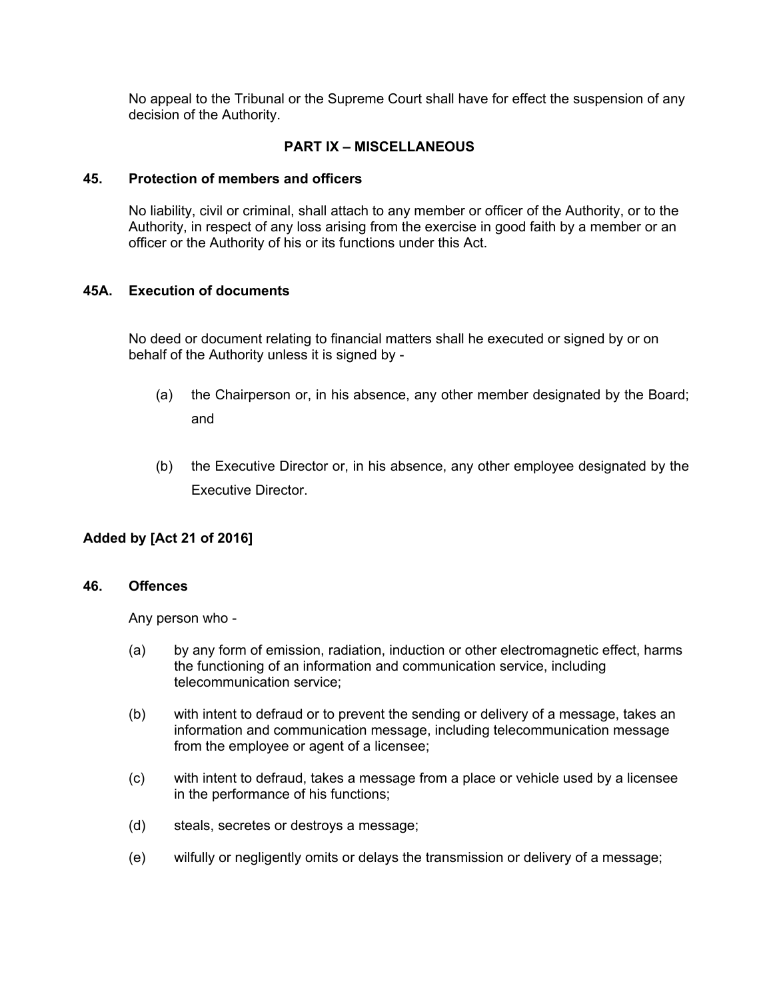No appeal to the Tribunal or the Supreme Court shall have for effect the suspension of any decision of the Authority.

# **PART IX – MISCELLANEOUS**

#### **45. Protection of members and officers**

<span id="page-36-0"></span>No liability, civil or criminal, shall attach to any member or officer of the Authority, or to the Authority, in respect of any loss arising from the exercise in good faith by a member or an officer or the Authority of his or its functions under this Act.

# **45A. Execution of documents**

No deed or document relating to financial matters shall he executed or signed by or on behalf of the Authority unless it is signed by -

- (a) the Chairperson or, in his absence, any other member designated by the Board; and
- (b) the Executive Director or, in his absence, any other employee designated by the Executive Director.

# **Added by [Act 21 of 2016]**

#### **46. Offences**

<span id="page-36-1"></span>Any person who -

- (a) by any form of emission, radiation, induction or other electromagnetic effect, harms the functioning of an information and communication service, including telecommunication service;
- (b) with intent to defraud or to prevent the sending or delivery of a message, takes an information and communication message, including telecommunication message from the employee or agent of a licensee;
- (c) with intent to defraud, takes a message from a place or vehicle used by a licensee in the performance of his functions;
- (d) steals, secretes or destroys a message;
- (e) wilfully or negligently omits or delays the transmission or delivery of a message;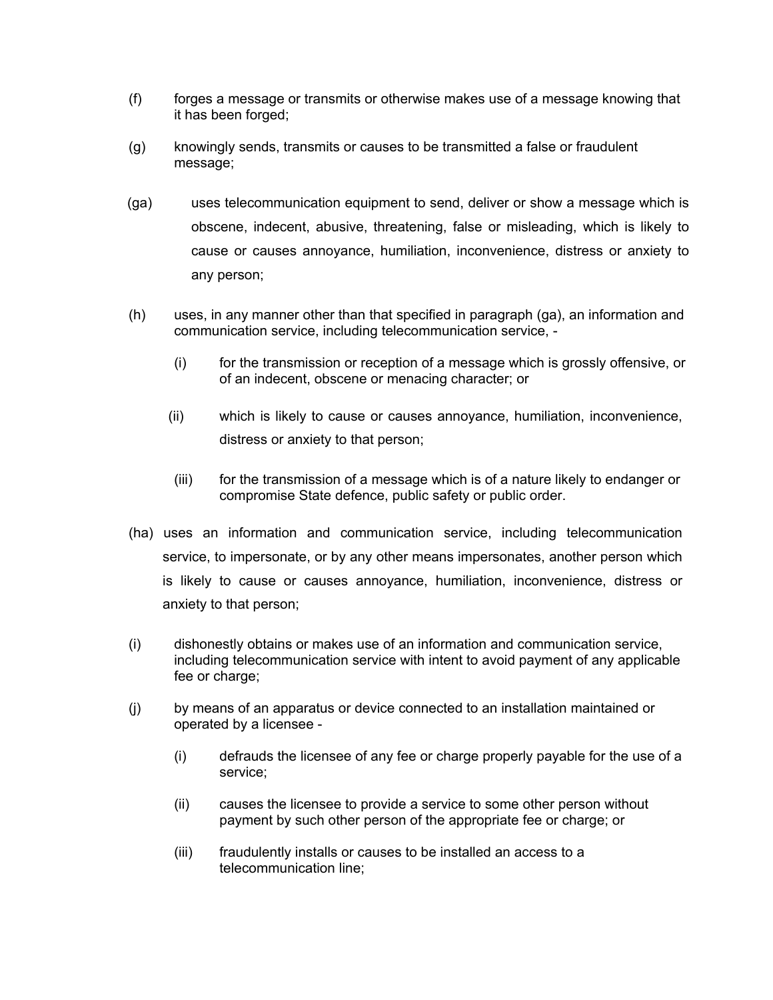- (f) forges a message or transmits or otherwise makes use of a message knowing that it has been forged;
- (g) knowingly sends, transmits or causes to be transmitted a false or fraudulent message;
- (ga) uses telecommunication equipment to send, deliver or show a message which is obscene, indecent, abusive, threatening, false or misleading, which is likely to cause or causes annoyance, humiliation, inconvenience, distress or anxiety to any person;
- (h) uses, in any manner other than that specified in paragraph (ga), an information and communication service, including telecommunication service, -
	- (i) for the transmission or reception of a message which is grossly offensive, or of an indecent, obscene or menacing character; or
	- (ii) which is likely to cause or causes annoyance, humiliation, inconvenience, distress or anxiety to that person;
	- (iii) for the transmission of a message which is of a nature likely to endanger or compromise State defence, public safety or public order.
- (ha) uses an information and communication service, including telecommunication service, to impersonate, or by any other means impersonates, another person which is likely to cause or causes annoyance, humiliation, inconvenience, distress or anxiety to that person;
- (i) dishonestly obtains or makes use of an information and communication service, including telecommunication service with intent to avoid payment of any applicable fee or charge:
- (j) by means of an apparatus or device connected to an installation maintained or operated by a licensee -
	- (i) defrauds the licensee of any fee or charge properly payable for the use of a service;
	- (ii) causes the licensee to provide a service to some other person without payment by such other person of the appropriate fee or charge; or
	- (iii) fraudulently installs or causes to be installed an access to a telecommunication line;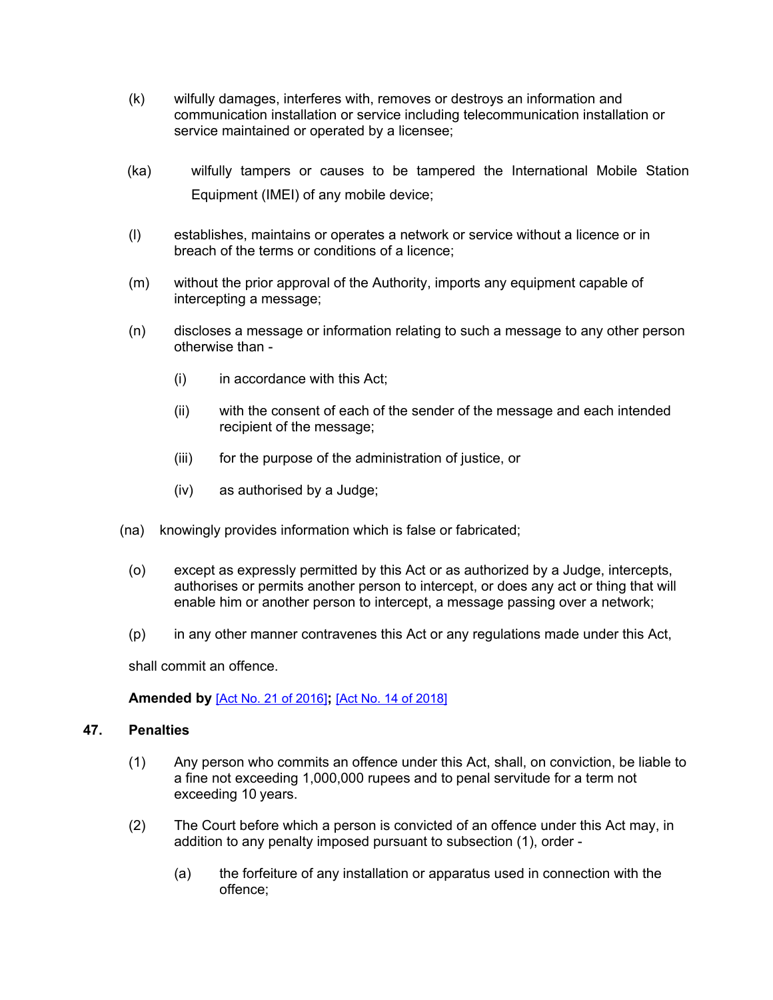- (k) wilfully damages, interferes with, removes or destroys an information and communication installation or service including telecommunication installation or service maintained or operated by a licensee;
- (ka) wilfully tampers or causes to be tampered the International Mobile Station Equipment (IMEI) of any mobile device;
- (l) establishes, maintains or operates a network or service without a licence or in breach of the terms or conditions of a licence;
- (m) without the prior approval of the Authority, imports any equipment capable of intercepting a message;
- (n) discloses a message or information relating to such a message to any other person otherwise than -
	- (i) in accordance with this Act;
	- (ii) with the consent of each of the sender of the message and each intended recipient of the message;
	- (iii) for the purpose of the administration of justice, or
	- (iv) as authorised by a Judge;
- (na) knowingly provides information which is false or fabricated;
	- (o) except as expressly permitted by this Act or as authorized by a Judge, intercepts, authorises or permits another person to intercept, or does any act or thing that will enable him or another person to intercept, a message passing over a network;
	- (p) in any other manner contravenes this Act or any regulations made under this Act,

shall commit an offence.

<span id="page-38-0"></span>**Amended by** [Act No. 21 of [2016\]](https://supremecourt.govmu.org/_layouts/CLIS.DMS/search/searchdocumentbykey.aspx?ID=%5BAct%20No.%2021%20of%202016%5D&list=Legislations)**;** [Act No. 14 of [2018\]](https://supremecourt.govmu.org/_layouts/CLIS.DMS/search/searchdocumentbykey.aspx?ID=%5BAct%20No.%2014%20of%202018%5D&list=Legislations)

# **47. Penalties**

- (1) Any person who commits an offence under this Act, shall, on conviction, be liable to a fine not exceeding 1,000,000 rupees and to penal servitude for a term not exceeding 10 years.
- (2) The Court before which a person is convicted of an offence under this Act may, in addition to any penalty imposed pursuant to subsection (1), order -
	- (a) the forfeiture of any installation or apparatus used in connection with the offence;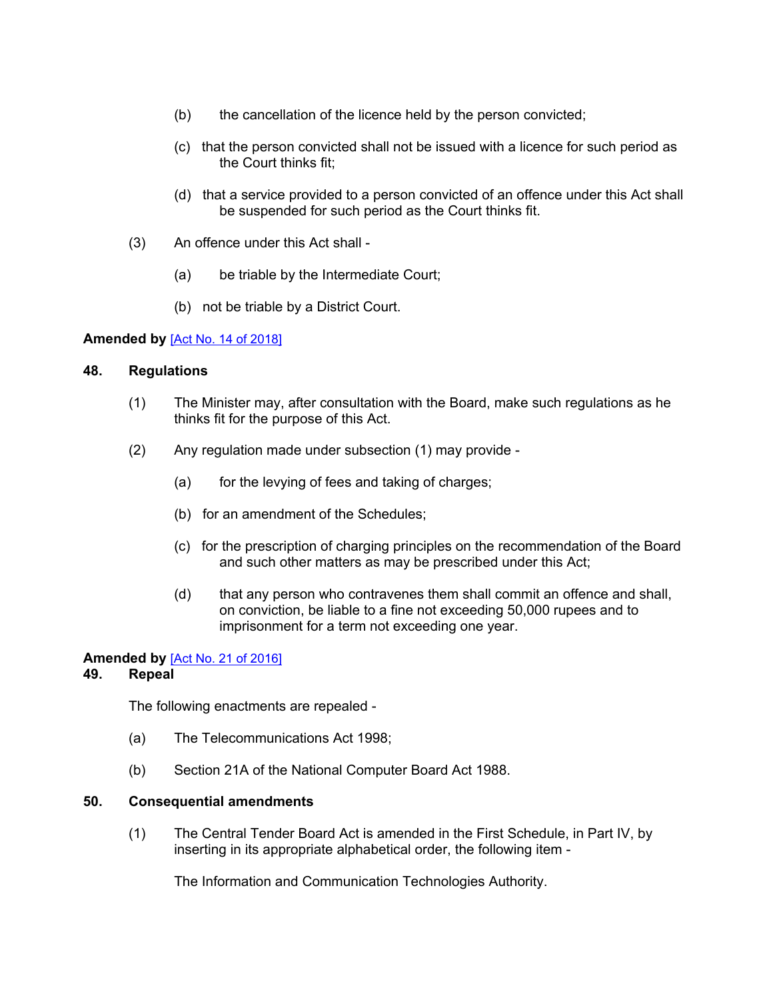- (b) the cancellation of the licence held by the person convicted;
- (c) that the person convicted shall not be issued with a licence for such period as the Court thinks fit;
- (d) that a service provided to a person convicted of an offence under this Act shall be suspended for such period as the Court thinks fit.
- (3) An offence under this Act shall
	- (a) be triable by the Intermediate Court;
	- (b) not be triable by a District Court.

#### **Amended by** [Act No. 14 of [2018\]](https://supremecourt.govmu.org/_layouts/CLIS.DMS/search/searchdocumentbykey.aspx?ID=%5BAct%20No.%2014%20of%202018%5D&list=Legislations)

#### **48. Regulations**

- <span id="page-39-0"></span>(1) The Minister may, after consultation with the Board, make such regulations as he thinks fit for the purpose of this Act.
- (2) Any regulation made under subsection (1) may provide
	- (a) for the levying of fees and taking of charges;
	- (b) for an amendment of the Schedules;
	- (c) for the prescription of charging principles on the recommendation of the Board and such other matters as may be prescribed under this Act;
	- (d) that any person who contravenes them shall commit an offence and shall, on conviction, be liable to a fine not exceeding 50,000 rupees and to imprisonment for a term not exceeding one year.

#### **Amended by** [Act No. 21 of [2016\]](https://supremecourt.govmu.org/_layouts/CLIS.DMS/search/searchdocumentbykey.aspx?ID=%5BAct%20No.%2021%20of%202016%5D&list=Legislations)

# **49. Repeal**

<span id="page-39-1"></span>The following enactments are repealed -

- (a) The Telecommunications Act 1998;
- <span id="page-39-2"></span>(b) Section 21A of the National Computer Board Act 1988.

#### **50. Consequential amendments**

(1) The Central Tender Board Act is amended in the First Schedule, in Part IV, by inserting in its appropriate alphabetical order, the following item -

The Information and Communication Technologies Authority.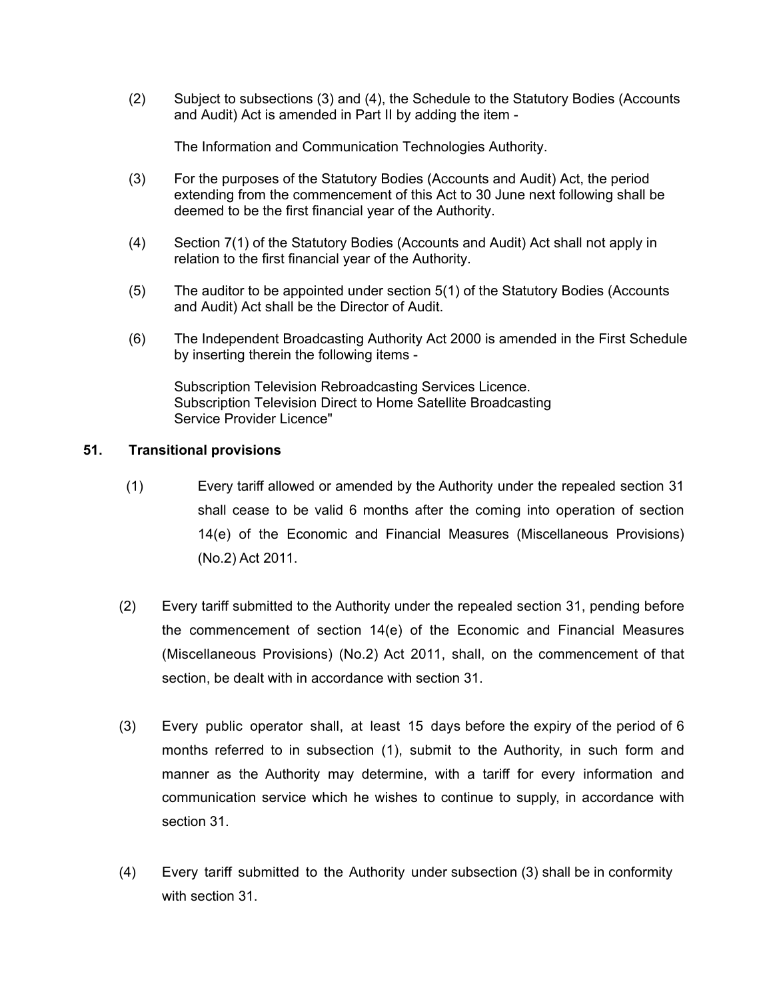(2) Subject to subsections (3) and (4), the Schedule to the Statutory Bodies (Accounts and Audit) Act is amended in Part II by adding the item -

The Information and Communication Technologies Authority.

- (3) For the purposes of the Statutory Bodies (Accounts and Audit) Act, the period extending from the commencement of this Act to 30 June next following shall be deemed to be the first financial year of the Authority.
- (4) Section 7(1) of the Statutory Bodies (Accounts and Audit) Act shall not apply in relation to the first financial year of the Authority.
- (5) The auditor to be appointed under section 5(1) of the Statutory Bodies (Accounts and Audit) Act shall be the Director of Audit.
- (6) The Independent Broadcasting Authority Act 2000 is amended in the First Schedule by inserting therein the following items -

Subscription Television Rebroadcasting Services Licence. Subscription Television Direct to Home Satellite Broadcasting Service Provider Licence"

# **51. Transitional provisions**

- <span id="page-40-0"></span>(1) Every tariff allowed or amended by the Authority under the repealed section 31 shall cease to be valid 6 months after the coming into operation of section 14(e) of the Economic and Financial Measures (Miscellaneous Provisions) (No.2) Act 2011.
- (2) Every tariff submitted to the Authority under the repealed section 31, pending before the commencement of section 14(e) of the Economic and Financial Measures (Miscellaneous Provisions) (No.2) Act 2011, shall, on the commencement of that section, be dealt with in accordance with section 31.
- (3) Every public operator shall, at least 15 days before the expiry of the period of 6 months referred to in subsection (1), submit to the Authority, in such form and manner as the Authority may determine, with a tariff for every information and communication service which he wishes to continue to supply, in accordance with section 31.
- (4) Every tariff submitted to the Authority under subsection (3) shall be in conformity with section 31.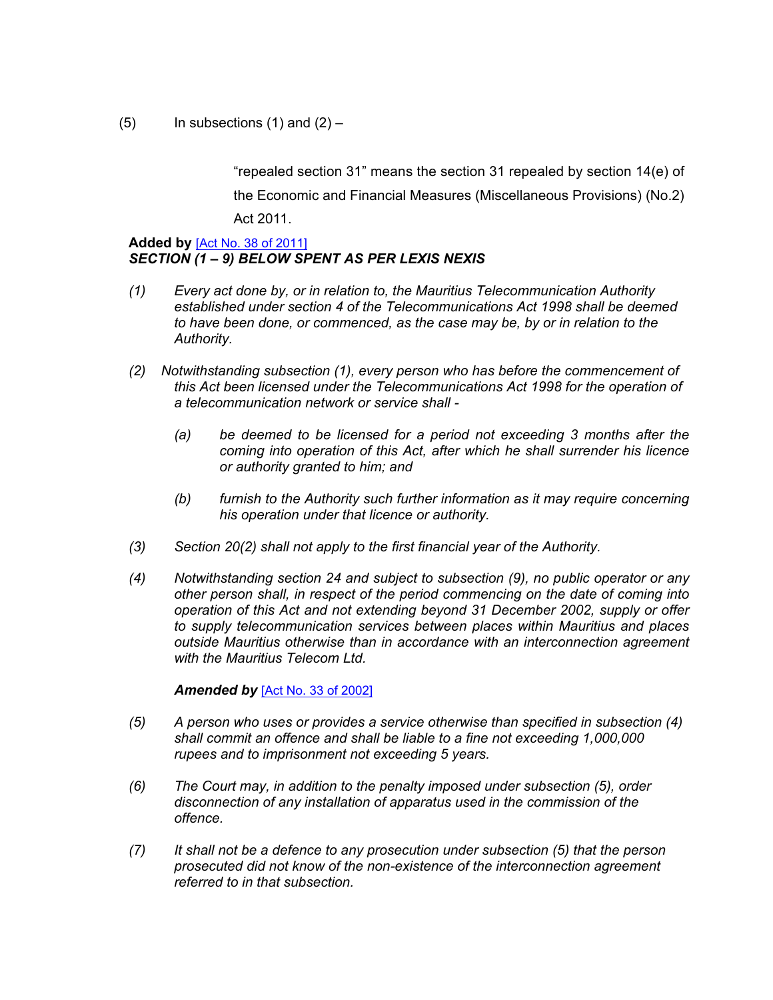$(5)$  In subsections  $(1)$  and  $(2)$  –

"repealed section 31" means the section 31 repealed by section 14(e) of the Economic and Financial Measures (Miscellaneous Provisions) (No.2) Act 2011.

#### **Added by** [Act No. 38 of [2011\]](https://supremecourt.govmu.org/_layouts/CLIS.DMS/search/searchdocumentbykey.aspx?ID=%5BAct%20No.%2038%20of%202011%5D&list=Legislations) *SECTION (1 – 9) BELOW SPENT AS PER LEXIS NEXIS*

- *(1) Every act done by, or in relation to, the Mauritius Telecommunication Authority established under section 4 of the Telecommunications Act 1998 shall be deemed to have been done, or commenced, as the case may be, by or in relation to the Authority.*
- *(2) Notwithstanding subsection (1), every person who has before the commencement of this Act been licensed under the Telecommunications Act 1998 for the operation of a telecommunication network or service shall -*
	- *(a) be deemed to be licensed for a period not exceeding 3 months after the coming into operation of this Act, after which he shall surrender his licence or authority granted to him; and*
	- *(b) furnish to the Authority such further information as it may require concerning his operation under that licence or authority.*
- *(3) Section 20(2) shall not apply to the first financial year of the Authority.*
- *(4) Notwithstanding section 24 and subject to subsection (9), no public operator or any other person shall, in respect of the period commencing on the date of coming into operation of this Act and not extending beyond 31 December 2002, supply or offer to supply telecommunication services between places within Mauritius and places outside Mauritius otherwise than in accordance with an interconnection agreement with the Mauritius Telecom Ltd.*

#### *Amended by* [Act No. 33 of [2002\]](https://supremecourt.govmu.org/_layouts/CLIS.DMS/search/searchdocumentbykey.aspx?ID=%5BAct%20No.%2033%20of%202002%5D&list=Legislations)

- *(5) A person who uses or provides a service otherwise than specified in subsection (4) shall commit an offence and shall be liable to a fine not exceeding 1,000,000 rupees and to imprisonment not exceeding 5 years.*
- *(6) The Court may, in addition to the penalty imposed under subsection (5), order disconnection of any installation of apparatus used in the commission of the offence.*
- *(7) It shall not be a defence to any prosecution under subsection (5) that the person prosecuted did not know of the non-existence of the interconnection agreement referred to in that subsection.*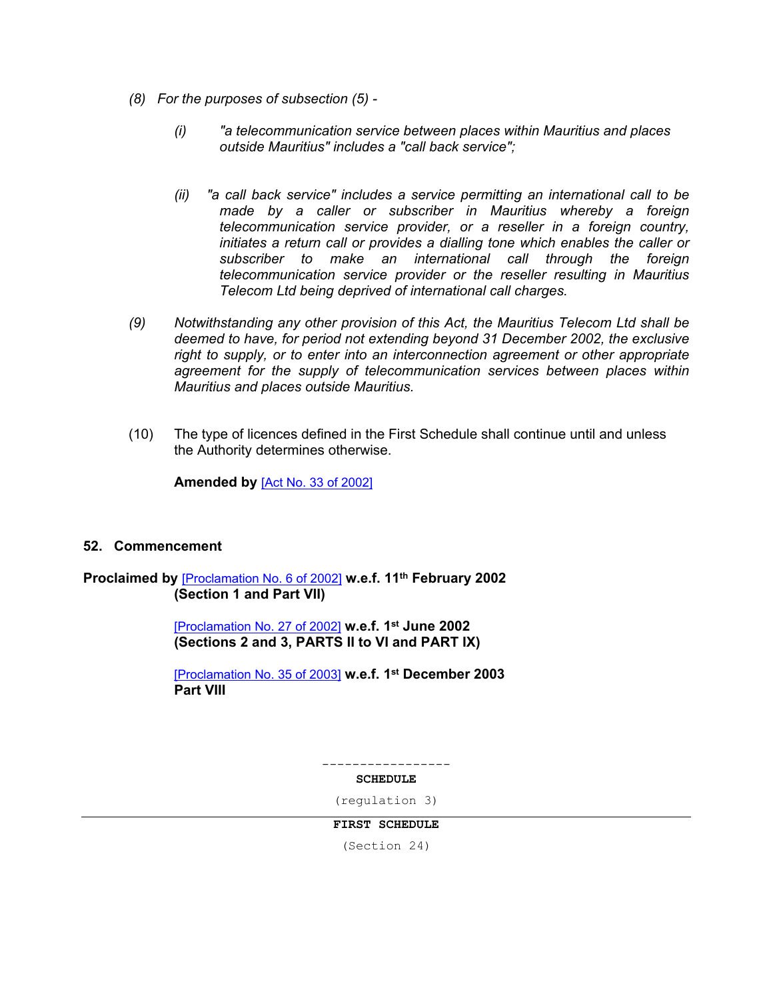- *(8) For the purposes of subsection (5) -*
	- *(i) "a telecommunication service between places within Mauritius and places outside Mauritius" includes a "call back service";*
	- *(ii) "a call back service" includes a service permitting an international call to be made by a caller or subscriber in Mauritius whereby a foreign telecommunication service provider, or a reseller in a foreign country, initiates a return call or provides a dialling tone which enables the caller or subscriber to make an international call through the foreign telecommunication service provider or the reseller resulting in Mauritius Telecom Ltd being deprived of international call charges.*
- *(9) Notwithstanding any other provision of this Act, the Mauritius Telecom Ltd shall be deemed to have, for period not extending beyond 31 December 2002, the exclusive right to supply, or to enter into an interconnection agreement or other appropriate agreement for the supply of telecommunication services between places within Mauritius and places outside Mauritius.*
- (10) The type of licences defined in the First Schedule shall continue until and unless the Authority determines otherwise.

**Amended by** [Act No. 33 of [2002\]](https://supremecourt.govmu.org/_layouts/CLIS.DMS/search/searchdocumentbykey.aspx?ID=%5BAct%20No.%2033%20of%202002%5D&list=Legislations)

# <span id="page-42-0"></span>**52. Commencement**

#### **Proclaimed by** [\[Proclamation](https://supremecourt.govmu.org/_layouts/CLIS.DMS/search/searchdocumentbykey.aspx?ID=%5BProclamation%20No.%206%20of%202002%5D&list=Legislations) No. 6 of 2002] **w.e.f. 11th February 2002 (Section 1 and Part VII)**

[\[Proclamation](https://supremecourt.govmu.org/_layouts/CLIS.DMS/search/searchdocumentbykey.aspx?ID=%5BProclamation%20No.%2027%20of%202002%5D&list=Legislations) No. 27 of 2002] **w.e.f. 1 st June 2002 (Sections 2 and 3, PARTS II to VI and PART IX)**

[\[Proclamation](https://supremecourt.govmu.org/_layouts/CLIS.DMS/search/searchdocumentbykey.aspx?ID=%5BProclamation%20No.%2035%20of%202003%5D&list=Legislations) No. 35 of 2003] **w.e.f. 1 st December 2003 Part VIII**

-----------------

#### **SCHEDULE**

(regulation 3)

#### **FIRST SCHEDULE**

(Section 24)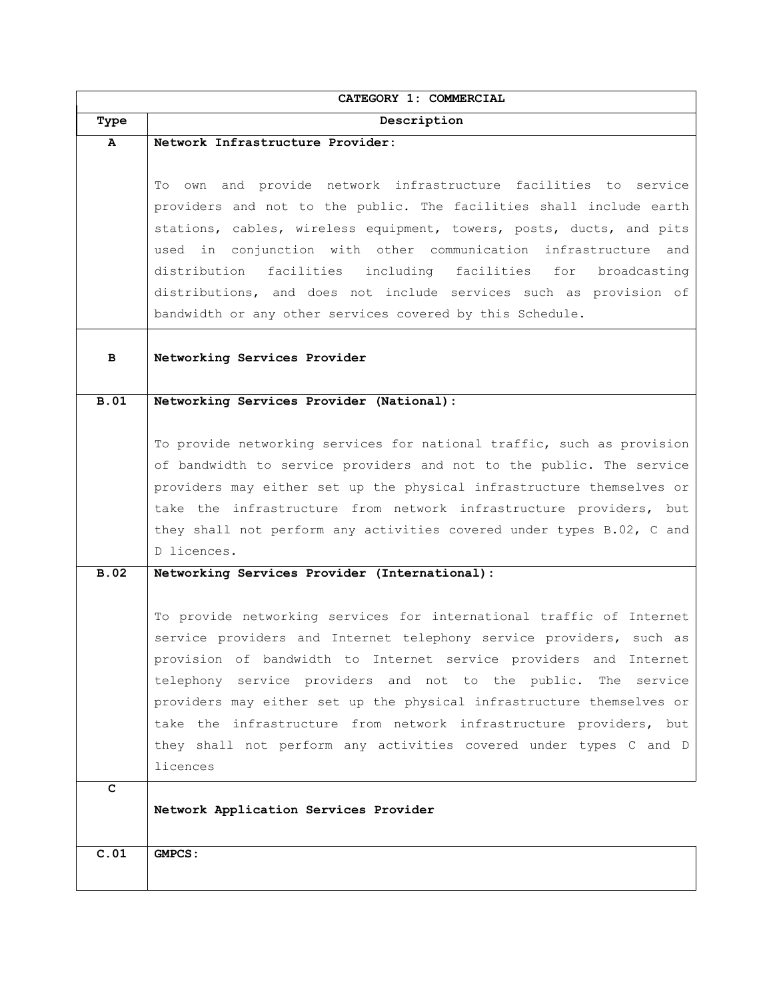|             | CATEGORY 1: COMMERCIAL                                                                                                                        |
|-------------|-----------------------------------------------------------------------------------------------------------------------------------------------|
| Type        | Description                                                                                                                                   |
| A           | Network Infrastructure Provider:                                                                                                              |
|             |                                                                                                                                               |
|             | To own and provide network infrastructure facilities to service                                                                               |
|             | providers and not to the public. The facilities shall include earth                                                                           |
|             | stations, cables, wireless equipment, towers, posts, ducts, and pits                                                                          |
|             | used in conjunction with other communication infrastructure and                                                                               |
|             | distribution facilities including facilities for<br>broadcasting                                                                              |
|             | distributions, and does not include services such as provision of                                                                             |
|             | bandwidth or any other services covered by this Schedule.                                                                                     |
|             |                                                                                                                                               |
| в           | Networking Services Provider                                                                                                                  |
|             |                                                                                                                                               |
| <b>B.01</b> | Networking Services Provider (National):                                                                                                      |
|             |                                                                                                                                               |
|             | To provide networking services for national traffic, such as provision                                                                        |
|             | of bandwidth to service providers and not to the public. The service<br>providers may either set up the physical infrastructure themselves or |
|             | take the infrastructure from network infrastructure providers, but                                                                            |
|             | they shall not perform any activities covered under types B.02, C and                                                                         |
|             | D licences.                                                                                                                                   |
| <b>B.02</b> | Networking Services Provider (International):                                                                                                 |
|             |                                                                                                                                               |
|             | To provide networking services for international traffic of Internet                                                                          |
|             | service providers and Internet telephony service providers, such as                                                                           |
|             | provision of bandwidth to Internet service providers and Internet                                                                             |
|             | telephony service providers and not to the public. The service                                                                                |
|             | providers may either set up the physical infrastructure themselves or                                                                         |
|             | take the infrastructure from network infrastructure providers, but                                                                            |
|             | they shall not perform any activities covered under types C and D                                                                             |
|             | licences                                                                                                                                      |
| с           |                                                                                                                                               |
|             | Network Application Services Provider                                                                                                         |
|             |                                                                                                                                               |
| C.01        | GMPCS:                                                                                                                                        |
|             |                                                                                                                                               |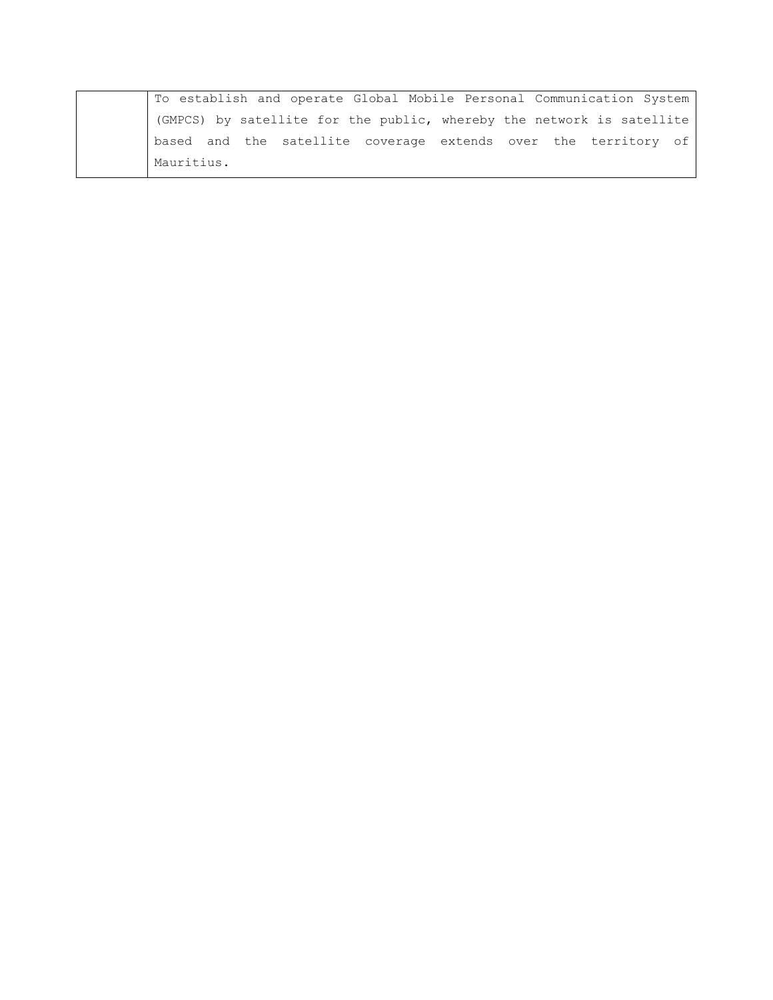| To establish and operate Global Mobile Personal Communication System  |
|-----------------------------------------------------------------------|
| (GMPCS) by satellite for the public, whereby the network is satellite |
| based and the satellite coverage extends over the territory of        |
| Mauritius.                                                            |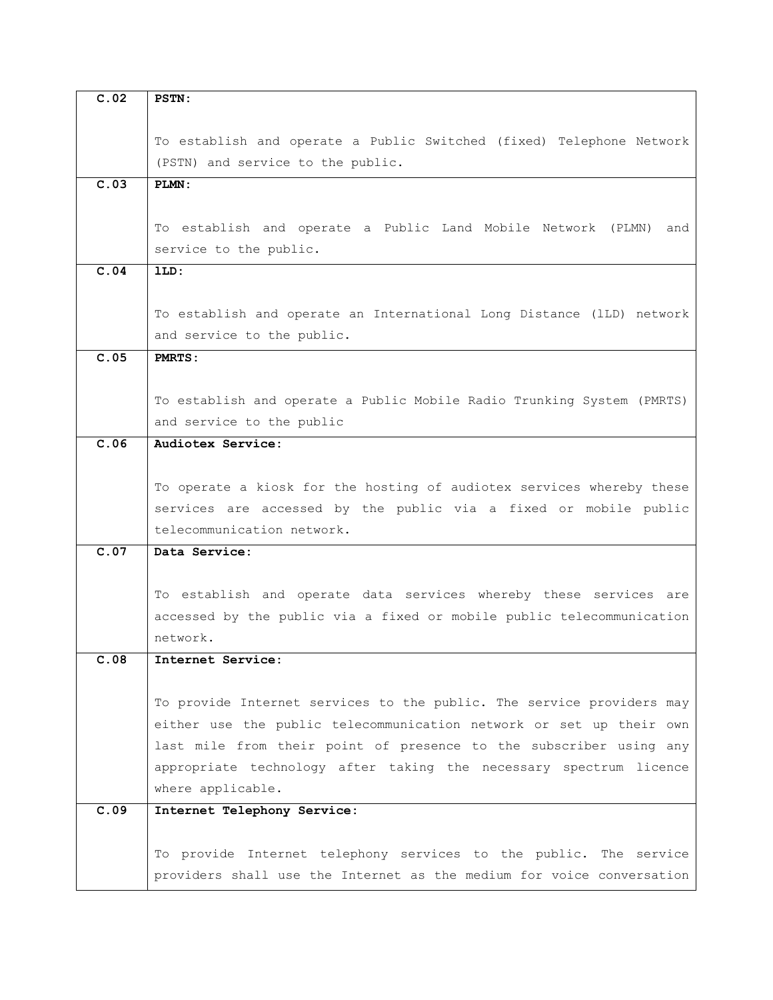| C.02 | <b>PSTN:</b>                                                           |
|------|------------------------------------------------------------------------|
|      |                                                                        |
|      | To establish and operate a Public Switched (fixed) Telephone Network   |
|      | (PSTN) and service to the public.                                      |
| C.03 | PLMN:                                                                  |
|      |                                                                        |
|      | To establish and operate a Public Land Mobile Network (PLMN) and       |
|      | service to the public.                                                 |
| C.04 | lLD:                                                                   |
|      |                                                                        |
|      | To establish and operate an International Long Distance (lLD) network  |
|      | and service to the public.                                             |
| C.05 | PMRTS:                                                                 |
|      |                                                                        |
|      | To establish and operate a Public Mobile Radio Trunking System (PMRTS) |
|      | and service to the public                                              |
| C.06 | Audiotex Service:                                                      |
|      |                                                                        |
|      | To operate a kiosk for the hosting of audiotex services whereby these  |
|      | services are accessed by the public via a fixed or mobile public       |
|      | telecommunication network.                                             |
| C.07 | Data Service:                                                          |
|      |                                                                        |
|      | To establish and operate data services whereby these services are      |
|      | accessed by the public via a fixed or mobile public telecommunication  |
|      | network.                                                               |
| C.O8 | Internet Service:                                                      |
|      |                                                                        |
|      | To provide Internet services to the public. The service providers may  |
|      | either use the public telecommunication network or set up their own    |
|      | last mile from their point of presence to the subscriber using any     |
|      | appropriate technology after taking the necessary spectrum licence     |
|      | where applicable.                                                      |
| C.09 | Internet Telephony Service:                                            |
|      |                                                                        |
|      | To provide Internet telephony services to the public. The service      |
|      | providers shall use the Internet as the medium for voice conversation  |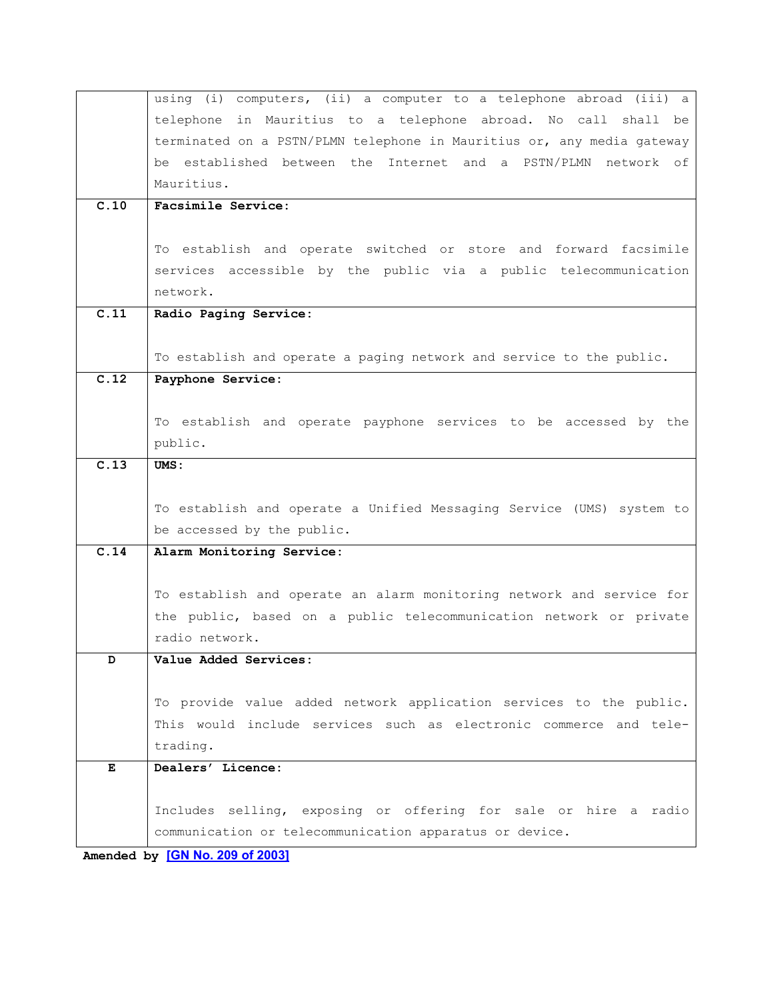|                   | using (i) computers, (ii) a computer to a telephone abroad (iii) a     |
|-------------------|------------------------------------------------------------------------|
|                   | telephone in Mauritius to a telephone abroad. No call shall be         |
|                   | terminated on a PSTN/PLMN telephone in Mauritius or, any media gateway |
|                   | be established between the Internet and a PSTN/PLMN network of         |
|                   | Mauritius.                                                             |
| $\overline{C.10}$ | Facsimile Service:                                                     |
|                   |                                                                        |
|                   | To establish and operate switched or store and forward facsimile       |
|                   | services accessible by the public via a public telecommunication       |
|                   | network.                                                               |
| $\overline{c.11}$ | Radio Paging Service:                                                  |
|                   |                                                                        |
|                   | To establish and operate a paging network and service to the public.   |
| C.12              | Payphone Service:                                                      |
|                   |                                                                        |
|                   | To establish and operate payphone services to be accessed by the       |
|                   | public.                                                                |
| $\overline{C.13}$ | UMS:                                                                   |
|                   |                                                                        |
|                   | To establish and operate a Unified Messaging Service (UMS) system to   |
|                   | be accessed by the public.                                             |
| C.14              | Alarm Monitoring Service:                                              |
|                   |                                                                        |
|                   | To establish and operate an alarm monitoring network and service for   |
|                   | the public, based on a public telecommunication network or private     |
|                   | radio network.                                                         |
| D                 | Value Added Services:                                                  |
|                   |                                                                        |
|                   | To provide value added network application services to the public.     |
|                   | This would include services such as electronic commerce and tele-      |
|                   | trading.                                                               |
| Е                 | Dealers' Licence:                                                      |
|                   |                                                                        |
|                   | Includes selling, exposing or offering for sale or hire a radio        |
|                   | communication or telecommunication apparatus or device.                |

**Amended by [GN No. 209 of [2003\]](https://supremecourt.govmu.org/_layouts/CLIS.DMS/search/searchdocumentbykey.aspx?ID=%5BGN%20No.%20209%20of%202003%5D&list=Legislations)**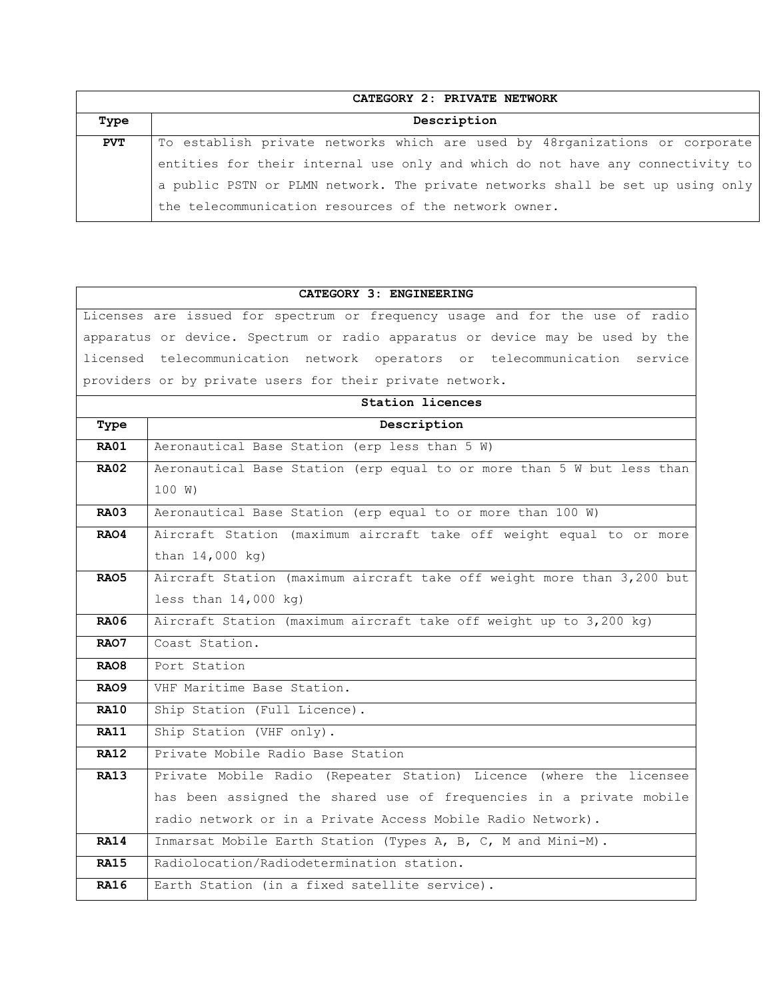|            | CATEGORY 2: PRIVATE NETWORK                                                    |
|------------|--------------------------------------------------------------------------------|
| Type       | Description                                                                    |
| <b>PVT</b> | To establish private networks which are used by 48rganizations or corporate    |
|            | entities for their internal use only and which do not have any connectivity to |
|            | a public PSTN or PLMN network. The private networks shall be set up using only |
|            | the telecommunication resources of the network owner.                          |

#### **CATEGORY 3: ENGINEERING**

Licenses are issued for spectrum or frequency usage and for the use of radio apparatus or device. Spectrum or radio apparatus or device may be used by the licensed telecommunication network operators or telecommunication service providers or by private users for their private network.

|                  | <b>Station licences</b>                                                |  |
|------------------|------------------------------------------------------------------------|--|
| Type             | Description                                                            |  |
| <b>RA01</b>      | Aeronautical Base Station (erp less than 5 W)                          |  |
| RA02             | Aeronautical Base Station (erp equal to or more than 5 W but less than |  |
|                  | 100 W)                                                                 |  |
| <b>RA03</b>      | Aeronautical Base Station (erp equal to or more than 100 W)            |  |
| RAO4             | Aircraft Station (maximum aircraft take off weight equal to or more    |  |
|                  | than 14,000 kg)                                                        |  |
| RAO5             | Aircraft Station (maximum aircraft take off weight more than 3,200 but |  |
|                  | less than $14,000$ kg)                                                 |  |
| <b>RA06</b>      | Aircraft Station (maximum aircraft take off weight up to 3,200 kg)     |  |
| RAO7             | Coast Station.                                                         |  |
| RAO <sub>8</sub> | Port Station                                                           |  |
| RAO9             | VHF Maritime Base Station.                                             |  |
| <b>RA10</b>      | Ship Station (Full Licence).                                           |  |
| <b>RA11</b>      | Ship Station (VHF only).                                               |  |
| <b>RA12</b>      | Private Mobile Radio Base Station                                      |  |
| <b>RA13</b>      | Private Mobile Radio (Repeater Station) Licence (where the licensee    |  |
|                  | has been assigned the shared use of frequencies in a private mobile    |  |
|                  | radio network or in a Private Access Mobile Radio Network).            |  |
| <b>RA14</b>      | Inmarsat Mobile Earth Station (Types A, B, C, M and Mini-M).           |  |
| <b>RA15</b>      | Radiolocation/Radiodetermination station.                              |  |
| <b>RA16</b>      | Earth Station (in a fixed satellite service).                          |  |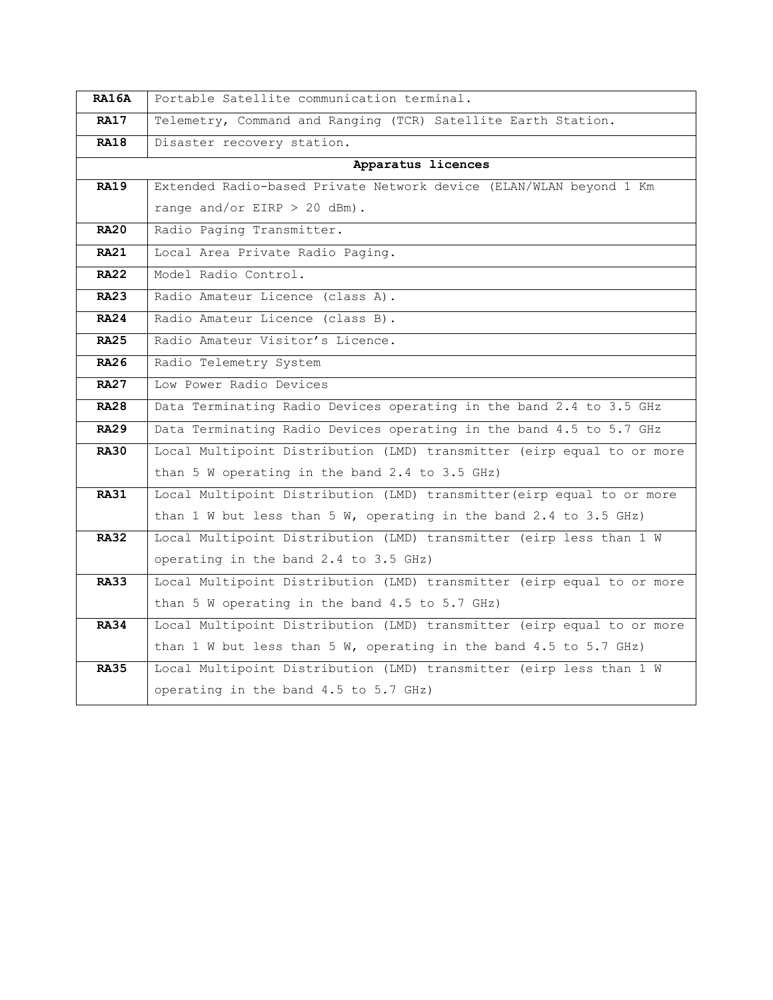| <b>RA16A</b> | Portable Satellite communication terminal.                             |
|--------------|------------------------------------------------------------------------|
| <b>RA17</b>  | Telemetry, Command and Ranging (TCR) Satellite Earth Station.          |
| <b>RA18</b>  | Disaster recovery station.                                             |
|              | Apparatus licences                                                     |
| RA19         | Extended Radio-based Private Network device (ELAN/WLAN beyond 1 Km     |
|              | range and/or EIRP $> 20$ dBm).                                         |
| <b>RA20</b>  | Radio Paging Transmitter.                                              |
| <b>RA21</b>  | Local Area Private Radio Paging.                                       |
| <b>RA22</b>  | Model Radio Control.                                                   |
| <b>RA23</b>  | Radio Amateur Licence (class A).                                       |
| <b>RA24</b>  | Radio Amateur Licence (class B).                                       |
| <b>RA25</b>  | Radio Amateur Visitor's Licence.                                       |
| <b>RA26</b>  | Radio Telemetry System                                                 |
| <b>RA27</b>  | Low Power Radio Devices                                                |
| <b>RA28</b>  | Data Terminating Radio Devices operating in the band 2.4 to 3.5 GHz    |
| <b>RA29</b>  | Data Terminating Radio Devices operating in the band 4.5 to 5.7 GHz    |
| <b>RA30</b>  | Local Multipoint Distribution (LMD) transmitter (eirp equal to or more |
|              | than 5 W operating in the band 2.4 to 3.5 GHz)                         |
| <b>RA31</b>  | Local Multipoint Distribution (LMD) transmitter (eirp equal to or more |
|              | than 1 W but less than 5 W, operating in the band 2.4 to 3.5 GHz)      |
| <b>RA32</b>  | Local Multipoint Distribution (LMD) transmitter (eirp less than 1 W    |
|              | operating in the band 2.4 to 3.5 GHz)                                  |
| <b>RA33</b>  | Local Multipoint Distribution (LMD) transmitter (eirp equal to or more |
|              | than 5 W operating in the band 4.5 to 5.7 GHz)                         |
| <b>RA34</b>  | Local Multipoint Distribution (LMD) transmitter (eirp equal to or more |
|              | than 1 W but less than 5 W, operating in the band 4.5 to 5.7 GHz)      |
| <b>RA35</b>  | Local Multipoint Distribution (LMD) transmitter (eirp less than 1 W    |
|              | operating in the band 4.5 to 5.7 GHz)                                  |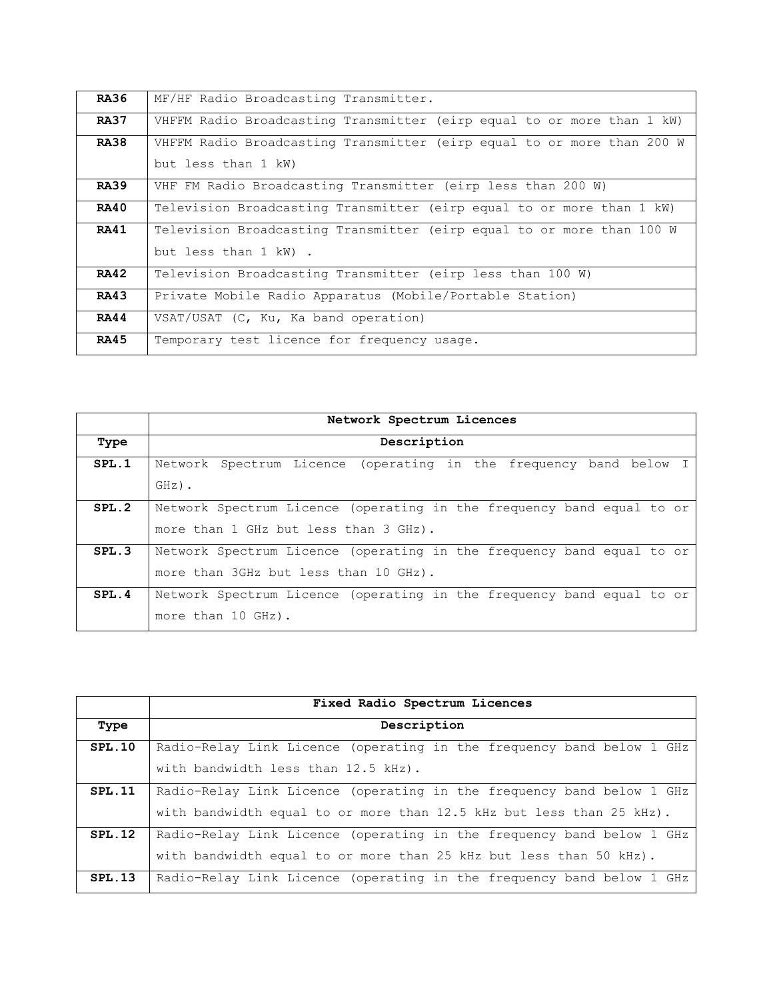| <b>RA36</b> | MF/HF Radio Broadcasting Transmitter.                                  |
|-------------|------------------------------------------------------------------------|
| <b>RA37</b> | VHFFM Radio Broadcasting Transmitter (eirp equal to or more than 1 kW) |
| <b>RA38</b> | VHFFM Radio Broadcasting Transmitter (eirp equal to or more than 200 W |
|             | but less than 1 kW)                                                    |
| <b>RA39</b> | VHF FM Radio Broadcasting Transmitter (eirp less than 200 W)           |
| <b>RA40</b> | Television Broadcasting Transmitter (eirp equal to or more than 1 kW)  |
| <b>RA41</b> | Television Broadcasting Transmitter (eirp equal to or more than 100 W  |
|             | but less than 1 kW).                                                   |
| <b>RA42</b> | Television Broadcasting Transmitter (eirp less than 100 W)             |
| <b>RA43</b> | Private Mobile Radio Apparatus (Mobile/Portable Station)               |
| <b>RA44</b> | VSAT/USAT (C, Ku, Ka band operation)                                   |
| <b>RA45</b> | Temporary test licence for frequency usage.                            |

|       | Network Spectrum Licences                                             |
|-------|-----------------------------------------------------------------------|
| Type  | Description                                                           |
| SPL.1 | Network Spectrum Licence (operating in the frequency band below I     |
|       | $GHZ)$ .                                                              |
| SPL.2 | Network Spectrum Licence (operating in the frequency band equal to or |
|       | more than 1 GHz but less than 3 GHz).                                 |
| SPL.3 | Network Spectrum Licence (operating in the frequency band equal to or |
|       | more than 3GHz but less than 10 GHz).                                 |
| SPL.4 | Network Spectrum Licence (operating in the frequency band equal to or |
|       | more than 10 GHz).                                                    |

|        | Fixed Radio Spectrum Licences                                         |
|--------|-----------------------------------------------------------------------|
| Type   | Description                                                           |
| SPL.10 | Radio-Relay Link Licence (operating in the frequency band below 1 GHz |
|        | with bandwidth less than 12.5 kHz).                                   |
| SPL.11 | Radio-Relay Link Licence (operating in the frequency band below 1 GHz |
|        | with bandwidth equal to or more than 12.5 kHz but less than 25 kHz).  |
| SPL.12 | Radio-Relay Link Licence (operating in the frequency band below 1 GHz |
|        | with bandwidth equal to or more than 25 kHz but less than 50 kHz).    |
| SPL.13 | Radio-Relay Link Licence (operating in the frequency band below 1 GHz |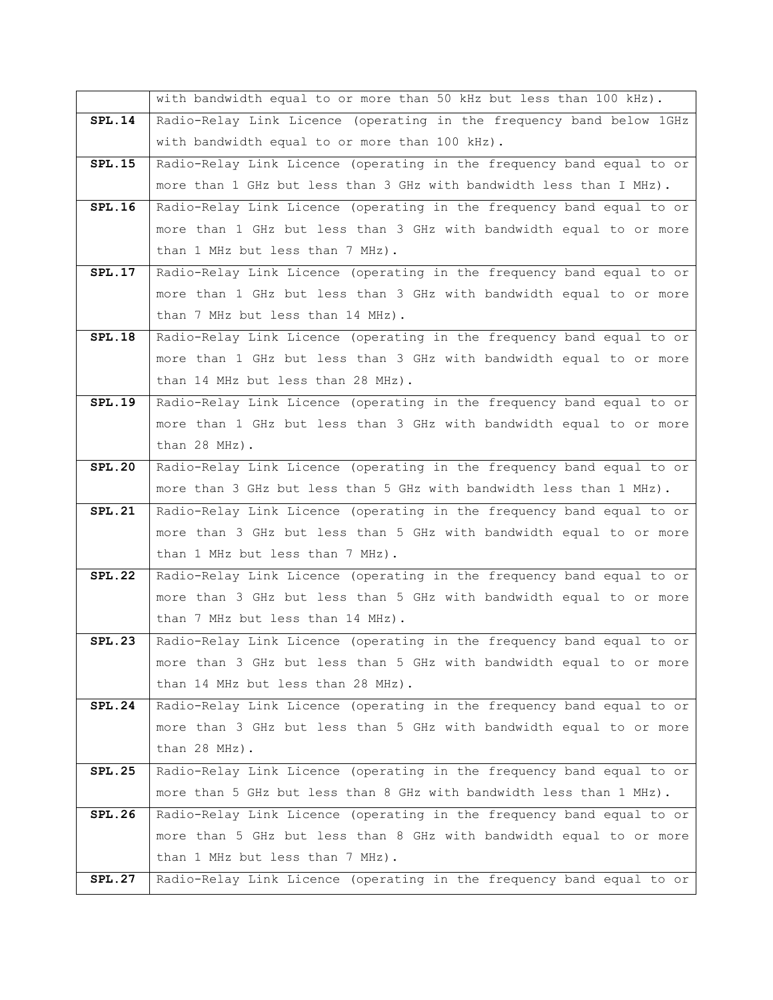|               | with bandwidth equal to or more than 50 kHz but less than 100 kHz).   |
|---------------|-----------------------------------------------------------------------|
| <b>SPL.14</b> | Radio-Relay Link Licence (operating in the frequency band below 1GHz  |
|               | with bandwidth equal to or more than 100 kHz).                        |
| SPL.15        | Radio-Relay Link Licence (operating in the frequency band equal to or |
|               | more than 1 GHz but less than 3 GHz with bandwidth less than I MHz).  |
| <b>SPL.16</b> | Radio-Relay Link Licence (operating in the frequency band equal to or |
|               | more than 1 GHz but less than 3 GHz with bandwidth equal to or more   |
|               | than 1 MHz but less than 7 MHz).                                      |
| <b>SPL.17</b> | Radio-Relay Link Licence (operating in the frequency band equal to or |
|               | more than 1 GHz but less than 3 GHz with bandwidth equal to or more   |
|               | than 7 MHz but less than 14 MHz).                                     |
| <b>SPL.18</b> | Radio-Relay Link Licence (operating in the frequency band equal to or |
|               | more than 1 GHz but less than 3 GHz with bandwidth equal to or more   |
|               | than 14 MHz but less than 28 MHz).                                    |
| <b>SPL.19</b> | Radio-Relay Link Licence (operating in the frequency band equal to or |
|               | more than 1 GHz but less than 3 GHz with bandwidth equal to or more   |
|               | than 28 MHz).                                                         |
| <b>SPL.20</b> | Radio-Relay Link Licence (operating in the frequency band equal to or |
|               | more than 3 GHz but less than 5 GHz with bandwidth less than 1 MHz).  |
| <b>SPL.21</b> | Radio-Relay Link Licence (operating in the frequency band equal to or |
|               | more than 3 GHz but less than 5 GHz with bandwidth equal to or more   |
|               | than 1 MHz but less than 7 MHz).                                      |
| <b>SPL.22</b> | Radio-Relay Link Licence (operating in the frequency band equal to or |
|               | more than 3 GHz but less than 5 GHz with bandwidth equal to or more   |
|               | than 7 MHz but less than 14 MHz).                                     |
| <b>SPL.23</b> | Radio-Relay Link Licence (operating in the frequency band equal to or |
|               | more than 3 GHz but less than 5 GHz with bandwidth equal to or more   |
|               | than 14 MHz but less than 28 MHz).                                    |
| SPL.24        | Radio-Relay Link Licence (operating in the frequency band equal to or |
|               | more than 3 GHz but less than 5 GHz with bandwidth equal to or more   |
|               | than 28 MHz).                                                         |
| <b>SPL.25</b> | Radio-Relay Link Licence (operating in the frequency band equal to or |
|               | more than 5 GHz but less than 8 GHz with bandwidth less than 1 MHz).  |
| SPL.26        | Radio-Relay Link Licence (operating in the frequency band equal to or |
|               | more than 5 GHz but less than 8 GHz with bandwidth equal to or more   |
|               | than 1 MHz but less than 7 MHz).                                      |
| <b>SPL.27</b> | Radio-Relay Link Licence (operating in the frequency band equal to or |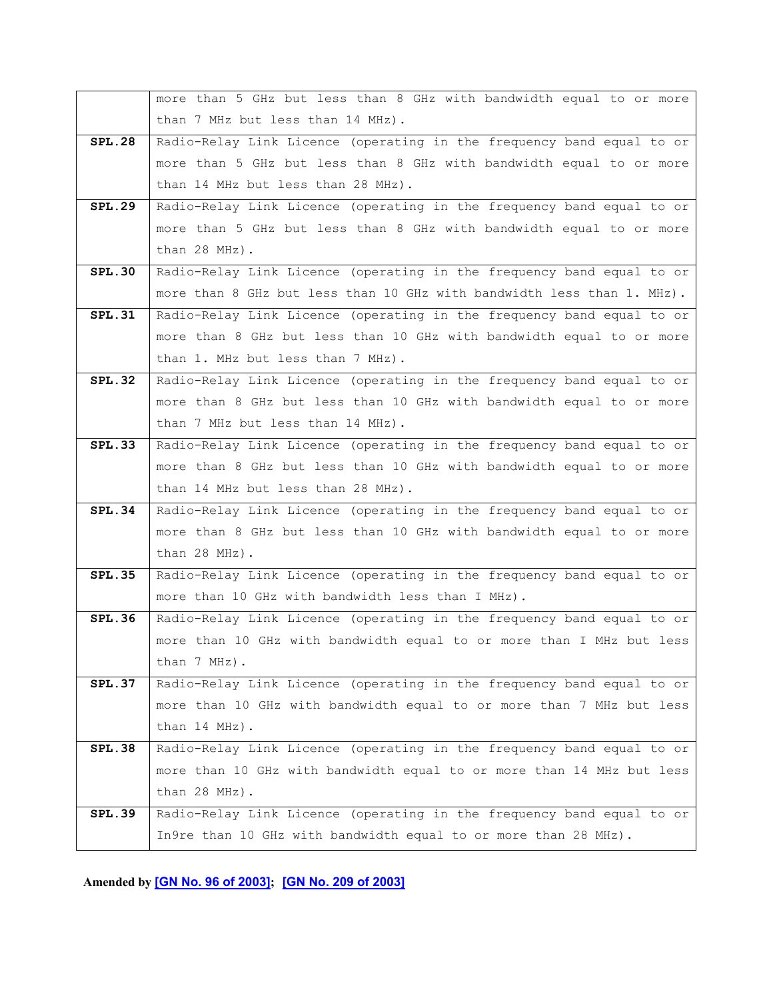|               | more than 5 GHz but less than 8 GHz with bandwidth equal to or more    |
|---------------|------------------------------------------------------------------------|
|               | than 7 MHz but less than 14 MHz).                                      |
| <b>SPL.28</b> | Radio-Relay Link Licence (operating in the frequency band equal to or  |
|               | more than 5 GHz but less than 8 GHz with bandwidth equal to or more    |
|               | than 14 MHz but less than 28 MHz).                                     |
| <b>SPL.29</b> | Radio-Relay Link Licence (operating in the frequency band equal to or  |
|               | more than 5 GHz but less than 8 GHz with bandwidth equal to or more    |
|               | than 28 MHz).                                                          |
| SPL.30        | Radio-Relay Link Licence (operating in the frequency band equal to or  |
|               | more than 8 GHz but less than 10 GHz with bandwidth less than 1. MHz). |
| <b>SPL.31</b> | Radio-Relay Link Licence (operating in the frequency band equal to or  |
|               | more than 8 GHz but less than 10 GHz with bandwidth equal to or more   |
|               | than 1. MHz but less than 7 MHz).                                      |
| <b>SPL.32</b> | Radio-Relay Link Licence (operating in the frequency band equal to or  |
|               | more than 8 GHz but less than 10 GHz with bandwidth equal to or more   |
|               | than 7 MHz but less than 14 MHz).                                      |
| <b>SPL.33</b> | Radio-Relay Link Licence (operating in the frequency band equal to or  |
|               | more than 8 GHz but less than 10 GHz with bandwidth equal to or more   |
|               | than 14 MHz but less than 28 MHz).                                     |
| SPL.34        | Radio-Relay Link Licence (operating in the frequency band equal to or  |
|               | more than 8 GHz but less than 10 GHz with bandwidth equal to or more   |
|               | than 28 MHz).                                                          |
| <b>SPL.35</b> | Radio-Relay Link Licence (operating in the frequency band equal to or  |
|               | more than 10 GHz with bandwidth less than I MHz).                      |
| SPL.36        | Radio-Relay Link Licence (operating in the frequency band equal to or  |
|               | more than 10 GHz with bandwidth equal to or more than I MHz but less   |
|               | than 7 MHz).                                                           |
| SPL.37        | Radio-Relay Link Licence (operating in the frequency band equal to or  |
|               | more than 10 GHz with bandwidth equal to or more than 7 MHz but less   |
|               | than 14 MHz).                                                          |
| <b>SPL.38</b> | Radio-Relay Link Licence (operating in the frequency band equal to or  |
|               | more than 10 GHz with bandwidth equal to or more than 14 MHz but less  |
|               | than 28 MHz).                                                          |
| <b>SPL.39</b> | Radio-Relay Link Licence (operating in the frequency band equal to or  |
|               | In9re than 10 GHz with bandwidth equal to or more than 28 MHz).        |

**Amended by [GN No. 96 of [2003\]](https://supremecourt.govmu.org/_layouts/CLIS.DMS/search/searchdocumentbykey.aspx?ID=%5BGN%20No.%2096%20of%202003%5D&list=Legislations); [GN No. 209 of [2003\]](https://supremecourt.govmu.org/_layouts/CLIS.DMS/search/searchdocumentbykey.aspx?ID=%5BGN%20No.%20209%20of%202003%5D&list=Legislations)**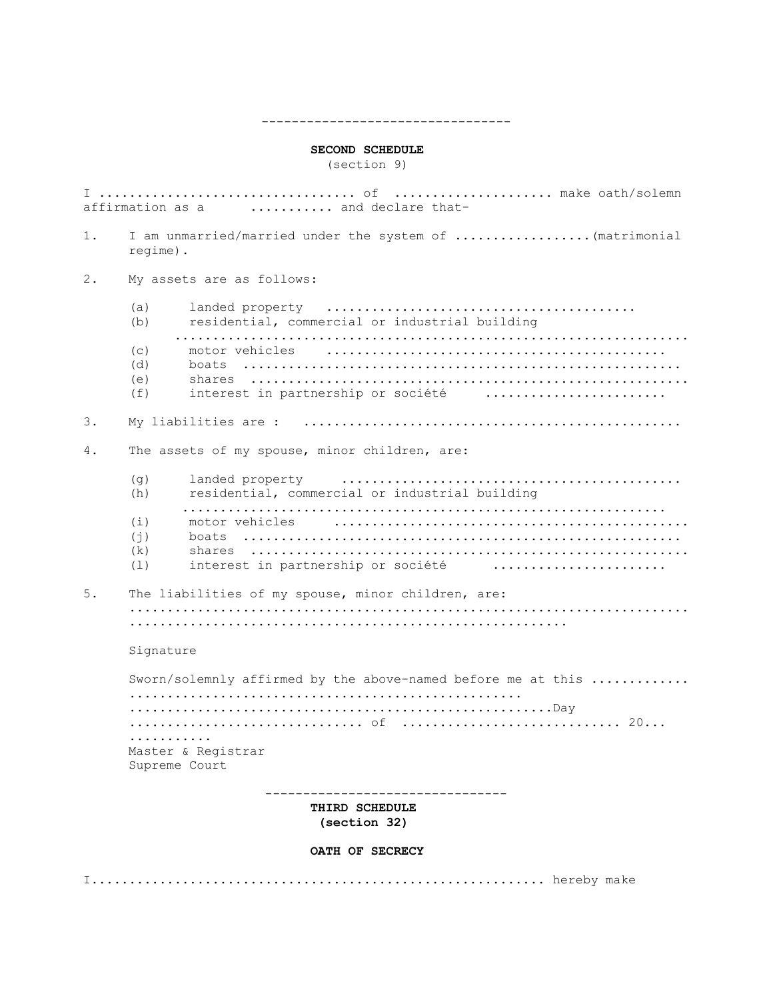#### **SECOND SCHEDULE**

(section 9)

---------------------------------

I .................................. of ..................... make oath/solemn affirmation as a ........... and declare that-1. I am unmarried/married under the system of ..................(matrimonial regime). 2. My assets are as follows: (a) landed property ......................................... (b) residential, commercial or industrial building .................................................................... (c) motor vehicles ............................................. (d) boats .......................................................... (e) shares .......................................................... (f) interest in partnership or société ........................ 3. My liabilities are : .................................................. 4. The assets of my spouse, minor children, are:  $(q)$  landed property  $\ldots \ldots \ldots \ldots \ldots \ldots \ldots \ldots \ldots \ldots \ldots \ldots \ldots$ (h) residential, commercial or industrial building ................................................................ (i) motor vehicles ............................................... (j) boats .......................................................... (k) shares .......................................................... (l) interest in partnership or société ....................... 5. The liabilities of my spouse, minor children, are: .......................................................................... .......................................................... Signature Sworn/solemnly affirmed by the above-named before me at this ............. .................................................... ........................................................Day ............................... of ............................. 20... ........... Master & Registrar Supreme Court -------------------------------- **THIRD SCHEDULE (section 32) OATH OF SECRECY** I............................................................ hereby make